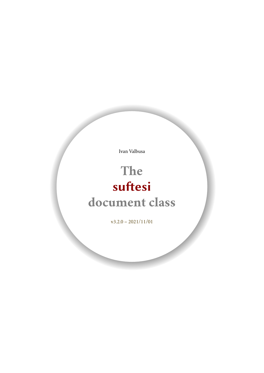Ivan Valbusa

# **The** suftesi **document class**

 $v3.2.0 - 2021/11/01$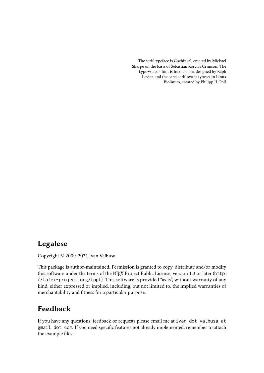The serif typeface is Cochineal, created by Michael Sharpe on the basis of Sebastian Kosch's Crimson. The typewriter font is Inconsolata, designed by Raph Levien and the sans serif text is typeset in Linux Biolinum, created by Philipp H. Poll.

# Legalese

Copyright © 2009-2021 Ivan Valbusa

This package is author-maintained. Permission is granted to copy, distribute and/or modify this software under the terms of the ETEX Project Public License, version 1.3 or later ([http:](http://latex-project.org/lppl) [//latex-project.org/lppl](http://latex-project.org/lppl)). This software is provided "as is", without warranty of any kind, either expressed or implied, including, but not limited to, the implied warranties of merchantability and fitness for a particular purpose.

# Feedback

If you have any questions, feedback or requests please email me at ivan dot valbusa at gmail dot com. If you need specific features not already implemented, remember to attach the example files.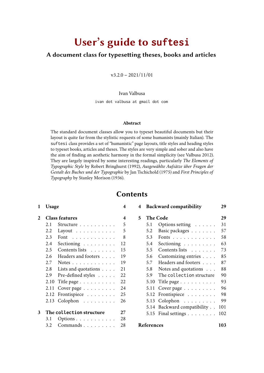# User's guide to **suftesi**

### A document class for typesetting theses, books and articles

 $v3.2.0 - 2021/11/01$ 

Ivan Valbusa

ivan dot valbusa at gmail dot com

#### **Abstract**

The standard document classes allow you to typeset beautiful documents but their layout is quite far from the stylistic requests of some humanists (mainly Italian). The suftesi class provides a set of "humanistic" page layouts, title styles and heading styles to typeset books, articles and theses. The styles are very simple and sober and also have the aim of finding an aesthetic harmony in the formal simplicity (see [Valbusa 2012\)](#page-104-0). They are largely inspired by some interesting readings, particularly *[The Elements of](#page-102-0) [Typographic Style](#page-102-0)* by Robert [Bringhurst](#page-102-0) [\(1992\)](#page-102-0), *[Ausgewählte Aufsätze über Fragen der](#page-104-1) [Gestalt des Buches und der Typographie](#page-104-1)* by Jan [Tschichold](#page-104-1) [\(1975\)](#page-104-1) and *[First Principles of](#page-103-0) [Typography](#page-103-0)* by Stanley [Morison](#page-103-0) [\(1936\)](#page-103-0).

# **Contents**

#### **[1 Usage](#page-3-0) 4**

|   |      | <b>Class features</b>                                           | 4  |
|---|------|-----------------------------------------------------------------|----|
|   | 2.1  | Structure                                                       | 5  |
|   | 2.2  | Layout $\dots \dots \dots$                                      | 5  |
|   | 2.3  | Font<br>$\sim$ 100 km s $\sim$ 100 km s $\sim$ 100 km s $^{-1}$ | 8  |
|   | 2.4  | Sectioning                                                      | 12 |
|   | 2.5  | Contents lists                                                  | 15 |
|   | 2.6  | Headers and footers                                             | 19 |
|   | 2.7  | Notes $\dots \dots \dots \dots$                                 | 19 |
|   | 2.8  | Lists and quotations $\ldots$ .                                 | 21 |
|   | 2.9  | Pre-defined styles                                              | 22 |
|   | 2.10 | Title page                                                      | 22 |
|   | 2.11 | Cover page                                                      | 24 |
|   | 2.12 | Frontispiece                                                    | 25 |
|   | 2.13 | Colophon                                                        | 26 |
| 3 |      | The collection structure                                        | 27 |
|   | 3.1  | Options $\ldots \ldots \ldots$                                  | 28 |
|   | 3.2  | Commands                                                        | 28 |
|   |      |                                                                 |    |

| 5 |            | <b>The Code</b>             | 29  |
|---|------------|-----------------------------|-----|
|   | 5.1        | Options setting             | 31  |
|   | 5.2        | Basic packages              | 57  |
|   | 5.3        | Fonts                       | 58  |
|   | 5.4        | Sectioning                  | 63  |
|   | 5.5        | Contents lists              | 73  |
|   | 5.6        | Customizing entries         | 85  |
|   | 5.7        | Headers and footers         | 87  |
|   | 5.8        | Notes and quotations        | 88  |
|   | 5.9        | The collection structure    | 90  |
|   | 5.10       | Title page                  | 93  |
|   | 5.11       | Cover page                  | 96  |
|   | 5.12       | Frontispiece                | 98  |
|   | 5.13       | Colophon                    | 99  |
|   |            | 5.14 Backward compatibility | 101 |
|   | 5.15       | Final settings              | 102 |
|   | References |                             | 103 |

**[4 Backward compatibility](#page-28-0) 29**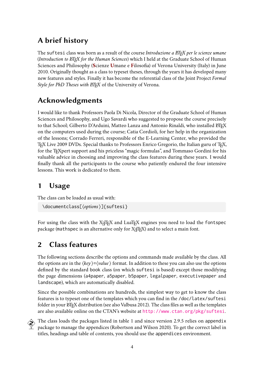# A brief history

The suftesi class was born as a result of the course *Introduzione a BTEX per le scienze umane* (*Introduction to ETEX for the Human Sciences*) which I held at the Graduate School of Human Sciences and Philosophy (**S**cienze **U**mane e **F**ilosofia) of Verona University (Italy) in June 2010. Originally thought as a class to typeset theses, through the years it has developed many new features and styles. Finally it has become the referential class of the Joint Project *Formal Style for PhD Theses with ETEX* of the University of Verona.

# Acknowledgments

I would like to thank Professors Paola Di Nicola, Director of the Graduate School of Human Sciences and Philosophy, and Ugo Savardi who suggested to propose the course precisely to that School; Gilberto D'Arduini, Matteo Lanza and Antonio Rinaldi, who installed LTFX on the computers used during the course; Catia Cordioli, for her help in the organization of the lessons; Corrado Ferreri, responsible of the E-Learning Center, who provided the TEX Live 2009 DVDs. Special thanks to Professors Enrico Gregorio, the Italian guru of TEX, for the TEX pert support and his priceless "magic formulas", and Tommaso Gordini for his valuable advice in choosing and improving the class features during these years. I would finally thank all the participants to the course who patiently endured the four intensive lessons. This work is dedicated to them.

# <span id="page-3-0"></span>1 Usage

The class can be loaded as usual with:

```
\documentclass[⟨options⟩]{suftesi}
```
For using the class with the X<sub>7</sub>TEX and LuaTEX engines you need to load the fontspec package (mathspec is an alternative only for X<sub>IIE</sub>X) and to select a main font.

# <span id="page-3-1"></span>2 Class features

The following sections describe the options and commands made available by the class. All the options are in the ⟨*key* ⟩=⟨*value*⟩ format. In addition to these you can also use the options defined by the standard book class (on which suftesi is based) except those modifying the page dimensions (a4paper, a5paper, b5paper, legalpaper, executivepaper and landscape), which are automatically disabled.

Since the possible combinations are hundreds, the simplest way to get to know the class features is to typeset one of the templates which you can find in the /doc/latex/suftesi folder in your ET<sub>E</sub>X distribution (see also [Valbusa 2012\)](#page-104-0). The class files as well as the templates are also available online on the CTAN's website at <http://www.ctan.org/pkg/suftesi>.

 The class loads the packages listed in table [1](#page-4-2) and since version 2.9.5 relies on appendix  $\!\!^{\prime} \,$  package to manage the appendices [\(Robertson and Wilson 2020\)](#page-103-1). To get the correct label in titles, headings and table of contents, you should use the appendices environment.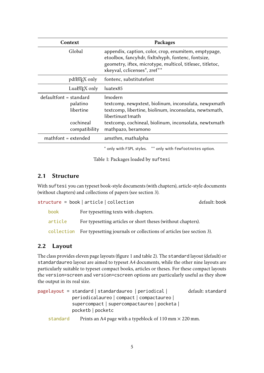| Context                                                                         | Packages                                                                                                                                                                                                                       |
|---------------------------------------------------------------------------------|--------------------------------------------------------------------------------------------------------------------------------------------------------------------------------------------------------------------------------|
| Global                                                                          | appendix, caption, color, crop, enumitem, emptypage,<br>etoolbox, fancyhdr, fixltxhyph, fontenc, fontsize,<br>geometry, iftex, microtype, multicol, titlesec, titletoc,<br>xkeyval, cclicenses*, zref**                        |
| pdfleT <sub>F</sub> X only                                                      | fontenc, substitutefont                                                                                                                                                                                                        |
| LuaLT <sub>F</sub> X only                                                       | luatex85                                                                                                                                                                                                                       |
| $defaultfont = standard$<br>palatino<br>libertine<br>cochineal<br>compatibility | Imodern<br>textcomp, newpxtext, biolinum, inconsolata, newpxmath<br>textcomp, libertine, biolinum, inconsolata, newtxmath,<br>libertinust1 math<br>textcomp, cochineal, biolinum, inconsolata, newtxmath<br>mathpazo, beramono |
| mathfont = extended                                                             | amsthm, mathalpha                                                                                                                                                                                                              |

<span id="page-4-2"></span>\* only with FSPL styles. \*\* only with fewfootnotes option.

Table 1: Packages loaded by suftesi

### <span id="page-4-0"></span>2.1 Structure

With suftesi you can typeset book-style documents (with chapters), article-style documents (without chapters) and collections of papers (see section [3\)](#page-26-0).

| structure = book   article   collection<br>default: book |                                                                                 |  |  |
|----------------------------------------------------------|---------------------------------------------------------------------------------|--|--|
| book                                                     | For typesetting texts with chapters.                                            |  |  |
| article                                                  | For typesetting articles or short theses (without chapters).                    |  |  |
|                                                          | collection For typesetting journals or collections of articles (see section 3). |  |  |

### <span id="page-4-1"></span>2.2 Layout

The class provides eleven page layouts (figure [1](#page-6-0) and table [2\)](#page-5-0). The standard layout (default) or standardaureo layout are aimed to typeset A4 documents, while the other nine layouts are particularly suitable to typeset compact books, articles or theses. For these compact layouts the version=screen and version=cscreen options are particularly useful as they show the output in its real size.

| pagelayout = standard   standardaureo   periodical | default: standard |
|----------------------------------------------------|-------------------|
| periodicalaureo   compact   compactaureo           |                   |
| supercompact   supercompactaureo   pocketa         |                   |
| pocketb   pocketc                                  |                   |
|                                                    |                   |

standard Prints an A4 page with a typeblock of  $110 \text{ mm} \times 220 \text{ mm}$ .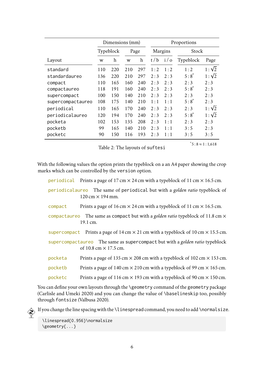|                   | Dimensions (mm) |     |      | Proportions               |                |            |           |              |
|-------------------|-----------------|-----|------|---------------------------|----------------|------------|-----------|--------------|
|                   | Typeblock       |     | Page |                           | <b>Margins</b> |            | Stock     |              |
| Layout            | W               | h   | W    | $\boldsymbol{\mathrm{h}}$ | t/b            | $i/\sigma$ | Typeblock | Page         |
| standard          | 110             | 220 | 210  | 297                       | 1:2            | 1:2        | 1:2       | $1:\sqrt{2}$ |
| standardaureo     | 136             | 220 | 210  | 297                       | 2:3            | 2:3        | $5:8^{*}$ | $1:\sqrt{2}$ |
| compact           | 110             | 165 | 160  | 240                       | 2:3            | 2:3        | 2:3       | 2:3          |
| compactaureo      | 118             | 191 | 160  | 240                       | 2:3            | 2:3        | $5:8^*$   | 2:3          |
| supercompact      | 100             | 150 | 140  | 210                       | 2:3            | 2:3        | 2:3       | 2:3          |
| supercompactaureo | 108             | 175 | 140  | 210                       | 1:1            | 1:1        | $5:8^{*}$ | 2:3          |
| periodical        | 110             | 165 | 170  | 240                       | 2:3            | 2:3        | 2:3       | $1:\sqrt{2}$ |
| periodicalaureo   | 120             | 194 | 170  | 240                       | 2:3            | 2:3        | $5:8^*$   | $1:\sqrt{2}$ |
| pocketa           | 102             | 153 | 135  | 208                       | 2:3            | 1:1        | 2:3       | 2:3          |
| pocketb           | 99              | 165 | 140  | 210                       | 2:3            | 1:1        | 3:5       | 2:3          |
| pocketc           | 90              | 150 | 116  | 193                       | 2:3            | 1:1        | 3:5       | 3:5          |

<span id="page-5-0"></span>Table 2: The layouts of suftesi

 $i$ <sup>\*</sup> $5:8 \approx 1:1.618$ 

With the following values the option prints the typeblock on a an A4 paper showing the crop marks which can be controlled by the version option.

periodical Prints a page of 17 cm  $\times$  24 cm with a typeblock of 11 cm  $\times$  16.5 cm.

- periodicalaureo The same of periodical but with a *golden ratio* typeblock of  $120 \text{ cm} \times 194 \text{ mm}$ .
- compact Prints a page of 16 cm  $\times$  24 cm with a typeblock of 11 cm  $\times$  16.5 cm.
- compactaureo The same as compact but with a *golden ratio* typeblock of 11.8 cm × 19.1 cm.
- supercompact Prints a page of  $14 \text{ cm} \times 21 \text{ cm}$  with a typeblock of  $10 \text{ cm} \times 15.5 \text{ cm}$ .

supercompactaureo The same as supercompact but with a *golden ratio* typeblock of 10.8 cm  $\times$  17.5 cm.

- pocketa Prints a page of 135 cm  $\times$  208 cm with a typeblock of 102 cm  $\times$  153 cm.
- pocketb Prints a page of  $140 \text{ cm} \times 210 \text{ cm}$  with a typeblock of 99 cm  $\times$  165 cm.
- pocketc Prints a page of 116 cm  $\times$  193 cm with a typeblock of 90 cm  $\times$  150 cm.

You can define your own layouts through the \geometry command of the geometry package [\(Carlisle and Umeki 2020\)](#page-102-2) and you can change the value of \baselineskip too, possibly through fontsize [\(Valbusa 2020\)](#page-104-2).

If you change the line spacing with the \linespread command, you need to add \normalsize.

\linespread{0.956}\normalsize \geometry{...}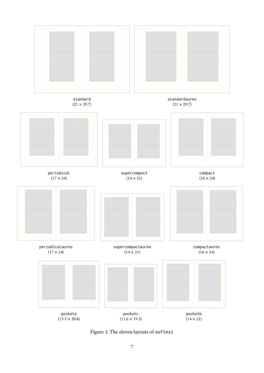

<span id="page-6-0"></span>Figure 1: The eleven layouts of suftesi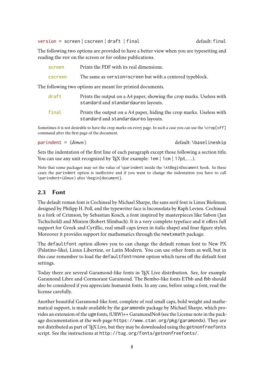version = screen | cscreen | draft | final default: final default: final

The following two options are provided to have a better view when you are typesetting and reading the PDF on the screen or for online publications.

| screen  | Prints the PDF with its real dimensions.                  |
|---------|-----------------------------------------------------------|
| cscreen | The same as version=screen but with a centered typeblock. |

The following two options are meant for printed documents.

| draft | Prints the output on a A4 paper, showing the crop marks. Useless with<br>standard and standardaureo layouts. |
|-------|--------------------------------------------------------------------------------------------------------------|
| final | Prints the output on a A4 paper, hiding the crop marks. Useless with<br>standard and standardaureo layouts.  |

Sometimes it is not desirable to have the crop marks on every page. In such a case you can use the \crop[off] command after the first page of the document.

$$
parindent \neq \langle \text{dimen} \rangle
$$

default: \baselineskip

Sets the indentation of the first line of each paragraph except those following a section title. You can use any unit recognized by T<sub>E</sub>X (for example: 1em | 1cm | 17pt, ...).

Note that some packages may set the value of \parindent inside the \AtBeginDocument hook. In these cases the parindent option is ineffective and if you want to change the indentation you have to call \parindent=⟨*dimen*⟩ after \begin{document}.

### <span id="page-7-0"></span>2.3 Font

The default roman font is Cochineal by Michael Sharpe, the sans serif font is Linux Biolinum, designed by Philipp H. Poll, and the typewriter face is Inconsolata by Raph Levien. Cochineal is a fork of Crimson, by Sebastian Kosch, a font inspired by masterpieces like Sabon ( Jan Tschichold) and Minion (Robert Slimbach). It is a very complete typeface and it offers full support for Greek and Cyrillic, real small caps (even in italic shape) and four figure styles. Moreover it provides support for mathematics through the newtxmath package.

The defaultfont option allows you to can change the default roman font to New PX (Palatino-like), Linux Libertine, or Latin Modern. You can use other fonts as well, but in this case remember to load the defaultfont=none option which turns off the default font settings.

Today there are several Garamond-like fonts in TEX Live distribution. See, for example Garamond Libre and Cormorant Garamond. The Bembo-like fonts ETbb and fbb should also be considered if you appreciate humanist fonts. In any case, before using a font, read the license carefully.

Another beautiful Garamond-like font, complete of real small caps, bold weight and mathematical support, is made available by the garamondx package by Michael Sharpe, which provides an extension of the ugm fonts, (URW)++ GaramondNo8 (see the License note in the package documentation at the web page <https://www.ctan.org/pkg/garamondx>). They are not distributed as part of TEX Live, but they may be downloaded using the getnonfreefonts script. See the instructions at <http://tug.org/fonts/getnonfreefonts/>.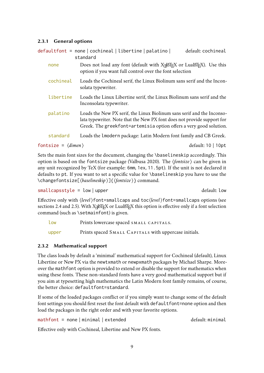#### 2.3.1 General options

|           | standard                                                                                                                                                                                                                | default: cochineal |
|-----------|-------------------------------------------------------------------------------------------------------------------------------------------------------------------------------------------------------------------------|--------------------|
| none      | Does not load any font (default with X <sub>7</sub> LH <sub>E</sub> X or LuaLH <sub>E</sub> X). Use this<br>option if you want full control over the font selection                                                     |                    |
| cochineal | Loads the Cochineal serif, the Linux Biolinum sans serif and the Incon-<br>solata typewriter.                                                                                                                           |                    |
| libertine | Loads the Linux Libertine serif, the Linux Biolinum sans serif and the<br>Inconsolata typewriter.                                                                                                                       |                    |
| palatino  | Loads the New PX serif, the Linux Biolinum sans serif and the Inconso-<br>lata typewriter. Note that the New PX font does not provide support for<br>Greek. The greekfont=artemisia option offers a very good solution. |                    |
| standard  | Loads the lmodern package: Latin Modern font family and CB Greek.                                                                                                                                                       |                    |

fontsize =  $\langle$ *dimen* $\rangle$  default: 10 | 10pt

Sets the main font sizes for the document, changing the \baselineskip accordingly. This option is based on the fontsize package [\(Valbusa 2020\)](#page-104-2). The ⟨*fontsize*⟩ can be given in any unit recognized by TeX (for example: 6mm, 1ex, 11.5pt). If the unit is not declared it defaults to pt. If you want to set a specific value for \baselineskip you have to use the \changefontsize[⟨*baselineskip* ⟩]{⟨*fontsize*⟩} command.

smallcapsstyle = low | upper default: low

Effective only with ⟨*level*⟩font=smallcaps and toc⟨*level*⟩font=smallcaps options (see sections [2.4](#page-11-0) and [2.5\)](#page-14-0). With X $\frac{1}{2}$ EEX or LuaETEX this option is effective only if a font selection command (such as \setmainfont) is given.

| low   | Prints lowercase spaced SMALL CAPITALS.               |
|-------|-------------------------------------------------------|
| upper | Prints spaced SMALL CAPITALS with uppercase initials. |

#### 2.3.2 Mathematical support

The class loads by default a 'minimal' mathematical support for Cochineal (default), Linux Libertine or New PX via the newtxmath or newpxmath packages by Michael Sharpe. Moreover the mathfont option is provided to extend or disable the support for mathematics when using these fonts. These non-standard fonts have a very good mathematical support but if you aim at typesetting high mathematics the Latin Modern font family remains, of course, the better choice: defaultfont=standard.

If some of the loaded packages conflict or if you simply want to change some of the default font settings you should first reset the font default with defaultfont=none option and then load the packages in the right order and with your favorite options.

 $math$ mathfont = none | minimal | extended default: minimal

Effective only with Cochineal, Libertine and New PX fonts.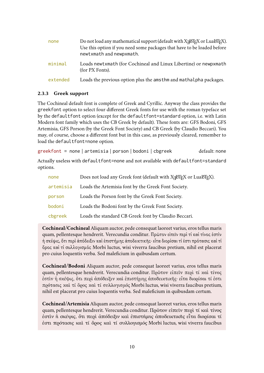| none     | Do not load any mathematical support (default with X <sub>7</sub> ET <sub>F</sub> X or LuaET <sub>F</sub> X).<br>Use this option if you need some packages that have to be loaded before<br>newtxmath and newpxmath. |
|----------|----------------------------------------------------------------------------------------------------------------------------------------------------------------------------------------------------------------------|
| minimal  | Loads newtxmath (for Cochineal and Linux Libertine) or newpxmath<br>(for PX Fonts).                                                                                                                                  |
| extended | Loads the previous option plus the amsthm and mathalpha packages.                                                                                                                                                    |

#### 2.3.3 Greek support

The Cochineal default font is complete of Greek and Cyrillic. Anyway the class provides the greekfont option to select four different Greek fonts for use with the roman typeface set by the defaultfont option (except for the defaultfont=standard option, i.e. with Latin Modern font family which uses the CB Greek by default). These fonts are: GFS Bodoni, GFS Artemisia, GFS Porson (by the Greek Font Society) and CB Greek (by Claudio Beccari). You may, of course, choose a different font but in this case, as previously cleared, remember to load the defaultfont=none option.

greekfont = none | artemisia | porson | bodoni | cbgreek default: none

Actually useless with defaultfont=none and not available with defaultfont=standard options.

| none      | Does not load any Greek font (default with X <sub>7</sub> ET <sub>E</sub> X or LuaET <sub>E</sub> X). |
|-----------|-------------------------------------------------------------------------------------------------------|
| artemisia | Loads the Artemisia font by the Greek Font Society.                                                   |
| porson    | Loads the Porson font by the Greek Font Society.                                                      |
| bodoni    | Loads the Bodoni font by the Greek Font Society.                                                      |
| cbgreek   | Loads the standard CB Greek font by Claudio Beccari.                                                  |

**Cochineal/Cochineal** Aliquam auctor, pede consequat laoreet varius, eros tellus maris quam, pellentesque hendrerit. Verecundia conditur. Πρῶτον εἰπεῖν περὶ τί καὶ τίνος ἐστὶν ἡ σκέψις, ὅτι περὶ ἀπόδειξιν καὶ ἐπιστήµης ἀποδεικτικῆς· εἶτα διορίσαι τί ἐστι πρότασις καὶ τί ὅρος καὶ τί συλλογισµός Morbi luctus, wisi viverra faucibus pretium, nihil est placerat pro cuius loquentis verba. Sed maleficium in quibusdam certum.

**Cochineal/Bodoni** Aliquam auctor, pede consequat laoreet varius, eros tellus maris quam, pellentesque hendrerit. Verecundia conditur. Πρῶτον εἰπεῖν περὶ τί καὶ τίνος ἐστὶν ἡ σκέψις, ὅτι περὶ ἀπόδειξιν καὶ ἐπιστήμης ἀποδεικτικῆς· εἶτα διορίσαι τί ἐστι πρότασις καὶ τί ὅρος καὶ τί συλλογισμός Morbi luctus, wisi viverra faucibus pretium, nihil est placerat pro cuius loquentis verba. Sed maleficium in quibusdam certum.

**Cochineal/Artemisia** Aliquam auctor, pede consequat laoreet varius, eros tellus maris quam, pellentesque hendrerit. Verecundia conditur. Πρῶτον εἰπεῖν περὶ τί καὶ τίνος ἐστὶν ἡ σκέψις, ὅτι περὶ ἀπόδειξιν καὶ ἐπιστήμης ἀποδεικτικῆς εἶτα διορίσαι τί ἐστι πρότασις καὶ τί ὅρος καὶ τί συλλογισμός Morbi luctus, wisi viverra faucibus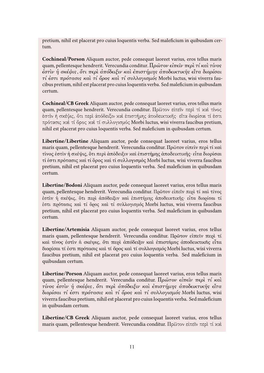pretium, nihil est placerat pro cuius loquentis verba. Sed maleficium in quibusdam certum.

**Cochineal/Porson** Aliquam auctor, pede consequat laoreet varius, eros tellus maris quam, pellentesque hendrerit. Verecundia conditur. Πρώτον είπεῖν περὶ τί καὶ τίνος ἐστὶν ἡ σκέψις, ὅτι περὶ ἀπόδειξιν καὶ ἐπιστήμης ἀποδεικτικῆς εἶτα διορίσαι τί ἐστι πρότασις καὶ τί ὅρος καὶ τί συλλογισμός Morbi luctus, wisi viverra faucibus pretium, nihil est placerat pro cuius loquentis verba. Sed maleficium in quibusdam certum.

**Cochineal/CB Greek** Aliquam auctor, pede consequat laoreet varius, eros tellus maris quam, pellentesque hendrerit. Verecundia conditur. Πρῶτον εἰπεῖν περὶ τί καὶ τίνος ἐστὶν ἡ σκέψις, ὅτι περὶ ἀπόδειξιν καὶ ἐπιστήμης ἀποδεικτικῆς· εἶτα διορίσαι τί ἐστι πρότασις καὶ τί ὅρος καὶ τί συλλογισμός Morbi luctus, wisi viverra faucibus pretium, nihil est placerat pro cuius loquentis verba. Sed maleficium in quibusdam certum.

**Libertine/Libertine** Aliquam auctor, pede consequat laoreet varius, eros tellus maris quam, pellentesque hendrerit. Verecundia conditur. Πρῶτον εἰπεῖν περὶ τί καὶ τίνος ἐστὶν ἡ σϰέψις, ὅτι περὶ ἀπόδειξιν ϰαὶ ἐπιστήµης ἀποδειϰτιϰῆς· εἶτα διορίσαι τί ἐστι πρότασις ϰαὶ τί ὅρος ϰαὶ τί συλλογισµός Morbi luctus, wisi viverra faucibus pretium, nihil est placerat pro cuius loquentis verba. Sed maleficium in quibusdam certum.

**Libertine/Bodoni** Aliquam auctor, pede consequat laoreet varius, eros tellus maris quam, pellentesque hendrerit. Verecundia conditur. Πρῶτον εἰπεῖν περὶ τί καὶ τίνος ἐστὶν ἡ σκέψις, ὅτι περὶ ἀπόδειξιν καὶ ἐπιστήμης ἀποδεικτικῆς· εἶτα διορίσαι τί ἐστι πρότασις καὶ τί ὅρος καὶ τί συλλογισμός Morbi luctus, wisi viverra faucibus pretium, nihil est placerat pro cuius loquentis verba. Sed maleficium in quibusdam certum.

**Libertine/Artemisia** Aliquam auctor, pede consequat laoreet varius, eros tellus maris quam, pellentesque hendrerit. Verecundia conditur. Πρῶτον εἰπεῖν περὶ τί καὶ τίνος ἐστὶν ἡ σκέψις, ὅτι περὶ ἀπόδειξιν καὶ ἐπιστήμης ἀποδεικτικῆς εἶτα διορίσαι τί ἐστι πρότασις καὶ τί ὅρος καὶ τί συλλογισμός Morbi luctus, wisi viverra faucibus pretium, nihil est placerat pro cuius loquentis verba. Sed maleficium in quibusdam certum.

**Libertine/Porson** Aliquam auctor, pede consequat laoreet varius, eros tellus maris quam, pellentesque hendrerit. Verecundia conditur. Πρώτον είπεῖν περὶ τί καὶ τίνος ἐστὶν ἡ σκέψις, ὅτι περὶ ἀπόδειξιν καὶ ἐπιστήμης ἀποδεικτικῆς εἶτα διορίσαι τί ἐστι πρότασις καὶ τί ὅρος καὶ τί συλλογισμός Morbi luctus, wisi viverra faucibus pretium, nihil est placerat pro cuius loquentis verba. Sed maleficium in quibusdam certum.

**Libertine/CB Greek** Aliquam auctor, pede consequat laoreet varius, eros tellus maris quam, pellentesque hendrerit. Verecundia conditur. Πρῶτον εἰπεῖν περὶ τί καὶ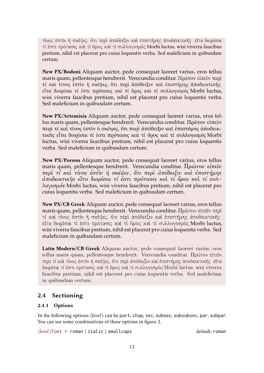τίνος ἐστὶν ἡ σκέψις, ὅτι περὶ ἀπόδειξιν καὶ ἐπιστήμης ἀποδεικτικῆς· εἶτα διορίσαι τί ἐστι πρότασις καὶ τί ὅρος καὶ τί συλλογισμός Morbi luctus, wisi viverra faucibus pretium, nihil est placerat pro cuius loquentis verba. Sed maleficium in quibusdam certum.

**New PX/Bodoni** Aliquam auctor, pede consequat laoreet varius, eros tellus maris quam, pellentesque hendrerit. Verecundia conditur. Πρῶτον εἰπεῖν περὶ τί καὶ τίνος ἐστὶν ἡ σκέψις, ὅτι περὶ ἀπόδειξιν καὶ ἐπιστήμης ἀποδεικτικῆς· εἶτα διορίσαι τί ἐστι πρότασις καὶ τί ὅρος καὶ τί συλλογισμός Morbi luctus, wisi viverra faucibus pretium, nihil est placerat pro cuius loquentis verba. Sed maleficium in quibusdam certum.

**New PX/Artemisia** Aliquam auctor, pede consequat laoreet varius, eros tellus maris quam, pellentesque hendrerit. Verecundia conditur. Πρῶτον εἰπεῖν περὶ τί καὶ τίνος ἐστὶν ἡ σκέψις, ὅτι περὶ ἀπόδειξιν καὶ ἐπιστήμης ἀποδεικτικῆς εἶτα διορίσαι τί ἐστι πρότασις καὶ τί ὅρος καὶ τί συλλογισμός Morbi luctus, wisi viverra faucibus pretium, nihil est placerat pro cuius loquentis verba. Sed maleficium in quibusdam certum.

**New PX/Porson** Aliquam auctor, pede consequat laoreet varius, eros tellus maris quam, pellentesque hendrerit. Verecundia conditur. Πρώτον είπεῖν περὶ τί καὶ τίνος ἐστὶν ἡ σκέψις, ὅτι περὶ ἀπόδειξιν καὶ ἐπιστήμης ἀποδεικτικῆς εἶτα διορίσαι τί ἐστι πρότασις καὶ τί ὅρος καὶ τί συλλογισμός Morbi luctus, wisi viverra faucibus pretium, nihil est placerat pro cuius loquentis verba. Sed maleficium in quibusdam certum.

**New PX/CB Greek** Aliquam auctor, pede consequat laoreet varius, eros tellus maris quam, pellentesque hendrerit. Verecundia conditur. Πρῶτον εἰπεῖν περὶ τί καὶ τίνος ἐστὶν ἡ σκέψις, ὅτι περὶ ἀπόδειξιν καὶ ἐπιστήμης ἀποδεικτικῆς· εἶτα διορίσαι τί ἐστι πρότασις καὶ τί ὅρος καὶ τί συλλογισμός Morbi luctus, wisi viverra faucibus pretium, nihil est placerat pro cuius loquentis verba. Sed maleficium in quibusdam certum.

**Latin Modern/CB Greek** Aliquam auctor, pede consequat laoreet varius, eros tellus maris quam, pellentesque hendrerit. Verecundia conditur. Πρῶτον εἰπεῖν περὶ τί καὶ τίνος ἐστὶν ἡ σκέψις, ὅτι περὶ ἀπόδειξιν καὶ ἐπιστήμης ἀποδεικτικῆς· εἶτα διορίσαι τί ἐστι πρότασις καὶ τί ὅρος καὶ τί συλλογισμός Morbi luctus, wisi viverra faucibus pretium, nihil est placerat pro cuius loquentis verba. Sed maleficium in quibusdam certum.

# <span id="page-11-0"></span>2.4 Sectioning

#### 2.4.1 Options

In the following options ⟨*level*⟩ can be part, chap, sec, subsec, subsubsec, par, subpar. You can see some combinations of these options in figure [2.](#page-12-0)

⟨*level*⟩font = roman | italic | smallcaps default: roman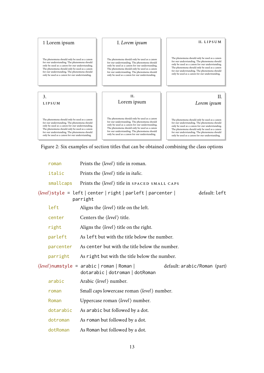

<span id="page-12-0"></span>Figure 2: Six examples of section titles that can be obtained combining the class options

|  | roman                                                       | Prints the $\langle level \rangle$ title in roman.                                                                             |  |  |  |
|--|-------------------------------------------------------------|--------------------------------------------------------------------------------------------------------------------------------|--|--|--|
|  | italic                                                      | Prints the $\langle level \rangle$ title in <i>italic</i> .                                                                    |  |  |  |
|  | smallcaps                                                   | Prints the $\langle level \rangle$ title in SPACED SMALL CAPS                                                                  |  |  |  |
|  |                                                             | default: left<br>parright                                                                                                      |  |  |  |
|  | left                                                        | Aligns the $\langle level \rangle$ title on the left.                                                                          |  |  |  |
|  | center                                                      | Centers the <i>(level)</i> title.                                                                                              |  |  |  |
|  | right                                                       | Aligns the $\langle level \rangle$ title on the right.                                                                         |  |  |  |
|  | parleft                                                     | As left but with the title below the number.                                                                                   |  |  |  |
|  | As center but with the title below the number.<br>parcenter |                                                                                                                                |  |  |  |
|  | parright                                                    | As right but with the title below the number.                                                                                  |  |  |  |
|  |                                                             | $\langle level \rangle$ numstyle = arabic   roman   Roman  <br>default: arabic/Roman (part)<br>dotarabic   dotroman   dotRoman |  |  |  |
|  | arabic                                                      | Arabic (level) number.                                                                                                         |  |  |  |
|  | roman                                                       | Small caps lowercase roman (level) number.                                                                                     |  |  |  |
|  | Roman                                                       | Uppercase roman $\langle level \rangle$ number.                                                                                |  |  |  |
|  | dotarabic                                                   | As arabic but followed by a dot.                                                                                               |  |  |  |
|  | dotroman                                                    | As roman but followed by a dot.                                                                                                |  |  |  |
|  | dotRoman                                                    | As Roman but followed by a dot.                                                                                                |  |  |  |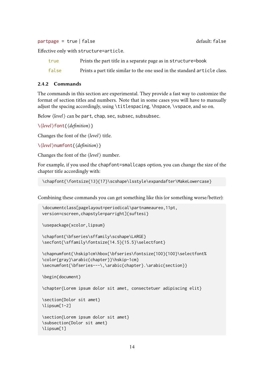partpage = true | false default: false

Effective only with structure=article.

| true  | Prints the part title in a separate page as in structure=book              |
|-------|----------------------------------------------------------------------------|
| false | Prints a part title similar to the one used in the standard article class. |

#### 2.4.2 Commands

The commands in this section are experimental. They provide a fast way to customize the format of section titles and numbers. Note that in some cases you will have to manually adjust the spacing accordingly, using \titlespacing, \hspace, \vspace, and so on.

Below  $\langle level \rangle$  can be part, chap, sec, subsec, subsubsec.

```
\⟨level⟩font{⟨definition⟩}
```
Changes the font of the ⟨*level*⟩ title.

```
\⟨level⟩numfont{⟨definition⟩}
```
Changes the font of the ⟨*level*⟩ number.

For example, if you used the chapfont=smallcaps option, you can change the size of the chapter title accordingly with:

\chapfont{\fontsize{13}{17}\scshape\lsstyle\expandafter\MakeLowercase}

Combining these commands you can get something like this (or something worse/better):

```
\documentclass[pagelayout=periodical\partnameaureo,11pt,
version=cscreen,chapstyle=parright]{suftesi}
```
\usepackage{xcolor,lipsum}

```
\chapfont{\bfseries\sffamily\scshape\LARGE}
\secfont{\sffamily\fontsize{14.5}{15.5}\selectfont}
```

```
\chapnumfont{\hskip1cm\hbox{\bfseries\fontsize{100}{100}\selectfont%
\color{gray}\arabic{chapter}}\hskip-1cm}
\secnumfont{\bfseries---\,\arabic{chapter}.\arabic{section}}
```
\begin{document}

\chapter{Lorem ipsum dolor sit amet, consectetuer adipiscing elit}

```
\section{Dolor sit amet}
\lipsum[1-2]
```

```
\section{Lorem ipsum dolor sit amet}
\subsection{Dolor sit amet}
\lipsum[1]
```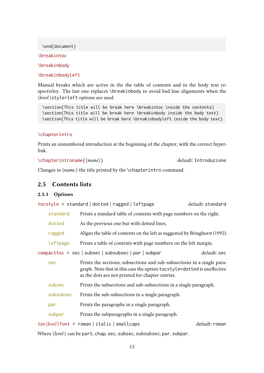\end{document}

\breakintoc

\breakinbody

\breakinbodyleft

Manual breaks which are active in the the table of contents and in the body text respectivley. The last one replaces \breakinbody to avoid bad line alignments when the ⟨*level*⟩style=left options are used.

\section{This title will be break here \breakintoc inside the contents} \section{This title will be break here \breakinbody inside the body text} \section{This title will be break here \breakinbodyleft inside the body text}

#### \chapterintro

Prints an unnumbered introduction at the beginning of the chapter, with the correct hyperlink.

\chapterintroname{ $\langle name \rangle$ }

Changes in ⟨*name*⟩ the title printed by the \chapterintro command.

#### <span id="page-14-0"></span>2.5 Contents lists

#### 2.5.1 Options

tocstyle = standard | dotted | ragged | leftpage default: standard

| standard | Prints a standard table of contents with page numbers on the right. |
|----------|---------------------------------------------------------------------|
|----------|---------------------------------------------------------------------|

- dotted As the previous one but with dotted lines.
- ragged Aligns the table of contents on the left as suggested by [Bringhurst](#page-102-0) [\(1992\)](#page-102-0).

leftpage Prints a table of contents with page numbers on the left margin.

compacttoc = sec | subsec | subsubsec | par | subpar default: sec

- sec Prints the sections, subsections and sub-subsections in a single paragraph. Note that in this case the option tocstyle=dotted is uneffective as the dots are not printed for chapter entries.
- subsec Prints the subsections and sub-subsections in a single paragraph.
- subsubsec Prints the sub-subsections in a single paragraph.
- par Prints the paragraphs in a single paragraph.

subpar Prints the subparagraphs in a single paragraph.

toc(*level*)font = roman | italic | smallcaps default: roman

Where ⟨*level*⟩ can be part, chap, sec, subsec, subsubsec, par, subpar.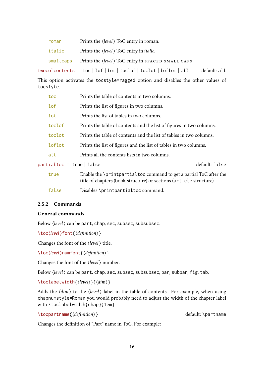| roman  | Prints the <i>(level)</i> ToC entry in roman.                                                                 |              |
|--------|---------------------------------------------------------------------------------------------------------------|--------------|
| italic | Prints the $\langle level \rangle$ ToC entry in <i>italic</i> .                                               |              |
|        | $smallest$ Prints the $\langle level \rangle$ ToC entry in SPACED SMALL CAPS                                  |              |
|        | $twocolor{black}$ to $=$ toc $\vert$ lof $\vert$ lot $\vert$ toclof $\vert$ toclot $\vert$ loflot $\vert$ all | default: all |

This option activates the tocstyle=ragged option and disables the other values of tocstyle.

| toc                     | Prints the table of contents in two columns.                                                                                              |                |
|-------------------------|-------------------------------------------------------------------------------------------------------------------------------------------|----------------|
| lof                     | Prints the list of figures in two columns.                                                                                                |                |
| lot                     | Prints the list of tables in two columns.                                                                                                 |                |
| toclof                  | Prints the table of contents and the list of figures in two columns.                                                                      |                |
| toclot                  | Prints the table of contents and the list of tables in two columns.                                                                       |                |
| loflot                  | Prints the list of figures and the list of tables in two columns.                                                                         |                |
| all                     | Prints all the contents lists in two columns.                                                                                             |                |
| partialtoc = true false |                                                                                                                                           | default: false |
| true                    | Enable the \printpartialtoc command to get a partial ToC after the<br>title of chapters (book structure) or sections (article structure). |                |

false Disables \printpartialtoc command.

#### 2.5.2 Commands

#### General commands

Below  $\langle level \rangle$  can be part, chap, sec, subsec, subsubsec.

```
\toc⟨level⟩font{⟨definition⟩}
```
Changes the font of the ⟨*level*⟩ title.

```
\toc⟨level⟩numfont{⟨definition⟩}
```
Changes the font of the ⟨*level*⟩ number.

Below ⟨*level*⟩ can be part, chap, sec, subsec, subsubsec, par, subpar, fig, tab.

\toclabelwidth{⟨*level*⟩}{⟨*dim*⟩}

Adds the ⟨*dim*⟩ to the ⟨*level*⟩ label in the table of contents. For example, when using chapnumstyle=Roman you would probably need to adjust the width of the chapter label with \toclabelwidth{chap}{1em}.

\tocpartname{*〈definition*〉} default: \partname

Changes the definition of "Part" name in ToC. For example: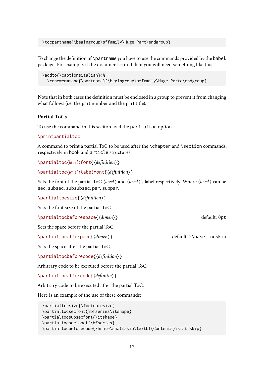\tocpartname{\begingroup\sffamily\Huge Part\endgroup}

To change the definition of \partname you have to use the commands provided by the babel package. For example, if the document is in Italian you will need something like this:

```
\addto{\captionsitalian}{%
  \renewcommand{\partname}{\begingroup\sffamily\Huge Parte\endgroup}
```
Note that in both cases the definition must be enclosed in a group to prevent it from changing what follows (i.e. the part number and the part title).

#### Partial ToCs

To use the command in this seciton load the partialtoc option.

#### \printpartialtoc

A command to print a partial ToC to be used after the \chapter and \section commands, respectively in book and article structures.

```
\partialtoc⟨level⟩font{⟨definition⟩}
```

```
\partialtoc⟨level⟩labelfont{⟨definition⟩}
```
Sets the font of the partial ToC ⟨*level*⟩ and ⟨*level*⟩'s label respectively. Where ⟨*level*⟩ can be sec, subsec, subsubsec, par, subpar.

\partialtocsize{⟨*definition*⟩}

Sets the font size of the partial ToC.

\partialtocbeforespace{⟨*dimen*⟩} default: 0pt

Sets the space before the partial ToC.

\partialtocafterpace{ $\langle$ *dimen*}} default: 2\baselineskip

Sets the space after the partial ToC.

\partialtocbeforecode{⟨*definition*⟩}

Arbitrary code to be executed before the partial ToC.

\partialtocaftercode{⟨*definitio*⟩}

Arbitrary code to be executed after the partial ToC.

Here is an example of the use of these commands:

```
\partialtocsize{\footnotesize}
\partialtocsecfont{\bfseries\itshape}
\partialtocsubsecfont{\itshape}
\partialtocseclabel{\bfseries}
\partialtocbeforecode{\hrule\smallskip\textbf{Contents}\smallskip}
```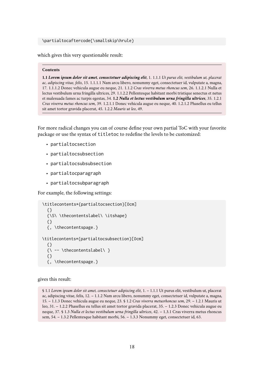#### \partialtocaftercode{\smallskip\hrule}

which gives this very questionable result:

#### **Contents**

**1.1** *Lorem ipsum dolor sit amet, consectetuer adipiscing elit*, 1. 1.1.1 *Ut purus elit, vestibulum ut, placerat ac, adipiscing vitae, felis*, 15. 1.1.1.1 Nam arcu libero, nonummy eget, consectetuer id, vulputate a, magna, 17. 1.1.1.2 Donec vehicula augue eu neque, 21. 1.1.2 *Cras viverra metus rhoncus sem*, 26. 1.1.2.1 Nulla et lectus vestibulum urna fringilla ultrices, 29. 1.1.2.2 Pellentesque habitant morbi tristique senectus et netus et malesuada fames ac turpis egestas, 34. **1.2** *Nulla et lectus vestibulum urna fringilla ultrices*, 35. 1.2.1 *Cras viverra metus rhoncus sem*, 39. 1.2.1.1 Donec vehicula augue eu neque, 40. 1.2.1.2 Phasellus eu tellus sit amet tortor gravida placerat, 45. 1.2.2 *Mauris ut leo*, 49.

For more radical changes you can of course define your own partial ToC with your favorite package or use the syntax of titletoc to redefine the levels to be customized:

- partialtocsection
- partialtocsubsection
- partialtocsubsubsection
- partialtocparagraph
- partialtocsubparagraph

For example, the following settings:

```
\titlecontents*{partialtocsection}[0cm]
  {}
  {\S\ \thecontentslabel\ \itshape}
  {}
  {, \thecontentspage.}
\titlecontents*{partialtocsubsection}[0cm]
  {}
  {\wedge} -- \thecontentslabel\ }
  {}
  {, \thecontentspage.}
```
gives this result:

§ 1.1 *Lorem ipsum dolor sit amet, consectetuer adipiscing elit*, 1. – 1.1.1 Ut purus elit, vestibulum ut, placerat ac, adipiscing vitae, felis, 12. – 1.1.2 Nam arcu libero, nonummy eget, consectetuer id, vulputate a, magna, 15. – 1.1.3 Donec vehicula augue eu neque, 23. § 1.2 *Cras viverra metusrhoncus sem*, 29. – 1.2.1 Mauris ut leo, 31. – 1.2.2 Phasellus eu tellus sit amet tortor gravida placerat, 35. – 1.2.3 Donec vehicula augue eu neque, 37. § 1.3 *Nulla et lectus vestibulum urna fringilla ultrices*, 42. – 1.3.1 Cras viverra metus rhoncus sem, 54. – 1.3.2 Pellentesque habitant morbi, 56. – 1.3.3 Nonummy eget, consectetuer id, 63.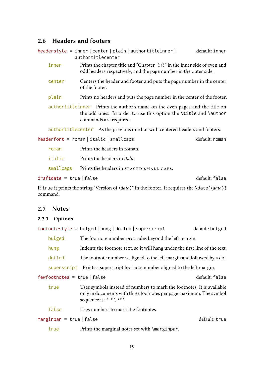### <span id="page-18-0"></span>2.6 Headers and footers

|                                                                                                                                                                            |           |                                                                                                                                                               | headerstyle = inner center plain authortitleinner <br>authortitlecenter      |                |  | default: inner |
|----------------------------------------------------------------------------------------------------------------------------------------------------------------------------|-----------|---------------------------------------------------------------------------------------------------------------------------------------------------------------|------------------------------------------------------------------------------|----------------|--|----------------|
|                                                                                                                                                                            | inner     | Prints the chapter title and "Chapter $\langle n \rangle$ " in the inner side of even and<br>odd headers respectively, and the page number in the outer side. |                                                                              |                |  |                |
| Centers the header and footer and puts the page number in the center<br>center<br>of the footer.                                                                           |           |                                                                                                                                                               |                                                                              |                |  |                |
|                                                                                                                                                                            | plain     |                                                                                                                                                               | Prints no headers and puts the page number in the center of the footer.      |                |  |                |
| authortitleinner Prints the author's name on the even pages and the title on<br>the odd ones. In order to use this option the \title and \author<br>commands are required. |           |                                                                                                                                                               |                                                                              |                |  |                |
|                                                                                                                                                                            |           |                                                                                                                                                               | authortitlecenter As the previous one but with centered headers and footers. |                |  |                |
| $headerfont = roman \mid italic \mid smallest$                                                                                                                             |           |                                                                                                                                                               |                                                                              | default: roman |  |                |
|                                                                                                                                                                            | roman     |                                                                                                                                                               | Prints the headers in roman.                                                 |                |  |                |
|                                                                                                                                                                            | italic    |                                                                                                                                                               | Prints the headers in <i>italic</i> .                                        |                |  |                |
|                                                                                                                                                                            | smallcaps |                                                                                                                                                               | Prints the headers in SPACED SMALL CAPS.                                     |                |  |                |

draftdate = true | false default: false

If true it prints the string "Version of ⟨*date*⟩" in the footer. It requires the \date{⟨*date*⟩} command.

#### <span id="page-18-1"></span>2.7 Notes

#### 2.7.1 Options

| $footnotesize$ = bulged   hung   dotted   superscript |  |  |  | default: bulged |
|-------------------------------------------------------|--|--|--|-----------------|
|-------------------------------------------------------|--|--|--|-----------------|

| bulged | The footnote number protrudes beyond the left margin.                        |
|--------|------------------------------------------------------------------------------|
| hung   | Indents the footnote text, so it will hang under the first line of the text. |
| dotted | The footnote number is aligned to the left margin and followed by a dot.     |
|        | superscript Prints a superscript footnote number aligned to the left margin. |

fewfootnotes = true | false default: false

- true Uses symbols instead of numbers to mark the footnotes. It is available only in documents with three footnotes per page maximum. The symbol sequence is:  $*, **, **$ .
- false Uses numbers to mark the footnotes.

#### marginpar = true | false default: true

true Prints the marginal notes set with \marginpar.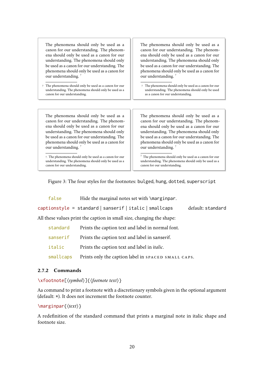| The phenomena should only be used as a        |
|-----------------------------------------------|
| canon for our understanding. The phenom-      |
| ena should only be used as a canon for our    |
| understanding. The phenomena should only      |
| be used as a canon for our understanding. The |
| phenomena should only be used as a canon for  |
| our understanding. <sup>7</sup>               |

<span id="page-19-0"></span>7 The phenomena should only be used as a canon for our understanding. The phenomena should only be used as a canon for our understanding.

ena should only be used as a canon for our understanding. The phenomena should only be used as a canon for our understanding. The phenomena should only be used as a canon for our understanding.<sup>[7](#page-19-1)</sup>

The phenomena should only be used as a canon for our understanding. The phenom-

<span id="page-19-1"></span>7 The phenomena should only be used as a canon for our understanding. The phenomena should only be used as a canon for our understanding.

The phenomena should only be used as a canon for our understanding. The phenomena should only be used as a canon for our understanding. The phenomena should only be used as a canon for our understanding. The phenomena should only be used as a canon for our understanding.<sup>[7](#page-19-2)</sup>

<span id="page-19-2"></span>7. The phenomena should only be used as a canon for our understanding. The phenomena should only be used as a canon for our understanding.

The phenomena should only be used as a canon for our understanding. The phenomena should only be used as a canon for our understanding. The phenomena should only be used as a canon for our understanding. The phenomena should only be used as a canon for our understanding.<sup>[7](#page-19-3)</sup>

<span id="page-19-3"></span> $^7\,$  The phenomena should only be used as a canon for our understanding. The phenomena should only be used as a canon for our understanding.

Figure 3: The four styles for the footnotes: bulged, hung, dotted, superscript

| false                                                                 | Hide the marginal notes set with \marginpar.               |                   |  |  |
|-----------------------------------------------------------------------|------------------------------------------------------------|-------------------|--|--|
|                                                                       | $c$ aptionstyle = standard   sanserif   italic   smallcaps | default: standard |  |  |
| All these values print the caption in small size, changing the shape: |                                                            |                   |  |  |
| standard                                                              | Prints the caption text and label in normal font.          |                   |  |  |
| sanserif                                                              | Prints the caption text and label in sanserif.             |                   |  |  |
|                                                                       |                                                            |                   |  |  |

italic Prints the caption text and label in *italic*.

smallcaps Prints only the caption label in SPACED SMALL CAPS.

#### 2.7.2 Commands

\xfootnote[⟨*symbol*⟩]{⟨*footnote text*⟩}

Aa command to print a footnote with a discretionary symbols given in the optional argument (default: \*). It does not increment the footnote counter.

\marginpar{⟨*text*⟩}

A redefinition of the standard command that prints a marginal note in italic shape and footnote size.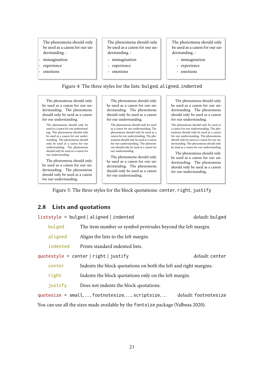The phenomena should only be used as a canon for our understanding. :

- *immagination*
- experience
- emotions

The phenomena should only be used as a canon for our understanding. :

- immagination
- experience
- emotions

The phenomena should only be used as a canon for our understanding. :

- immagination
- experience
- emotions

Figure 4: The three styles for the lists: bulged, aligned, indented

The phenomena should only be used as a canon for our understanding. The phenomena should only be used as a canon for our understanding.

The phenomena should only be used as a canon for our understanding. The phenomena should only be used as a canon for our understanding. The phenomena should only be used as a canon for our understanding. The phenomena should only be used as a canon for our understanding.

The phenomena should only be used as a canon for our understanding. The phenomena should only be used as a canon for our understanding.

The phenomena should only be used as a canon for our understanding. The phenomena should only be used as a canon for our understanding.

The phenomena should only be used as a canon for our understanding. The phenomena should only be used as a canon for our understanding. The phenomena should only be used as a canon for our understanding. The phenomena should only be used as a canon for our understanding.

The phenomena should only be used as a canon for our understanding. The phenomena should only be used as a canon for our understanding.

The phenomena should only be used as a canon for our understanding. The phenomena should only be used as a canon for our understanding.

The phenomena should only be used as a canon for our understanding. The phenomena should only be used as a canon for our understanding. The phenomena should only be used as a canon for our understanding. The phenomena should only be used as a canon for our understanding.

The phenomena should only be used as a canon for our understanding. The phenomena should only be used as a canon for our understanding.

Figure 5: The three styles for the block quotations: center, right, justify

# <span id="page-20-0"></span>2.8 Lists and quotations

liststyle = bulged | aligned | indented default: bulged

bulged The item number or symbol protrudes beyond the left margin.

aligned Aligns the lists to the left margin.

indented Prints standard indented lists.

quotestyle = center | right | justify default: center

center Indents the block quotations on both the left and right margins.

- right Indents the block quotations only on the left margin.
- justify Does not indents the block quotations.

quotesize = small, ..., footnotesize, ..., scriptsize, ... default: footnotesize

You can use all the sizes made available by the fontsize package [\(Valbusa 2020\)](#page-104-2).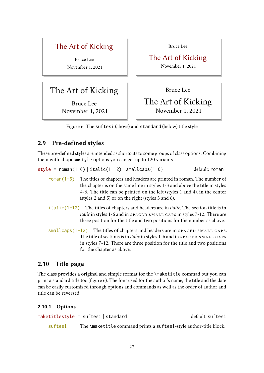# The Art of Kicking

Bruce Lee November 1, 2021

# The Art of Kicking

Bruce Lee November 1, 2021 Bruce Lee

The Art of Kicking November 1, 2021

Bruce Lee

# The Art of Kicking November 1, 2021

<span id="page-21-2"></span>Figure 6: The suftesi (above) and standard (below) title style

# <span id="page-21-0"></span>2.9 Pre-defined styles

These pre-defined styles are intended as shortcuts to some groups of class options. Combining them with chapnumstyle options you can get up to 120 variants.

style =  $roman(1-6) | italic(1-12) | smallcaps(1-6)$  default:  $roman1$ 

- roman( $1-6$ ) The titles of chapters and headers are printed in roman. The number of the chapter is on the same line in styles 1-3 and above the title in styles 4-6. The title can be printed on the left (styles 1 and 4), in the center (styles 2 and 5) or on the right (styles 3 and 6).
- italic(1-12) The titles of chapters and headers are in *italic*. The section title is in *italic* in styles 1-6 and in spaced small caps in styles 7-12. There are three position for the title and two positions for the number as above.
- $smallcaps(1-12)$  The titles of chapters and headers are in  $space$  MALL CAPS. The title of sections is in *italic* in styles 1-6 and in SPACED SMALL CAPS in styles 7-12. There are three position for the title and two positions for the chapter as above.

# <span id="page-21-1"></span>2.10 Title page

The class provides a original and simple format for the \maketitle commad but you can print a standard title too (figure [6\)](#page-21-2). The font used for the author's name, the title and the date can be easily customized through options and commands as well as the order of author and title can be reversed.

### 2.10.1 Options

```
maketitlestyle = suftesi | standard default: suftesi
   suftesi The \maketitle command prints a suftesi-style author-title block.
```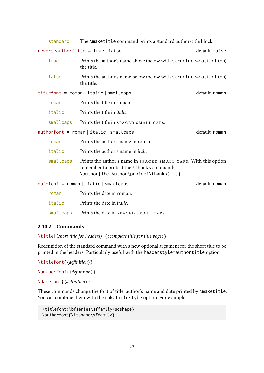|                                           | standard                                              | The \maketitle command prints a standard author-title block.                                                                                         |                |  |  |
|-------------------------------------------|-------------------------------------------------------|------------------------------------------------------------------------------------------------------------------------------------------------------|----------------|--|--|
|                                           | reverseauthortitle = $true   false$<br>default: false |                                                                                                                                                      |                |  |  |
|                                           | true                                                  | Prints the author's name above (below with structure=collection)<br>the title.                                                                       |                |  |  |
|                                           | false                                                 | Prints the author's name below (below with structure=collection)<br>the title.                                                                       |                |  |  |
|                                           |                                                       | $titlefont = roman \mid italic \mid smallest$                                                                                                        | default: roman |  |  |
|                                           | roman                                                 | Prints the title in roman.                                                                                                                           |                |  |  |
|                                           | italic                                                | Prints the title in <i>italic</i> .                                                                                                                  |                |  |  |
|                                           | smallcaps                                             | Prints the title in SPACED SMALL CAPS.                                                                                                               |                |  |  |
|                                           |                                                       | $\alpha$ authorfont = roman   italic   smallcaps                                                                                                     | default: roman |  |  |
|                                           | roman                                                 | Prints the author's name in roman.                                                                                                                   |                |  |  |
|                                           | italic                                                | Prints the author's name in <i>italic</i> .                                                                                                          |                |  |  |
|                                           | smallcaps                                             | Prints the author's name in SPACED SMALL CAPS. With this option<br>remember to protect the \thanks command:<br>\author{The Author\protect\thanks{}}. |                |  |  |
| $dategorical = roman   italic   smallest$ |                                                       |                                                                                                                                                      | default: roman |  |  |
|                                           | roman                                                 | Prints the date in roman.                                                                                                                            |                |  |  |
|                                           | italic                                                | Prints the date in <i>italic</i> .                                                                                                                   |                |  |  |
|                                           |                                                       |                                                                                                                                                      |                |  |  |

#### smallcaps Prints the date in SPACED SMALL CAPS.

#### 2.10.2 Commands

\title[⟨*short title for headers*⟩]{⟨*complete title for title page*⟩}

Redefinition of the standard command with a new optional argument for the short title to be printed in the headers. Particularly useful with the headerstyle=authortitle option.

```
\titlefont{⟨definition⟩}
```
\authorfont{⟨*definition*⟩}

\datefont{⟨*definition*⟩}

These commands change the font of title, author's name and date printed by \maketitle. You can combine them with the maketitlestyle option. For example:

```
\titlefont{\bfseries\sffamily\scshape}
\authorfont{\itshape\sffamily}
```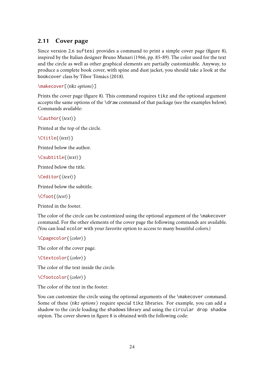# <span id="page-23-0"></span>2.11 Cover page

Since version 2.6 suftesi provides a command to print a simple cover page (figure [8\)](#page-24-1), inspired by the Italian designer Bruno [Munari](#page-103-2) [\(1966,](#page-103-2) pp. 85-89). The color used for the text and the circle as well as other graphical elements are partially customizable. Anyway, to produce a complete book cover, with spine and dust jacket, you should take a look at the bookcover class by Tibor [Tómács](#page-104-3) [\(2018\)](#page-104-3).

```
\makecover[⟨tikz options⟩]
```
Prints the cover page (figure [8\)](#page-24-1). This command requires tikz and the optional argument accepts the same options of the \draw command of that package (see the examples below). Commands available:

\Cauthor{⟨*text*⟩}

Printed at the top of the circle.

\Ctitle{⟨*text*⟩}

Printed below the author.

\Csubtitle{⟨*text*⟩}

Printed below the title.

\Ceditor{⟨*text*⟩}

Printed below the subtitle.

\Cfoot{⟨*text*⟩}

Printed in the footer.

The color of the circle can be customized using the optional argument of the \makecover command. For the other elements of the cover page the following commands are available. (You can load xcolor with your favorite option to access to many beautiful colors.)

\Cpagecolor{⟨*color*⟩}

The color of the cover page.

\Ctextcolor{⟨*color*⟩}

The color of the text inside the circle.

\Cfootcolor{⟨*color*⟩}

The color of the text in the footer.

You can customize the circle using the optional arguments of the \makecover command. Some of these ⟨*tikz options*⟩ require special tikz libraries. For example, you can add a shadow to the circle loading the shadows library and using the circular drop shadow otpion. The cover shown in figure [8](#page-24-1) is obtained with the following code: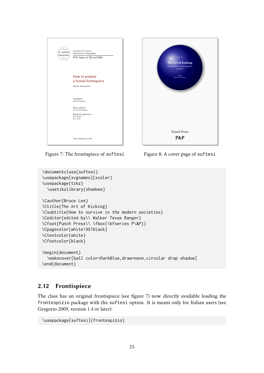

Figure 7: The frontispiece of suftesi



<span id="page-24-1"></span>Figure 8: A cover page of suftesi

```
\documentclass{suftesi}
\usepackage[svgnames]{xcolor}
\usepackage{tikz}
  \usetikzlibrary{shadows}
\Cauthor{Bruce Lee}
\Ctitle{The Art of Kicking}
\Csubtitle{How to survive in the modern societies}
\Ceditor{edited by\\ Walker Texas Ranger}
\Cfoot{Punch Press\\ \fbox{\bfseries P\&P}}
\Cpagecolor{white!90!black}
\Ctextcolor{white}
\Cfootcolor{black}
\begin{document}
  \makecover[ball color=DarkBlue,draw=none,circular drop shadow]
\end{document}
```
# <span id="page-24-0"></span>2.12 Frontispiece

The class has an original frontispiece (see figure [7\)](#page-24-2) now directly available loading the frontespizio package with the suftesi option. It is meant only for Italian users (see [Gregorio 2009,](#page-102-3) version 1.4 or later):

```
\usepackage[suftesi]{frontespizio}
```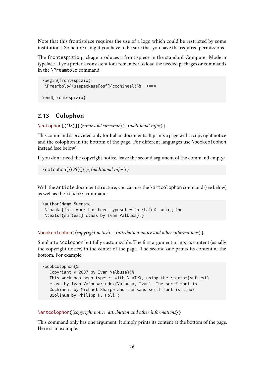Note that this frontispiece requires the use of a logo which could be restricted by some institutions. So before using it you have to be sure that you have the required permissions.

The frontespizio package produces a frontispiece in the standard Computer Modern typeface. If you prefer a consistent font remember to load the needed packages or commands in the \Preambolo command:

```
\begin{frontespizio}
\Preambolo{\usepackage[osf]{cochineal}}% <===
 ...
\end{frontespizio}
```
# <span id="page-25-0"></span>2.13 Colophon

```
\colophon[⟨OS⟩]{⟨name and surname⟩}{⟨additional infos⟩}
```
This command is provided only for Italian documents. It prints a page with a copyright notice and the colophon in the bottom of the page. For different languages use \bookcolophon instead (see below).

If you don't need the copyright notice, leave the second argument of the command empty:

```
\colophon[⟨OS ⟩]{}{⟨additional infos⟩}
```
With the article document structure, you can use the \artcolophon command (see below) as well as the \thanks command:

```
\author{Name Surname
\thanks{This work has been typeset with \LaTeX, using the
\textsf{suftesi} class by Ivan Valbusa}.}
```
\bookcolophon{⟨*copyright notice*⟩}{⟨*attribution notice and other informations*⟩}

Similar to \colophon but fully customizable. The first argument prints its content (usually the copyright notice) in the center of the page. The second one prints its content at the bottom. For example:

```
\bookcolophon{%
  Copyright © 2007 by Ivan Valbusa}{%
  This work has been typeset with \LaTeX, using the \textsf{suftesi}
  class by Ivan Valbusa\index{Valbusa, Ivan}. The serif font is
  Cochineal by Michael Sharpe and the sans serif font is Linux
  Biolinum by Philipp H. Poll.}
```
\artcolophon{⟨*copyright notice, attribution and other informations*⟩}

This command only has one argument. It simply prints its content at the bottom of the page. Here is an example: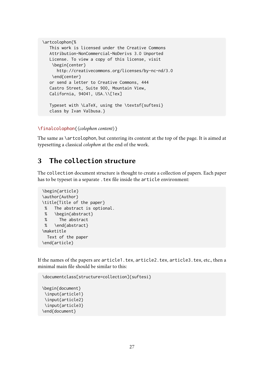```
\artcolophon{%
  This work is licensed under the Creative Commons
  Attribution-NonCommercial-NoDerivs 3.0 Unported
  License. To view a copy of this license, visit
   \begin{center}
     http://creativecommons.org/licenses/by-nc-nd/3.0
   \end{center}
  or send a letter to Creative Commons, 444
  Castro Street, Suite 900, Mountain View,
  California, 94041, USA.\\[1ex]
  Typeset with \LaTeX, using the \textsf{suftesi}
  class by Ivan Valbusa.}
```

```
\finalcolophon{⟨colophon content⟩}
```
The same as \artcolophon, but centering its content at the top of the page. It is aimed at typesetting a classical *colophon* at the end of the work.

# <span id="page-26-0"></span>3 The **collection** structure

The collection document structure is thought to create a collection of papers. Each paper has to be typeset in a separate . tex file inside the article environment:

```
\begin{article}
\author{Author}
\title{Title of the paper}
% The abstract is optional.
% \begin{abstract}
% The abstract
% \end{abstract}
\maketitle
 Text of the paper
\end{article}
```
If the names of the papers are article1.tex, article2.tex, article3.tex, etc., then a minimal main file should be similar to this:

```
\documentclass[structure=collection]{suftesi}
\begin{document}
\input{article1}
\input{article2}
\input{article3}
\end{document}
```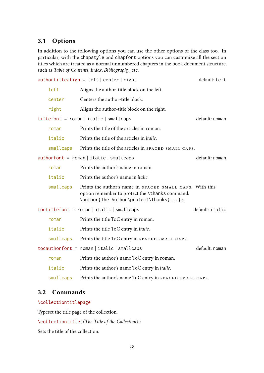# <span id="page-27-0"></span>3.1 Options

In addition to the following options you can use the other options of the class too. In particular, with the chapstyle and chapfont options you can customize all the section titles which are treated as a normal unnumbered chapters in the book document structure, such as *Table of Contents*, *Index*, *Bibliography*, etc.

|           | $author titlealign = left   center   right$                                                                                                          | default: left   |
|-----------|------------------------------------------------------------------------------------------------------------------------------------------------------|-----------------|
| left      | Aligns the author-title block on the left.                                                                                                           |                 |
| center    | Centers the author-title block.                                                                                                                      |                 |
| right     | Aligns the author-title block on the right.                                                                                                          |                 |
|           | $titlefont = roman \mid italic \mid smallest$                                                                                                        | default: roman  |
| roman     | Prints the title of the articles in roman.                                                                                                           |                 |
| italic    | Prints the title of the articles in <i>italic</i> .                                                                                                  |                 |
| smallcaps | Prints the title of the articles in SPACED SMALL CAPS.                                                                                               |                 |
|           | $authorfont = roman \mid italic \mid smallest$                                                                                                       | default: roman  |
| roman     | Prints the author's name in roman.                                                                                                                   |                 |
| italic    | Prints the author's name in <i>italic</i> .                                                                                                          |                 |
| smallcaps | Prints the author's name in SPACED SMALL CAPS. With this<br>option remember to protect the \thanks command:<br>\author{The Author\protect\thanks{}}. |                 |
|           | $totitlefont = roman italic  smallcaps$                                                                                                              | default: italic |
| roman     | Prints the title ToC entry in roman.                                                                                                                 |                 |
| italic    | Prints the title ToC entry in <i>italic</i> .                                                                                                        |                 |
| smallcaps | Prints the title ToC entry in SPACED SMALL CAPS.                                                                                                     |                 |
|           | $tocauthorfont = roman \mid italic \mid smallest$                                                                                                    | default: roman  |
| roman     | Prints the author's name ToC entry in roman.                                                                                                         |                 |
| italic    | Prints the author's name ToC entry in <i>italic</i> .                                                                                                |                 |
| smallcaps | Prints the author's name ToC entry in SPACED SMALL CAPS.                                                                                             |                 |

### <span id="page-27-1"></span>3.2 Commands

#### \collectiontitlepage

Typeset the title page of the collection.

\collectiontitle{⟨*The Title of the Collection*⟩}

Sets the title of the collection.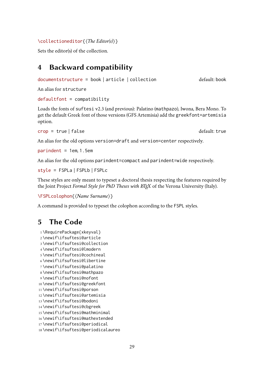\collectioneditor{⟨*The Editor(s)*⟩}

Sets the editor(s) of the collection.

# <span id="page-28-0"></span>4 Backward compatibility

```
documentstructure = book | article | collection default: book
```
An alias for structure

#### $defaultfont = compatibility$

Loads the fonts of suftesi v2.3 (and previous): Palatino (mathpazo), Iwona, Bera Mono. To get the default Greek font of those versions (GFS Artemisia) add the greekfont=artemisia option.

```
crop = true | false default: true
```
An alias for the old options version=draft and version=center respectively.

 $part = 1$ em, 1.5em

An alias for the old options parindent=compact and parindent=wide respectively.

style = FSPLa | FSPLb | FSPLc

These styles are only meant to typeset a doctoral thesis respecting the features required by the Joint Project *Formal Style for PhD Theses with <i>EIFX* of the Verona University (Italy).

```
\FSPLcolophon{⟨Name Surname⟩}
```
A command is provided to typeset the colophon according to the FSPL styles.

# <span id="page-28-1"></span>5 The Code

```
1 \RequirePackage{xkeyval}
2 \newif\ifsuftesi@article
3 \newif\ifsuftesi@collection
4 \newif\ifsuftesi@lmodern
5 \newif\ifsuftesi@cochineal
6 \newif\ifsuftesi@libertine
7 \newif\ifsuftesi@palatino
8 \newif\ifsuftesi@mathpazo
9 \newif\ifsuftesi@nofont
10 \newif\ifsuftesi@greekfont
11 \newif\ifsuftesi@porson
12 \newif\ifsuftesi@artemisia
13 \newif\ifsuftesi@bodoni
14 \newif\ifsuftesi@cbgreek
15 \newif\ifsuftesi@mathminimal
16 \newif\ifsuftesi@mathextended
17 \newif\ifsuftesi@periodical
18 \newif\ifsuftesi@periodicalaureo
```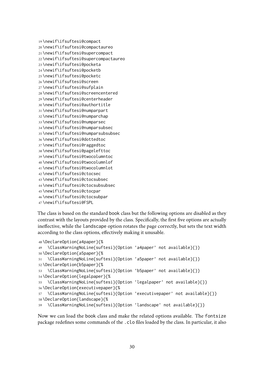```
19 \newif\ifsuftesi@compact
20 \newif\ifsuftesi@compactaureo
21 \newif\ifsuftesi@supercompact
22 \newif\ifsuftesi@supercompactaureo
23 \newif\ifsuftesi@pocketa
24 \newif\ifsuftesi@pocketb
25 \newif\ifsuftesi@pocketc
26 \newif\ifsuftesi@screen
27 \newif\ifsuftesi@sufplain
28 \newif\ifsuftesi@screencentered
29 \newif\ifsuftesi@centerheader
30 \newif\ifsuftesi@authortitle
31 \newif\ifsuftesi@numparpart
32 \newif\ifsuftesi@numparchap
33 \newif\ifsuftesi@numparsec
34 \newif\ifsuftesi@numparsubsec
35 \newif\ifsuftesi@numparsubsubsec
36 \newif\ifsuftesi@dottedtoc
37 \newif\ifsuftesi@raggedtoc
38 \newif\ifsuftesi@pagelefttoc
39 \newif\ifsuftesi@twocolumntoc
40 \newif\ifsuftesi@twocolumnlof
41 \newif\ifsuftesi@twocolumnlot
42 \newif\ifsuftesi@ctocsec
43 \newif\ifsuftesi@ctocsubsec
44 \newif\ifsuftesi@ctocsubsubsec
45 \newif\ifsuftesi@ctocpar
46 \newif\ifsuftesi@ctocsubpar
47 \newif\ifsuftesi@FSPL
```
The class is based on the standard book class but the following options are disabled as they contrast with the layouts provided by the class. Specifically, the first five options are actually ineffective, while the landscape option rotates the page correctly, but sets the text width according to the class options, effectively making it unusable.

```
48 \DeclareOption{a4paper}{%
49 \ClassWarningNoLine{suftesi}{Option 'a4paper' not available}{}}
50 \DeclareOption{a5paper}{%
51 \ClassWarningNoLine{suftesi}{Option 'a5paper' not available}{}}
52 \DeclareOption{b5paper}{%
53 \ClassWarningNoLine{suftesi}{Option 'b5paper' not available}{}}
54 \DeclareOption{legalpaper}{%
55 \ClassWarningNoLine{suftesi}{Option 'legalpaper' not available}{}}
56 \DeclareOption{executivepaper}{%
57 \ClassWarningNoLine{suftesi}{Option 'executivepaper' not available}{}}
58 \DeclareOption{landscape}{%
59 \ClassWarningNoLine{suftesi}{Option 'landscape' not available}{}}
```
Now we can load the book class and make the related options available. The fontsize package redefines some commands of the .clo files loaded by the class. In particular, it also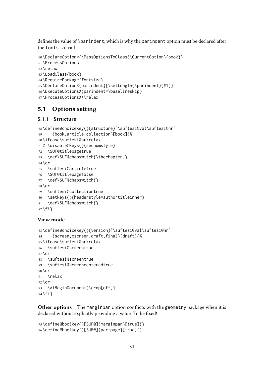defines the value of \parindent, which is why the parindent option must be declared after the fontsize call.

```
60 \DeclareOption*{\PassOptionsToClass{\CurrentOption}{book}}
61 \ProcessOptions
62 \relax
63 \LoadClass{book}
64 \RequirePackage{fontsize}
65 \DeclareOptionX{parindent}{\setlength{\parindent}{#1}}
66 \ExecuteOptionsX{parindent=\baselineskip}
```
\ProcessOptionsX\*\relax

### <span id="page-30-0"></span>5.1 Options setting

#### 5.1.1 Structure

```
68 \define@choicekey{}{structure}[\suftesi@val\suftesi@nr]
69 {book,article,collection}[book]{%
70 \ifcase\suftesi@nr\relax
71 % \disable@keys{}{secnumstyle}
72 \SUF@titlepagetrue
73 \def\SUF@chapswitch{\thechapter.}
74 \or
75 \suftesi@articletrue
76 \SUF@titlepagefalse
77 \def\SUF@chapswitch{}
78 \or
79 \suftesi@collectiontrue
80 \setkeys{}{headerstyle=authortitleinner}
81 \def\SUF@chapswitch{}
82 \fi}
```
#### View mode

```
83 \define@choicekey{}{version}[\suftesi@val\suftesi@nr]
84 {screen,cscreen,draft,final}[draft]{%
85 \ifcase\suftesi@nr\relax
86 \suftesi@screentrue
87 \or
88 \suftesi@screentrue
89 \suftesi@screencenteredtrue
90 \text{lor}91 \relax
92 \or
93 \AtBeginDocument{\crop[off]}
94 \text{ if }
```
Other options The marginpar option conflicts with the geometry package when it is declared without explicitly providing a value. To be fixed!

```
95 \define@boolkey{}[SUF@]{marginpar}[true]{}
96 \define@boolkey{}[SUF@]{partpage}[true]{}
```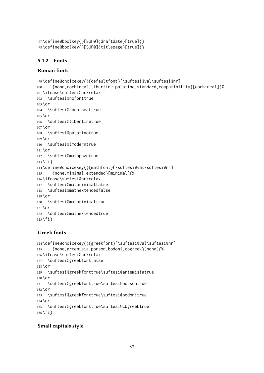```
97 \define@boolkey{}[SUF@]{draftdate}[true]{}
98 \define@boolkey{}[SUF@]{titlepage}[true]{}
```
#### 5.1.2 Fonts

#### Roman fonts

```
99 \define@choicekey{}{defaultfont}[\suftesi@val\suftesi@nr]
100 {none,cochineal,libertine,palatino,standard,compatibility}[cochineal]{%
101 \ifcase\suftesi@nr\relax
102 \suftesi@nofonttrue
103 \or
104 \suftesi@cochinealtrue
105 \text{lor}106 \suftesi@libertinetrue
107 \or
108 \suftesi@palatinotrue
109 \or
110 \suftesi@lmoderntrue
111 \or
112 \suftesi@mathpazotrue
113 \fi}
114 \define@choicekey{}{mathfont}[\suftesi@val\suftesi@nr]
115 {none,minimal,extended}[minimal]{%
116 \ifcase\suftesi@nr\relax
117 \suftesi@mathminimalfalse
118 \suftesi@mathextendedfalse
119 \or
120 \suftesi@mathminimaltrue
121 \or
122 \suftesi@mathextendedtrue
123 \fi}
```
#### Greek fonts

```
124 \define@choicekey{}{greekfont}[\suftesi@val\suftesi@nr]
125 {none,artemisia,porson,bodoni,cbgreek}[none]{%
126 \ifcase\suftesi@nr\relax
127 \suftesi@greekfontfalse
128 \or
129 \suftesi@greekfonttrue\suftesi@artemisiatrue
130 \or
131 \suftesi@greekfonttrue\suftesi@porsontrue
132 \or
133 \suftesi@greekfonttrue\suftesi@bodonitrue
134 \or
135 \suftesi@greekfonttrue\suftesi@cbgreektrue
136 \fi}
```
#### Small capitals style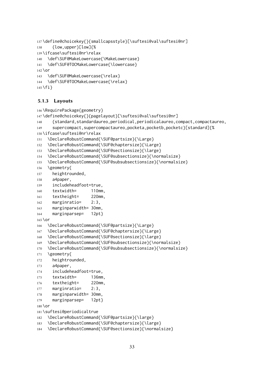```
137 \define@choicekey{}{smallcapsstyle}[\suftesi@val\suftesi@nr]
138 {low,upper}[low]{%
139 \ifcase\suftesi@nr\relax
140 \def\SUF@MakeLowercase{\MakeLowercase}
141 \def\SUF@TOCMakeLowercase{\lowercase}
142 \or
143 \def\SUF@MakeLowercase{\relax}
144 \def\SUF@TOCMakeLowercase{\relax}
145 \fi}
```
#### 5.1.3 Layouts

```
146 \RequirePackage{geometry}
147 \define@choicekey{}{pagelayout}[\suftesi@val\suftesi@nr]
148 {standard,standardaureo,periodical,periodicalaureo,compact,compactaureo,
149 supercompact,supercompactaureo,pocketa,pocketb,pocketc}[standard]{%
150 \ifcase\suftesi@nr\relax
151 \DeclareRobustCommand{\SUF@partsize}{\Large}
152 \DeclareRobustCommand{\SUF@chaptersize}{\Large}
153 \DeclareRobustCommand{\SUF@sectionsize}{\large}
154 \DeclareRobustCommand{\SUF@subsectionsize}{\normalsize}
155 \DeclareRobustCommand{\SUF@subsubsectionsize}{\normalsize}
156 \geometry{
157 heightrounded,
158 a4paper,
159 includeheadfoot=true,
160 textwidth= 110mm,
161 textheight= 220mm,
162 marginratio= 2:3,
163 marginparwidth= 30mm,
164 marginparsep= 12pt}
165 \or
166 \DeclareRobustCommand{\SUF@partsize}{\Large}
167 \DeclareRobustCommand{\SUF@chaptersize}{\Large}
168 \DeclareRobustCommand{\SUF@sectionsize}{\large}
169 \DeclareRobustCommand{\SUF@subsectionsize}{\normalsize}
170 \DeclareRobustCommand{\SUF@subsubsectionsize}{\normalsize}
171 \geometry{
172 heightrounded,
173 a4paper,
174 includeheadfoot=true,
175 textwidth= 136mm,
176 textheight= 220mm,
177 marginratio= 2:3,
178 marginparwidth= 30mm,
179 marginparsep= 12pt}
180 \or
181 \suftesi@periodicaltrue
182 \DeclareRobustCommand{\SUF@partsize}{\large}
183 \DeclareRobustCommand{\SUF@chaptersize}{\large}
184 \DeclareRobustCommand{\SUF@sectionsize}{\normalsize}
```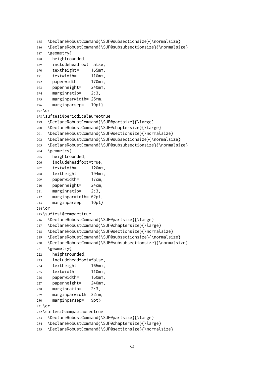```
185 \DeclareRobustCommand{\SUF@subsectionsize}{\normalsize}
186 \DeclareRobustCommand{\SUF@subsubsectionsize}{\normalsize}
187 \geometry{
188 heightrounded,
189 includeheadfoot=false,
190 textheight= 165mm,
191 textwidth= 110mm,
192 paperwidth= 170mm,
193 paperheight= 240mm,
194 marginratio= 2:3,
195 marginparwidth= 26mm,
196 marginparsep= 10pt}
197 \or
198 \suftesi@periodicalaureotrue
199 \DeclareRobustCommand{\SUF@partsize}{\large}
200 \DeclareRobustCommand{\SUF@chaptersize}{\large}
201 \DeclareRobustCommand{\SUF@sectionsize}{\normalsize}
202 \DeclareRobustCommand{\SUF@subsectionsize}{\normalsize}
203 \DeclareRobustCommand{\SUF@subsubsectionsize}{\normalsize}
204 \geometry{
205 heightrounded,
206 includeheadfoot=true,
207 textwidth= 120mm,
208 textheight= 194mm,
209 paperwidth= 17cm,
210 paperheight= 24cm,
211 marginratio= 2:3,
212 marginparwidth= 62pt,
213 marginparsep= 10pt}
214 \or
215 \suftesi@compacttrue
216 \DeclareRobustCommand{\SUF@partsize}{\large}
217 \DeclareRobustCommand{\SUF@chaptersize}{\large}
218 \DeclareRobustCommand{\SUF@sectionsize}{\normalsize}
219 \DeclareRobustCommand{\SUF@subsectionsize}{\normalsize}
220 \DeclareRobustCommand{\SUF@subsubsectionsize}{\normalsize}
221 \geometry{
222 heightrounded,
223 includeheadfoot=false,
224 textheight= 165mm,
225 textwidth= 110mm,
226 paperwidth= 160mm,
227 paperheight= 240mm,
228 marginratio= 2:3,
229 marginparwidth= 22mm,
230 marginparsep= 9pt}
231 \or
232 \suftesi@compactaureotrue
233 \DeclareRobustCommand{\SUF@partsize}{\large}
234 \DeclareRobustCommand{\SUF@chaptersize}{\large}
```

```
235 \DeclareRobustCommand{\SUF@sectionsize}{\normalsize}
```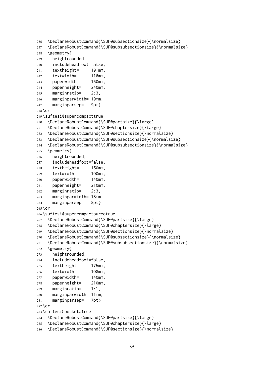```
236 \DeclareRobustCommand{\SUF@subsectionsize}{\normalsize}
237 \DeclareRobustCommand{\SUF@subsubsectionsize}{\normalsize}
238 \geometry{
239 heightrounded,
240 includeheadfoot=false,
241 textheight= 191mm,
242 textwidth= 118mm,
243 paperwidth= 160mm,
244 paperheight= 240mm,
245 marginratio= 2:3,
246 marginparwidth= 19mm,
247 marginparsep= 9pt}
248 \or
249 \suftesi@supercompacttrue
250 \DeclareRobustCommand{\SUF@partsize}{\large}
251 \DeclareRobustCommand{\SUF@chaptersize}{\large}
252 \DeclareRobustCommand{\SUF@sectionsize}{\normalsize}
253 \DeclareRobustCommand{\SUF@subsectionsize}{\normalsize}
254 \DeclareRobustCommand{\SUF@subsubsectionsize}{\normalsize}
255 \geometry{
256 heightrounded,
257 includeheadfoot=false,
258 textheight= 150mm,
259 textwidth= 100mm,
260 paperwidth= 140mm,
261 paperheight= 210mm,
262 marginratio= 2:3,
263 marginparwidth= 18mm,
264 marginparsep= 8pt}
265 \or
266 \suftesi@supercompactaureotrue
267 \DeclareRobustCommand{\SUF@partsize}{\large}
268 \DeclareRobustCommand{\SUF@chaptersize}{\large}
269 \DeclareRobustCommand{\SUF@sectionsize}{\normalsize}
270 \DeclareRobustCommand{\SUF@subsectionsize}{\normalsize}
271 \DeclareRobustCommand{\SUF@subsubsectionsize}{\normalsize}
272 \geometry{
273 heightrounded,
274 includeheadfoot=false,
275 textheight= 175mm,
276 textwidth= 108mm,
277 paperwidth= 140mm,
278 paperheight= 210mm,
279 marginratio= 1:1,
280 marginparwidth= 11mm,
281 marginparsep= 7pt}
282 \or
283 \suftesi@pocketatrue
284 \DeclareRobustCommand{\SUF@partsize}{\large}
285 \DeclareRobustCommand{\SUF@chaptersize}{\large}
```

```
286 \DeclareRobustCommand{\SUF@sectionsize}{\normalsize}
```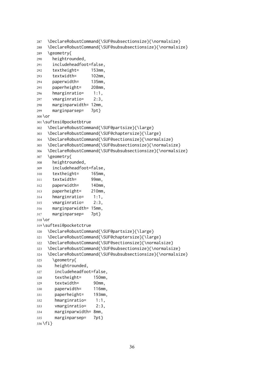```
287 \DeclareRobustCommand{\SUF@subsectionsize}{\normalsize}
288 \DeclareRobustCommand{\SUF@subsubsectionsize}{\normalsize}
289 \geometry{
290 heightrounded,
291 includeheadfoot=false,
292 textheight= 153mm,
293 textwidth= 102mm,
294 paperwidth= 135mm,
295 paperheight= 208mm,
296 hmarginratio= 1:1,
297 vmarginratio= 2:3,
298 marginparwidth= 12mm,
299 marginparsep= 7pt}
300 \or
301 \suftesi@pocketbtrue
302 \DeclareRobustCommand{\SUF@partsize}{\large}
303 \DeclareRobustCommand{\SUF@chaptersize}{\large}
304 \DeclareRobustCommand{\SUF@sectionsize}{\normalsize}
305 \DeclareRobustCommand{\SUF@subsectionsize}{\normalsize}
306 \DeclareRobustCommand{\SUF@subsubsectionsize}{\normalsize}
307 \geometry{
308 heightrounded,
309 includeheadfoot=false,
310 textheight= 165mm,
311 textwidth= 99mm,
312 paperwidth= 140mm,
313 paperheight= 210mm,
314 hmarginratio= 1:1,
315 vmarginratio= 2:3,
316 marginparwidth= 15mm,
317 marginparsep= 7pt}
318 \or
319 \suftesi@pocketctrue
320 \DeclareRobustCommand{\SUF@partsize}{\large}
321 \DeclareRobustCommand{\SUF@chaptersize}{\large}
322 \DeclareRobustCommand{\SUF@sectionsize}{\normalsize}
323 \DeclareRobustCommand{\SUF@subsectionsize}{\normalsize}
324 \DeclareRobustCommand{\SUF@subsubsectionsize}{\normalsize}
325 \geometry{
326 heightrounded,
327 includeheadfoot=false,
328 textheight= 150mm,
329 textwidth= 90mm,
330 paperwidth= 116mm,
331 paperheight= 193mm,
332 hmarginratio= 1:1,
333 vmarginratio= 2:3,
334 marginparwidth= 8mm,
335 marginparsep= 7pt}
336 \fi}
```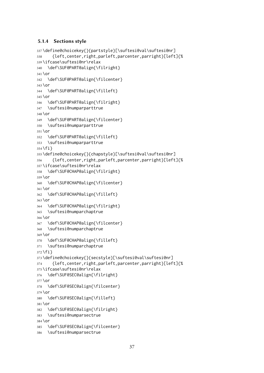## 5.1.4 Sections style

```
337 \define@choicekey{}{partstyle}[\suftesi@val\suftesi@nr]
338 {left,center,right,parleft,parcenter,parright}[left]{%
339 \ifcase\suftesi@nr\relax
340 \def\SUF@PART@align{\filright}
341 \or
342 \def\SUF@PART@align{\filcenter}
343 \or
344 \def\SUF@PART@align{\filleft}
345 \or
346 \def\SUF@PART@align{\filright}
347 \suftesi@numparparttrue
348 \or
349 \def\SUF@PART@align{\filcenter}
350 \suftesi@numparparttrue
351 \text{hr}352 \def\SUF@PART@align{\filleft}
353 \suftesi@numparparttrue
354 \fi}
355 \define@choicekey{}{chapstyle}[\suftesi@val\suftesi@nr]
356 {left,center,right,parleft,parcenter,parright}[left]{%
357 \ifcase\suftesi@nr\relax
358 \def\SUF@CHAP@align{\filright}
359 \or
360 \def\SUF@CHAP@align{\filcenter}
361 \or
362 \def\SUF@CHAP@align{\filleft}
363 \or
364 \def\SUF@CHAP@align{\filright}
365 \suftesi@numparchaptrue
366 \or
367 \def\SUF@CHAP@align{\filcenter}
368 \suftesi@numparchaptrue
369 \or
370 \def\SUF@CHAP@align{\filleft}
371 \suftesi@numparchaptrue
372 \fi}
373 \define@choicekey{}{secstyle}[\suftesi@val\suftesi@nr]
374 {left,center,right,parleft,parcenter,parright}[left]{%
375 \ifcase\suftesi@nr\relax
376 \def\SUF@SEC@align{\filright}
377 \or
378 \def\SUF@SEC@align{\filcenter}
379 \or
380 \def\SUF@SEC@align{\filleft}
381 \or
382 \def\SUF@SEC@align{\filright}
383 \suftesi@numparsectrue
384 \or
385 \def\SUF@SEC@align{\filcenter}
386 \suftesi@numparsectrue
```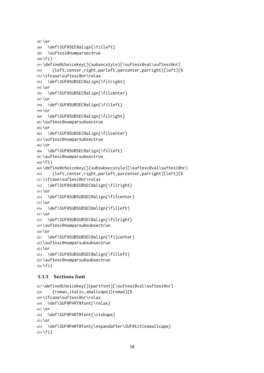```
387 \or
388 \def\SUF@SEC@align{\filleft}
389 \suftesi@numparsectrue
390 \fi}
391 \define@choicekey{}{subsecstyle}[\suftesi@val\suftesi@nr]
392 {left,center,right,parleft,parcenter,parright}[left]{%
393 \ifcase\suftesi@nr\relax
394 \def\SUF@SUBSEC@align{\filright}
395 \or
396 \def\SUF@SUBSEC@align{\filcenter}
397 \or
398 \def\SUF@SUBSEC@align{\filleft}
399 \or
400 \def\SUF@SUBSEC@align{\filright}
401 \suftesi@numparsubsectrue
402 \or
403 \def\SUF@SUBSEC@align{\filcenter}
404 \suftesi@numparsubsectrue
405 \or
406 \def\SUF@SUBSEC@align{\filleft}
407 \suftesi@numparsubsectrue
408 \fi}
409 \define@choicekey{}{subsubsecstyle}[\suftesi@val\suftesi@nr]
410 {left,center,right,parleft,parcenter,parright}[left]{%
411 \ifcase\suftesi@nr\relax
412 \def\SUF@SUBSUBSEC@align{\filright}
413 \or
414 \def\SUF@SUBSUBSEC@align{\filcenter}
415 \or
416 \def\SUF@SUBSUBSEC@align{\filleft}
417 \or
418 \def\SUF@SUBSUBSEC@align{\filright}
419 \suftesi@numparsubsubsectrue
420 \or
421 \def\SUF@SUBSUBSEC@align{\filcenter}
422 \suftesi@numparsubsubsectrue
423 \or
424 \def\SUF@SUBSUBSEC@align{\filleft}
425 \suftesi@numparsubsubsectrue
426 \fi}
```
## 5.1.5 Sections font

```
427 \define@choicekey{}{partfont}[\suftesi@val\suftesi@nr]
428 {roman,italic,smallcaps}[roman]{%
429 \ifcase\suftesi@nr\relax
430 \def\SUF@PART@font{\relax}
431 \or
432 \def\SUF@PART@font{\itshape}
433 \or
434 \def\SUF@PART@font{\expandafter\SUF@titlesmallcaps}
435 \fi}
```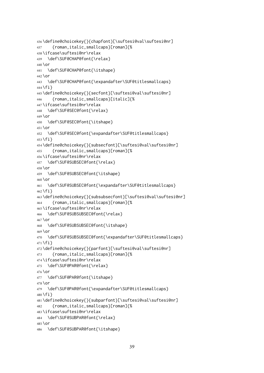```
436 \define@choicekey{}{chapfont}[\suftesi@val\suftesi@nr]
437 {roman,italic,smallcaps}[roman]{%
438 \ifcase\suftesi@nr\relax
439 \def\SUF@CHAP@font{\relax}
440 \or
441 \def\SUF@CHAP@font{\itshape}
442 \or
443 \def\SUF@CHAP@font{\expandafter\SUF@titlesmallcaps}
444 \text{fi}445 \define@choicekey{}{secfont}[\suftesi@val\suftesi@nr]
446 {roman,italic,smallcaps}[italic]{%
447 \ifcase\suftesi@nr\relax
448 \def\SUF@SEC@font{\relax}
449 \or
450 \def\SUF@SEC@font{\itshape}
451 \or
452 \def\SUF@SEC@font{\expandafter\SUF@titlesmallcaps}
453 \fi}
454 \define@choicekey{}{subsecfont}[\suftesi@val\suftesi@nr]
455 {roman,italic,smallcaps}[roman]{%
456 \ifcase\suftesi@nr\relax
457 \def\SUF@SUBSEC@font{\relax}
458 \text{lor}459 \def\SUF@SUBSEC@font{\itshape}
460 \or
461 \def\SUF@SUBSEC@font{\expandafter\SUF@titlesmallcaps}
462 \fi}
463 \define@choicekey{}{subsubsecfont}[\suftesi@val\suftesi@nr]
464 {roman,italic,smallcaps}[roman]{%
465 \ifcase\suftesi@nr\relax
466 \def\SUF@SUBSUBSEC@font{\relax}
467 \or
468 \def\SUF@SUBSUBSEC@font{\itshape}
469 \or
470 \def\SUF@SUBSUBSEC@font{\expandafter\SUF@titlesmallcaps}
471 \fi}
472 \define@choicekey{}{parfont}[\suftesi@val\suftesi@nr]
473 {roman,italic,smallcaps}[roman]{%
474 \ifcase\suftesi@nr\relax
475 \def\SUF@PAR@font{\relax}
476 \or
477 \def\SUF@PAR@font{\itshape}
478 \or
479 \def\SUF@PAR@font{\expandafter\SUF@titlesmallcaps}
480 \fi}
481 \define@choicekey{}{subparfont}[\suftesi@val\suftesi@nr]
482 {roman,italic,smallcaps}[roman]{%
483 \ifcase\suftesi@nr\relax
484 \def\SUF@SUBPAR@font{\relax}
485 \or
486 \def\SUF@SUBPAR@font{\itshape}
```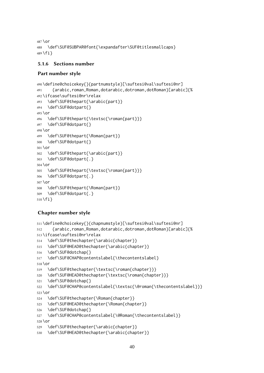\or \def\SUF@SUBPAR@font{\expandafter\SUF@titlesmallcaps} \fi}

## 5.1.6 Sections number

## Part number style

```
490 \define@choicekey{}{partnumstyle}[\suftesi@val\suftesi@nr]
491 {arabic,roman,Roman,dotarabic,dotroman,dotRoman}[arabic]{%
492 \ifcase\suftesi@nr\relax
493 \def\SUF@thepart{\arabic{part}}
494 \def\SUF@dotpart{}
495 \or
496 \def\SUF@thepart{\textsc{\roman{part}}}
497 \def\SUF@dotpart{}
498 \or
499 \def\SUF@thepart{\Roman{part}}
500 \def\SUF@dotpart{}
501 \or
502 \def\SUF@thepart{\arabic{part}}
503 \def\SUF@dotpart{.}
504 \or
505 \def\SUF@thepart{\textsc{\roman{part}}}
506 \def\SUF@dotpart{.}
507 \or
508 \def\SUF@thepart{\Roman{part}}
509 \def\SUF@dotpart{.}
510 \fi}
```
# Chapter number style

```
511 \define@choicekey{}{chapnumstyle}[\suftesi@val\suftesi@nr]
512 {arabic,roman,Roman,dotarabic,dotroman,dotRoman}[arabic]{%
513 \ifcase\suftesi@nr\relax
514 \def\SUF@thechapter{\arabic{chapter}}
515 \def\SUF@HEAD@thechapter{\arabic{chapter}}
516 \def\SUF@dotchap{}
517 \def\SUF@CHAP@contentslabel{\thecontentslabel}
518 \or
519 \def\SUF@thechapter{\textsc{\roman{chapter}}}
520 \def\SUF@HEAD@thechapter{\textsc{\roman{chapter}}}
521 \def\SUF@dotchap{}
522 \def\SUF@CHAP@contentslabel{\textsc{\@roman{\thecontentslabel}}}
523 \or
524 \def\SUF@thechapter{\Roman{chapter}}
525 \def\SUF@HEAD@thechapter{\Roman{chapter}}
526 \def\SUF@dotchap{}
527 \def\SUF@CHAP@contentslabel{\@Roman{\thecontentslabel}}
528 \or
529 \def\SUF@thechapter{\arabic{chapter}}
530 \def\SUF@HEAD@thechapter{\arabic{chapter}}
```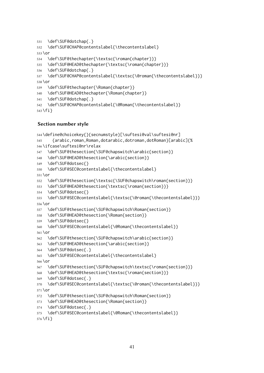```
531 \def\SUF@dotchap{.}
532 \def\SUF@CHAP@contentslabel{\thecontentslabel}
533 \or
534 \def\SUF@thechapter{\textsc{\roman{chapter}}}
535 \def\SUF@HEAD@thechapter{\textsc{\roman{chapter}}}
536 \def\SUF@dotchap{.}
537 \def\SUF@CHAP@contentslabel{\textsc{\@roman{\thecontentslabel}}}
538 \or
539 \def\SUF@thechapter{\Roman{chapter}}
540 \def\SUF@HEAD@thechapter{\Roman{chapter}}
541 \def\SUF@dotchap{.}
542 \def\SUF@CHAP@contentslabel{\@Roman{\thecontentslabel}}
```

```
543 \fi}
```
#### Section number style

```
544 \define@choicekey{}{secnumstyle}[\suftesi@val\suftesi@nr]
545 {arabic,roman,Roman,dotarabic,dotroman,dotRoman}[arabic]{%
546 \ifcase\suftesi@nr\relax
547 \def\SUF@thesection{\SUF@chapswitch\arabic{section}}
548 \def\SUF@HEAD@thesection{\arabic{section}}
549 \def\SUF@dotsec{}
550 \def\SUF@SEC@contentslabel{\thecontentslabel}
551 \or
552 \def\SUF@thesection{\textsc{\SUF@chapswitch\roman{section}}}
553 \def\SUF@HEAD@thesection{\textsc{\roman{section}}}
554 \def\SUF@dotsec{}
555 \def\SUF@SEC@contentslabel{\textsc{\@roman{\thecontentslabel}}}
556 \or
557 \def\SUF@thesection{\SUF@chapswitch\Roman{section}}
558 \def\SUF@HEAD@thesection{\Roman{section}}
559 \def\SUF@dotsec{}
560 \def\SUF@SEC@contentslabel{\@Roman{\thecontentslabel}}
561 \or
562 \def\SUF@thesection{\SUF@chapswitch\arabic{section}}
563 \def\SUF@HEAD@thesection{\arabic{section}}
564 \def\SUF@dotsec{.}
565 \def\SUF@SEC@contentslabel{\thecontentslabel}
566 \or
567 \def\SUF@thesection{\SUF@chapswitch\textsc{\roman{section}}}
568 \def\SUF@HEAD@thesection{\textsc{\roman{section}}}
569 \def\SUF@dotsec{.}
570 \def\SUF@SEC@contentslabel{\textsc{\@roman{\thecontentslabel}}}
571 \or
572 \def\SUF@thesection{\SUF@chapswitch\Roman{section}}
573 \def\SUF@HEAD@thesection{\Roman{section}}
574 \def\SUF@dotsec{.}
575 \def\SUF@SEC@contentslabel{\@Roman{\thecontentslabel}}
```

```
576 \fi}
```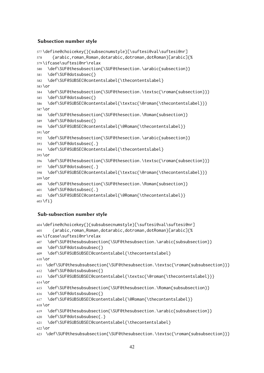# Subsection number style

```
577 \define@choicekey{}{subsecnumstyle}[\suftesi@val\suftesi@nr]
578 {arabic,roman,Roman,dotarabic,dotroman,dotRoman}[arabic]{%
579 \ifcase\suftesi@nr\relax
580 \def\SUF@thesubsection{\SUF@thesection.\arabic{subsection}}
581 \def\SUF@dotsubsec{}
582 \def\SUF@SUBSEC@contentslabel{\thecontentslabel}
583 \or
584 \def\SUF@thesubsection{\SUF@thesection.\textsc{\roman{subsection}}}
585 \def\SUF@dotsubsec{}
586 \def\SUF@SUBSEC@contentslabel{\textsc{\@roman{\thecontentslabel}}}
587 \or
588 \def\SUF@thesubsection{\SUF@thesection.\Roman{subsection}}
589 \def\SUF@dotsubsec{}
590 \def\SUF@SUBSEC@contentslabel{\@Roman{\thecontentslabel}}
591 \text{hr}592 \def\SUF@thesubsection{\SUF@thesection.\arabic{subsection}}
593 \def\SUF@dotsubsec{.}
594 \def\SUF@SUBSEC@contentslabel{\thecontentslabel}
595 \or
596 \def\SUF@thesubsection{\SUF@thesection.\textsc{\roman{subsection}}}
597 \def\SUF@dotsubsec{.}
598 \def\SUF@SUBSEC@contentslabel{\textsc{\@roman{\thecontentslabel}}}
599 \or
600 \def\SUF@thesubsection{\SUF@thesection.\Roman{subsection}}
601 \def\SUF@dotsubsec{.}
602 \def\SUF@SUBSEC@contentslabel{\@Roman{\thecontentslabel}}
603 \fi}
```
# Sub-subsection number style

```
604 \define@choicekey{}{subsubsecnumstyle}[\suftesi@val\suftesi@nr]
605 {arabic,roman,Roman,dotarabic,dotroman,dotRoman}[arabic]{%
606 \ifcase\suftesi@nr\relax
607 \def\SUF@thesubsubsection{\SUF@thesubsection.\arabic{subsubsection}}
608 \def\SUF@dotsubsubsec{}
609 \def\SUF@SUBSUBSEC@contentslabel{\thecontentslabel}
610 \or
611 \def\SUF@thesubsubsection{\SUF@thesubsection.\textsc{\roman{subsubsection}}}
612 \def\SUF@dotsubsubsec{}
613 \def\SUF@SUBSUBSEC@contentslabel{\textsc{\@roman{\thecontentslabel}}}
614 \or
615 \def\SUF@thesubsubsection{\SUF@thesubsection.\Roman{subsubsection}}
616 \def\SUF@dotsubsubsec{}
617 \def\SUF@SUBSUBSEC@contentslabel{\@Roman{\thecontentslabel}}
618 \or
619 \def\SUF@thesubsubsection{\SUF@thesubsection.\arabic{subsubsection}}
620 \def\SUF@dotsubsubsec{.}
621 \def\SUF@SUBSUBSEC@contentslabel{\thecontentslabel}
622 \text{hr}623 \def\SUF@thesubsubsection{\SUF@thesubsection.\textsc{\roman{subsubsection}}}
```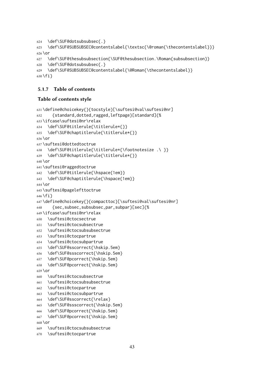```
624 \def\SUF@dotsubsubsec{.}
625 \def\SUF@SUBSUBSEC@contentslabel{\textsc{\@roman{\thecontentslabel}}}
626 \or
627 \def\SUF@thesubsubsection{\SUF@thesubsection.\Roman{subsubsection}}
628 \def\SUF@dotsubsubsec{.}
629 \def\SUF@SUBSUBSEC@contentslabel{\@Roman{\thecontentslabel}}
630 \fi}
```
## 5.1.7 Table of contents

#### Table of contents style

```
631 \define@choicekey{}{tocstyle}[\suftesi@val\suftesi@nr]
632 {standard,dotted,ragged,leftpage}[standard]{%
633 \ifcase\suftesi@nr\relax
634 \def\SUF@titlerule{\titlerule*{}}
635 \def\SUF@chaptitlerule{\titlerule*{}}
636 \or
637 \suftesi@dottedtoctrue
638 \def\SUF@titlerule{\titlerule*{\footnotesize .\ }}
639 \def\SUF@chaptitlerule{\titlerule*{}}
640 \or
641 \suftesi@raggedtoctrue
642 \def\SUF@titlerule{\hspace{1em}}
643 \def\SUF@chaptitlerule{\hspace{1em}}
644 \or
645 \suftesi@pagelefttoctrue
646 \fi}
647 \define@choicekey{}{compacttoc}[\suftesi@val\suftesi@nr]
648 {sec,subsec,subsubsec,par,subpar}[sec]{%
649 \ifcase\suftesi@nr\relax
650 \suftesi@ctocsectrue
651 \suftesi@ctocsubsectrue
652 \suftesi@ctocsubsubsectrue
653 \suftesi@ctocpartrue
654 \suftesi@ctocsubpartrue
655 \def\SUF@sscorrect{\hskip.5em}
656 \def\SUF@ssscorrect{\hskip.5em}
657 \def\SUF@pcorrect{\hskip.5em}
658 \def\SUF@pcorrect{\hskip.5em}
659 \or
660 \suftesi@ctocsubsectrue
661 \suftesi@ctocsubsubsectrue
662 \suftesi@ctocpartrue
663 \suftesi@ctocsubpartrue
664 \def\SUF@sscorrect{\relax}
665 \def\SUF@ssscorrect{\hskip.5em}
666 \def\SUF@pcorrect{\hskip.5em}
667 \def\SUF@pcorrect{\hskip.5em}
668 \or
669 \suftesi@ctocsubsubsectrue
670 \suftesi@ctocpartrue
```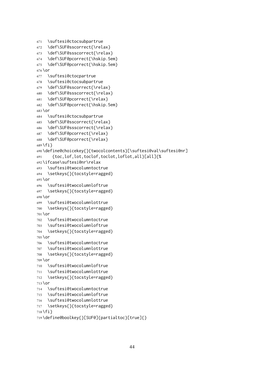```
671 \suftesi@ctocsubpartrue
672 \def\SUF@sscorrect{\relax}
673 \def\SUF@ssscorrect{\relax}
674 \def\SUF@pcorrect{\hskip.5em}
675 \def\SUF@pcorrect{\hskip.5em}
676 \or
677 \suftesi@ctocpartrue
678 \suftesi@ctocsubpartrue
679 \def\SUF@sscorrect{\relax}
680 \def\SUF@ssscorrect{\relax}
681 \def\SUF@pcorrect{\relax}
682 \def\SUF@pcorrect{\hskip.5em}
683 \or
684 \suftesi@ctocsubpartrue
685 \def\SUF@sscorrect{\relax}
686 \def\SUF@ssscorrect{\relax}
687 \def\SUF@pcorrect{\relax}
688 \def\SUF@pcorrect{\relax}
689 \fi}
690 \define@choicekey{}{twocolcontents}[\suftesi@val\suftesi@nr]
691 {toc,lof,lot,toclof,toclot,loflot,all}[all]{%
692 \ifcase\suftesi@nr\relax
693 \suftesi@twocolumntoctrue
694 \setkeys{}{tocstyle=ragged}
695 \or
696 \suftesi@twocolumnloftrue
697 \setkeys{}{tocstyle=ragged}
698 \or
699 \suftesi@twocolumnlottrue
700 \setkeys{}{tocstyle=ragged}
701 \or
702 \suftesi@twocolumntoctrue
703 \suftesi@twocolumnloftrue
704 \setkeys{}{tocstyle=ragged}
705 \or
706 \suftesi@twocolumntoctrue
707 \suftesi@twocolumnlottrue
708 \setkeys{}{tocstyle=ragged}
709 \or
710 \suftesi@twocolumnloftrue
711 \suftesi@twocolumnlottrue
712 \setkeys{}{tocstyle=ragged}
713 \or
714 \suftesi@twocolumntoctrue
715 \suftesi@twocolumnloftrue
716 \suftesi@twocolumnlottrue
717 \setkeys{}{tocstyle=ragged}
718 \fi}
```

```
719 \define@boolkey{}[SUF@]{partialtoc}[true]{}
```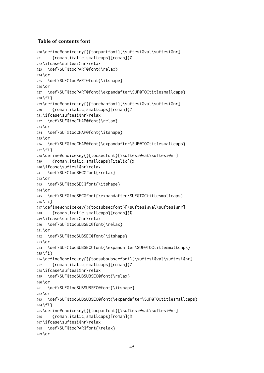## Table of contents font

```
720 \define@choicekey{}{tocpartfont}[\suftesi@val\suftesi@nr]
721 {roman,italic,smallcaps}[roman]{%
722 \ifcase\suftesi@nr\relax
723 \def\SUF@tocPART@font{\relax}
724 \or
725 \def\SUF@tocPART@font{\itshape}
726 \or
727 \def\SUF@tocPART@font{\expandafter\SUF@TOCtitlesmallcaps}
728 \fi}
729 \define@choicekey{}{tocchapfont}[\suftesi@val\suftesi@nr]
730 {roman,italic,smallcaps}[roman]{%
731 \ifcase\suftesi@nr\relax
732 \def\SUF@tocCHAP@font{\relax}
733 \or
734 \def\SUF@tocCHAP@font{\itshape}
735 \or
736 \def\SUF@tocCHAP@font{\expandafter\SUF@TOCtitlesmallcaps}
737 \fi}
738 \define@choicekey{}{tocsecfont}[\suftesi@val\suftesi@nr]
739 {roman,italic,smallcaps}[italic]{%
740 \ifcase\suftesi@nr\relax
741 \def\SUF@tocSEC@font{\relax}
742 \or
743 \def\SUF@tocSEC@font{\itshape}
744 \or
745 \def\SUF@tocSEC@font{\expandafter\SUF@TOCtitlesmallcaps}
746 \fi}
747 \define@choicekey{}{tocsubsecfont}[\suftesi@val\suftesi@nr]
748 {roman,italic,smallcaps}[roman]{%
749 \ifcase\suftesi@nr\relax
750 \def\SUF@tocSUBSEC@font{\relax}
751 \or
752 \def\SUF@tocSUBSEC@font{\itshape}
753 \or
754 \def\SUF@tocSUBSEC@font{\expandafter\SUF@TOCtitlesmallcaps}
755 \fi}
756\define@choicekey{}{tocsubsubsecfont}[\suftesi@val\suftesi@nr]
757 {roman,italic,smallcaps}[roman]{%
758 \ifcase\suftesi@nr\relax
759 \def\SUF@tocSUBSUBSEC@font{\relax}
760 \or
761 \def\SUF@tocSUBSUBSEC@font{\itshape}
762 \or
763 \def\SUF@tocSUBSUBSEC@font{\expandafter\SUF@TOCtitlesmallcaps}
764 \fi}
765 \define@choicekey{}{tocparfont}[\suftesi@val\suftesi@nr]
766 {roman,italic,smallcaps}[roman]{%
767 \ifcase\suftesi@nr\relax
768 \def\SUF@tocPAR@font{\relax}
769 \or
```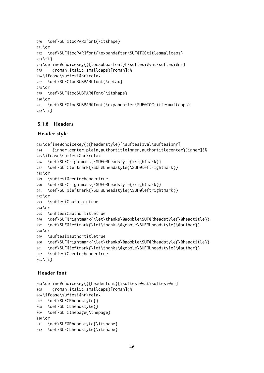```
770 \def\SUF@tocPAR@font{\itshape}
771 \or
772 \def\SUF@tocPAR@font{\expandafter\SUF@TOCtitlesmallcaps}
773 \fi}
774 \define@choicekey{}{tocsubparfont}[\suftesi@val\suftesi@nr]
775 {roman,italic,smallcaps}[roman]{%
776 \ifcase\suftesi@nr\relax
777 \def\SUF@tocSUBPAR@font{\relax}
778 \or
779 \def\SUF@tocSUBPAR@font{\itshape}
780 \or
781 \def\SUF@tocSUBPAR@font{\expandafter\SUF@TOCtitlesmallcaps}
782 \fi}
```
#### 5.1.8 Headers

#### Header style

```
783 \define@choicekey{}{headerstyle}[\suftesi@val\suftesi@nr]
784 {inner,center,plain,authortitleinner,authortitlecenter}[inner]{%
785 \ifcase\suftesi@nr\relax
786 \def\SUF@rightmark{\SUF@Rheadstyle{\rightmark}}
787 \def\SUF@leftmark{\SUF@Lheadstyle{\SUF@leftrightmark}}
788 \or
789 \suftesi@centerheadertrue
790 \def\SUF@rightmark{\SUF@Rheadstyle{\rightmark}}
791 \def\SUF@leftmark{\SUF@Lheadstyle{\SUF@leftrightmark}}
792 \or
793 \suftesi@sufplaintrue
794 \or
795 \suftesi@authortitletrue
796 \def\SUF@rightmark{\let\thanks\@gobble\SUF@Rheadstyle{\@headtitle}}
797 \def\SUF@leftmark{\let\thanks\@gobble\SUF@Lheadstyle{\@author}}
798 \or
799 \suftesi@authortitletrue
800 \def\SUF@rightmark{\let\thanks\@gobble\SUF@Rheadstyle{\@headtitle}}
801 \def\SUF@leftmark{\let\thanks\@gobble\SUF@Lheadstyle{\@author}}
802 \suftesi@centerheadertrue
803 \fi}
```
### Header font

```
804 \define@choicekey{}{headerfont}[\suftesi@val\suftesi@nr]
805 {roman,italic,smallcaps}[roman]{%
806 \ifcase\suftesi@nr\relax
807 \def\SUF@Rheadstyle{}
808 \def\SUF@Lheadstyle{}
809 \def\SUF@thepage{\thepage}
810 \or
811 \def\SUF@Rheadstyle{\itshape}
812 \def\SUF@Lheadstyle{\itshape}
```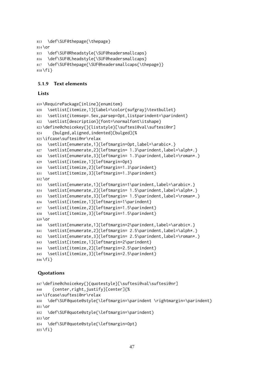```
813 \def\SUF@thepage{\thepage}
814 \or
815 \def\SUF@Rheadstyle{\SUF@headersmallcaps}
816 \def\SUF@Lheadstyle{\SUF@headersmallcaps}
817 \def\SUF@thepage{\SUF@headersmallcaps{\thepage}}
818 \fi}
```
#### 5.1.9 Text elements

#### Lists

```
819 \RequirePackage[inline]{enumitem}
820 \setlist[itemize,1]{label=\color{sufgray}\textbullet}
821 \setlist{itemsep=.5ex,parsep=0pt,listparindent=\parindent}
822 \setlist[description]{font=\normalfont\itshape}
823 \define@choicekey{}{liststyle}[\suftesi@val\suftesi@nr]
824 {bulged,aligned,indented}[bulged]{%
825 \ifcase\suftesi@nr\relax
826 \setlist[enumerate,1]{leftmargin=0pt,label=\arabic*.}
827 \setlist[enumerate,2]{leftmargin= 1.3\parindent,label=\alph*.}
828 \setlist[enumerate,3]{leftmargin= 1.3\parindent,label=\roman*.}
829 \setlist[itemize,1]{leftmargin=0pt}
830 \setlist[itemize,2]{leftmargin=1.3\parindent}
831 \setlist[itemize,3]{leftmargin=1.3\parindent}
832 \or
833 \setlist[enumerate,1]{leftmargin=1\parindent,label=\arabic*.}
834 \setlist[enumerate,2]{leftmargin= 1.5\parindent,label=\alph*.}
835 \setlist[enumerate,3]{leftmargin= 1.5\parindent,label=\roman*.}
836 \setlist[itemize,1]{leftmargin=1\parindent}
837 \setlist[itemize,2]{leftmargin=1.5\parindent}
838 \setlist[itemize,3]{leftmargin=1.5\parindent}
839 \or
840 \setlist[enumerate,1]{leftmargin=2\parindent,label=\arabic*.}
841 \setlist[enumerate,2]{leftmargin= 2.5\parindent,label=\alph*.}
842 \setlist[enumerate,3]{leftmargin= 2.5\parindent,label=\roman*.}
843 \setlist[itemize,1]{leftmargin=2\parindent}
844 \setlist[itemize,2]{leftmargin=2.5\parindent}
845 \setlist[itemize,3]{leftmargin=2.5\parindent}
846 \fi}
```
#### **Quotations**

```
847 \define@choicekey{}{quotestyle}[\suftesi@val\suftesi@nr]
848 {center,right,justify}[center]{%
849 \ifcase\suftesi@nr\relax
850 \def\SUF@quote@style{\leftmargin=\parindent \rightmargin=\parindent}
851 \or
852 \def\SUF@quote@style{\leftmargin=\parindent}
853 \or
854 \def\SUF@quote@style{\leftmargin=0pt}
855 \fi}
```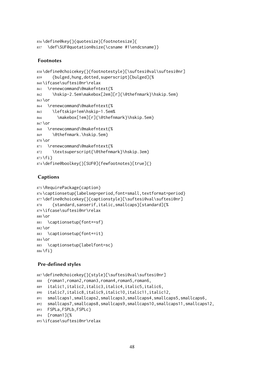```
856 \define@key{}{quotesize}[footnotesize]{
857 \def\SUF@quotation@size{\csname #1\endcsname}}
```
#### Footnotes

```
858 \define@choicekey{}{footnotestyle}[\suftesi@val\suftesi@nr]
859 {bulged,hung,dotted,superscript}[bulged]{%
860 \ifcase\suftesi@nr\relax
861 \renewcommand\@makefntext{%
862 \hskip-2.5em\makebox[2em][r]{\@thefnmark}\hskip.5em}
863 \or
864 \renewcommand\@makefntext{%
865 \leftskip=1em\hskip-1.5em%
866 \makebox[1em][r]{\@thefnmark}\hskip.5em}
867 \or
868 \renewcommand\@makefntext{%
869 \@thefnmark.\hskip.5em}
870 \or
871 \renewcommand\@makefntext{%
872 \textsuperscript{\@thefnmark}\hskip.3em}
873 \fi}
874 \define@boolkey{}[SUF@]{fewfootnotes}[true]{}
```
### Captions

```
875 \RequirePackage{caption}
876 \captionsetup{labelsep=period,font=small,textformat=period}
877 \define@choicekey{}{captionstyle}[\suftesi@val\suftesi@nr]
878 {standard,sanserif,italic,smallcaps}[standard]{%
879 \ifcase\suftesi@nr\relax
880 \or
881 \captionsetup{font+=sf}
882 \or
883 \captionsetup{font+=it}
884 \or
885 \captionsetup{labelfont=sc}
886 \fi}
```
### Pre-defined styles

```
887 \define@choicekey{}{style}[\suftesi@val\suftesi@nr]
888 {roman1,roman2,roman3,roman4,roman5,roman6,
889 italic1,italic2,italic3,italic4,italic5,italic6,
890 italic7,italic8,italic9,italic10,italic11,italic12,
891 smallcaps1,smallcaps2,smallcaps3,smallcaps4,smallcaps5,smallcaps6,
892 smallcaps7,smallcaps8,smallcaps9,smallcaps10,smallcaps11,smallcaps12,
893 FSPLa,FSPLb,FSPLc}
894 [roman1]{%
895 \ifcase\suftesi@nr\relax
```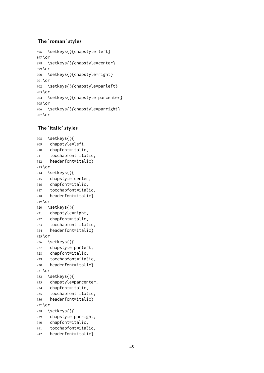### The 'roman' styles

```
896 \setkeys{}{chapstyle=left}
897 \or
898 \setkeys{}{chapstyle=center}
899 \or
900 \setkeys{}{chapstyle=right}
901 \or
902 \setkeys{}{chapstyle=parleft}
903 \or
904 \setkeys{}{chapstyle=parcenter}
905 \or
906 \setkeys{}{chapstyle=parright}
907 \or
```
### The 'italic' styles

```
908 \setkeys{}{
909 chapstyle=left,
910 chapfont=italic,
911 tocchapfont=italic,
912 headerfont=italic}
913 \text{lor}914 \setkeys{}{
915 chapstyle=center,
916 chapfont=italic,
917 tocchapfont=italic,
918 headerfont=italic}
919 \or
920 \setkeys{}{
921 chapstyle=right,
922 chapfont=italic,
923 tocchapfont=italic,
924 headerfont=italic}
925 \text{lor}926 \setkeys{}{
927 chapstyle=parleft,
928 chapfont=italic,
929 tocchapfont=italic,
930 headerfont=italic}
931 \or
932 \setkeys{}{
933 chapstyle=parcenter,
934 chapfont=italic,
935 tocchapfont=italic,
936 headerfont=italic}
937 \or
938 \setkeys{}{
939 chapstyle=parright,
940 chapfont=italic,
941 tocchapfont=italic,
942 headerfont=italic}
```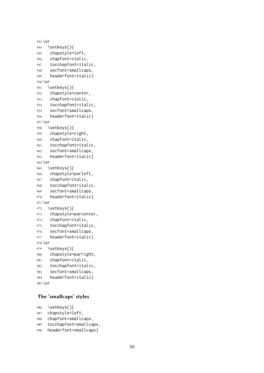```
943 \or
944 \setkeys{}{
945 chapstyle=left,
946 chapfont=italic,
947 tocchapfont=italic,
948 secfont=smallcaps,
949 headerfont=italic}
950 \or
951 \setkeys{}{
952 chapstyle=center,
953 chapfont=italic,
954 tocchapfont=italic,
955 secfont=smallcaps,
956 headerfont=italic}
957 \or
958 \setkeys{}{
959 chapstyle=right,
960 chapfont=italic,
961 tocchapfont=italic,
962 secfont=smallcaps,
963 headerfont=italic}
964 \or
965 \setkeys{}{
966 chapstyle=parleft,
967 chapfont=italic,
968 tocchapfont=italic,
969 secfont=smallcaps,
970 headerfont=italic}
971 \or
972 \setkeys{}{
973 chapstyle=parcenter,
974 chapfont=italic,
975 tocchapfont=italic,
976 secfont=smallcaps,
977 headerfont=italic}
978 \or
979 \setkeys{}{
980 chapstyle=parright,
981 chapfont=italic,
982 tocchapfont=italic,
983 secfont=smallcaps,
984 headerfont=italic}
```

```
985 \or
```
#### The 'smallcaps' styles

```
986 \setkeys{}{
987 chapstyle=left,
988 chapfont=smallcaps,
989 tocchapfont=smallcaps,
990 headerfont=smallcaps}
```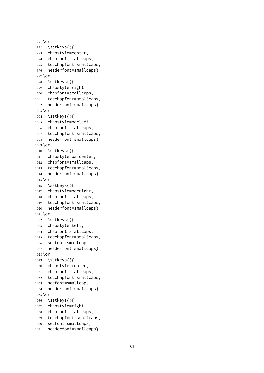```
991 \or
992 \setkeys{}{
993 chapstyle=center,
994 chapfont=smallcaps,
995 tocchapfont=smallcaps,
996 headerfont=smallcaps}
997 \or
998 \setkeys{}{
999 chapstyle=right,
1000 chapfont=smallcaps,
1001 tocchapfont=smallcaps,
1002 headerfont=smallcaps}
1003 \or
1004 \setkeys{}{
1005 chapstyle=parleft,
1006 chapfont=smallcaps,
1007 tocchapfont=smallcaps,
1008 headerfont=smallcaps}
1009 \or
1010 \setkeys{}{
1011 chapstyle=parcenter,
1012 chapfont=smallcaps,
1013 tocchapfont=smallcaps,
1014 headerfont=smallcaps}
1015 \or
1016 \setkeys{}{
1017 chapstyle=parright,
1018 chapfont=smallcaps,
1019 tocchapfont=smallcaps,
1020 headerfont=smallcaps}
1021 \or
1022 \setkeys{}{
1023 chapstyle=left,
1024 chapfont=smallcaps,
1025 tocchapfont=smallcaps,
1026 secfont=smallcaps,
1027 headerfont=smallcaps}
1028 \or
1029 \setkeys{}{
1030 chapstyle=center,
1031 chapfont=smallcaps,
1032 tocchapfont=smallcaps,
1033 secfont=smallcaps,
1034 headerfont=smallcaps}
1035 \or
1036 \setkeys{}{
1037 chapstyle=right,
1038 chapfont=smallcaps,
1039 tocchapfont=smallcaps,
1040 secfont=smallcaps,
1041 headerfont=smallcaps}
```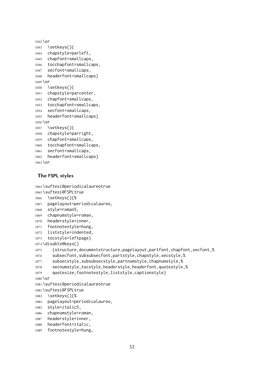```
1042 \or
1043 \setkeys{}{
1044 chapstyle=parleft,
1045 chapfont=smallcaps,
1046 tocchapfont=smallcaps,
1047 secfont=smallcaps,
1048 headerfont=smallcaps}
1049 \or
1050 \setkeys{}{
1051 chapstyle=parcenter,
1052 chapfont=smallcaps,
1053 tocchapfont=smallcaps,
1054 secfont=smallcaps,
1055 headerfont=smallcaps}
1056 \or
1057 \setkeys{}{
1058 chapstyle=parright,
1059 chapfont=smallcaps,
1060 tocchapfont=smallcaps,
1061 secfont=smallcaps,
1062 headerfont=smallcaps}
1063 \or
```
#### The **FSPL** styles

```
1064 \suftesi@periodicalaureotrue
1065 \suftesi@FSPLtrue
1066 \setkeys{}{%
1067 pagelayout=periodicalaureo,
1068 style=roman5,
1069 chapnumstyle=roman,
1070 headerstyle=inner,
1071 footnotestyle=hung,
1072 liststyle=indented,
1073 tocstyle=leftpage}
1074 \disable@keys{}
1075 {structure,documentstructure,pagelayout,partfont,chapfont,secfont,%
1076 subsecfont,subsubsecfont,partstyle,chapstyle,secstyle,%
1077 subsecstyle,subsubsecstyle,partnumstyle,chapnumstyle,%
1078 secnumstyle,tocstyle,headerstyle,headerfont,quotestyle,%
1079 quotesize,footnotestyle,liststyle,captionstyle}
1080 \or
1081 \suftesi@periodicalaureotrue
1082 \suftesi@FSPLtrue
1083 \setkeys{}{%
1084 pagelayout=periodicalaureo,
1085 style=italic5,
1086 chapnumstyle=roman,
1087 headerstyle=inner,
1088 headerfont=italic,
```

```
1089 footnotestyle=hung,
```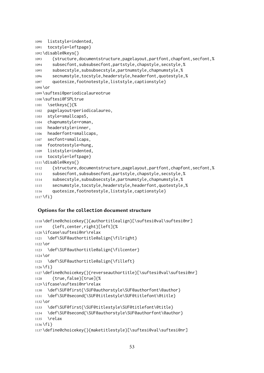```
1090 liststyle=indented,
1091 tocstyle=leftpage}
1092 \disable@keys{}
1093 {structure,documentstructure,pagelayout,partfont,chapfont,secfont,%
1094 subsecfont,subsubsecfont,partstyle,chapstyle,secstyle,%
1095 subsecstyle,subsubsecstyle,partnumstyle,chapnumstyle,%
1096 secnumstyle,tocstyle,headerstyle,headerfont,quotestyle,%
1097 quotesize,footnotestyle,liststyle,captionstyle}
1098 \or
1099 \suftesi@periodicalaureotrue
1100 \suftesi@FSPLtrue
1101 \setkeys{}{%
1102 pagelayout=periodicalaureo,
1103 style=smallcaps5,
1104 chapnumstyle=roman,
1105 headerstyle=inner,
1106 headerfont=smallcaps,
1107 secfont=smallcaps,
1108 footnotestyle=hung,
1109 liststyle=indented,
1110 tocstyle=leftpage}
1111 \disable@keys{}
1112 {structure,documentstructure,pagelayout,partfont,chapfont,secfont,%
1113 subsecfont,subsubsecfont,partstyle,chapstyle,secstyle,%
1114 subsecstyle,subsubsecstyle,partnumstyle,chapnumstyle,%
1115 secnumstyle,tocstyle,headerstyle,headerfont,quotestyle,%
1116 quotesize,footnotestyle,liststyle,captionstyle}
1117 \fi}
```
#### Options for the **collection** document structure

```
1118 \define@choicekey{}{authortitlealign}[\suftesi@val\suftesi@nr]
1119 {left,center,right}[left]{%
1120 \ifcase\suftesi@nr\relax
1121 \def\SUF@authortitle@align{\filright}
1122 \or
1123 \def\SUF@authortitle@align{\filcenter}
1124 \or
1125 \def\SUF@authortitle@align{\filleft}
1126 \fi}
1127 \define@choicekey{}{reverseauthortitle}[\suftesi@val\suftesi@nr]
1128 {true,false}[true]{%
1129 \ifcase\suftesi@nr\relax
1130 \def\SUF@first{\SUF@authorstyle\SUF@authorfont\@author}
1131 \def\SUF@second{\SUF@titlestyle\SUF@titlefont\@title}
1132 \or
1133 \def\SUF@first{\SUF@titlestyle\SUF@titlefont\@title}
1134 \def\SUF@second{\SUF@authorstyle\SUF@authorfont\@author}
1135 \text{Vrelax}1136 \fi}
1137 \define@choicekey{}{maketitlestyle}[\suftesi@val\suftesi@nr]
```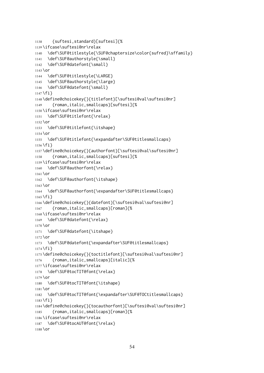```
1138 {suftesi,standard}[suftesi]{%
1139 \ifcase\suftesi@nr\relax
1140 \def\SUF@titlestyle{\SUF@chaptersize\color{sufred}\sffamily}
1141 \def\SUF@authorstyle{\small}
1142 \def\SUF@datefont{\small}
1143 \or
1144 \def\SUF@titlestyle{\LARGE}
1145 \def\SUF@authorstyle{\large}
1146 \def\SUF@datefont{\small}
1147 \fi }
1148 \define@choicekey{}{titlefont}[\suftesi@val\suftesi@nr]
1149 {roman,italic,smallcaps}[suftesi]{%
1150 \ifcase\suftesi@nr\relax
1151 \def\SUF@titlefont{\relax}
1152 \or
1153 \def\SUF@titlefont{\itshape}
1154 \or
1155 \def\SUF@titlefont{\expandafter\SUF@titlesmallcaps}
1156 \fi}
1157 \define@choicekey{}{authorfont}[\suftesi@val\suftesi@nr]
1158 {roman,italic,smallcaps}[suftesi]{%
1159 \ifcase\suftesi@nr\relax
1160 \def\SUF@authorfont{\relax}
1161 \or
1162 \def\SUF@authorfont{\itshape}
1163 \or
1164 \def\SUF@authorfont{\expandafter\SUF@titlesmallcaps}
1165 \fi}
1166 \define@choicekey{}{datefont}[\suftesi@val\suftesi@nr]
1167 {roman,italic,smallcaps}[roman]{%
1168 \ifcase\suftesi@nr\relax
1169 \def\SUF@datefont{\relax}
1170 \or
1171 \def\SUF@datefont{\itshape}
1172 \or
1173 \def\SUF@datefont{\expandafter\SUF@titlesmallcaps}
1174 \fi}
1175 \define@choicekey{}{toctitlefont}[\suftesi@val\suftesi@nr]
1176 {roman,italic,smallcaps}[italic]{%
1177 \ifcase\suftesi@nr\relax
1178 \def\SUF@tocTIT@font{\relax}
1179 \or
1180 \def\SUF@tocTIT@font{\itshape}
1181 \or
1182 \def\SUF@tocTIT@font{\expandafter\SUF@TOCtitlesmallcaps}
1183 \fi}
1184 \define@choicekey{}{tocauthorfont}[\suftesi@val\suftesi@nr]
1185 {roman,italic,smallcaps}[roman]{%
1186 \ifcase\suftesi@nr\relax
1187 \def\SUF@tocAUT@font{\relax}
1188 \or
```

```
54
```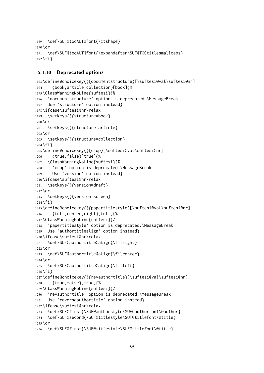```
1189 \def\SUF@tocAUT@font{\itshape}
1190 \or
1191 \def\SUF@tocAUT@font{\expandafter\SUF@TOCtitlesmallcaps}
1192 \fi}
```
#### 5.1.10 Deprecated options

```
1193 \define@choicekey{}{documentstructure}[\suftesi@val\suftesi@nr]
1194 {book,article,collection}[book]{%
1195 \ClassWarningNoLine{suftesi}{%
1196 'documentstructure' option is deprecated.\MessageBreak
1197 Use 'structure' option instead}
1198 \ifcase\suftesi@nr\relax
1199 \setkeys{}{structure=book}
1200 \text{lor}1201 \setkeys{}{structure=article}
1202 \or
1203 \setkeys{}{structure=collection}
1204 \fi }
1205 \define@choicekey{}{crop}[\suftesi@val\suftesi@nr]
1206 {true,false}[true]{%
1207 \ClassWarningNoLine{suftesi}{%
1208 'crop' option is deprecated.\MessageBreak
1209 Use 'version' option instead}
1210 \ifcase\suftesi@nr\relax
1211 \setkeys{}{version=draft}
1212 \or
1213 \setkeys{}{version=screen}
1214 \fi}
1215 \define@choicekey{}{papertitlestyle}[\suftesi@val\suftesi@nr]
1216 {left,center,right}[left]{%
1217 \ClassWarningNoLine{suftesi}{%
1218 'papertitlestyle' option is deprecated.\MessageBreak
1219 Use 'authortitlealign' option instead}
1220 \ifcase\suftesi@nr\relax
1221 \def\SUF@authortitle@align{\filright}
1222 \or
1223 \def\SUF@authortitle@align{\filcenter}
1224 \or
1225 \def\SUF@authortitle@align{\filleft}
1226 \fi}
1227 \define@choicekey{}{revauthortitle}[\suftesi@val\suftesi@nr]
1228 {true,false}[true]{%
1229 \ClassWarningNoLine{suftesi}{%
1230 'revauthortitle' option is deprecated.\MessageBreak
1231 Use 'reverseauthortitle' option instead}
1232 \ifcase\suftesi@nr\relax
1233 \def\SUF@first{\SUF@authorstyle\SUF@authorfont\@author}
1234 \def\SUF@second{\SUF@titlestyle\SUF@titlefont\@title}
1235 \or
1236 \def\SUF@first{\SUF@titlestyle\SUF@titlefont\@title}
```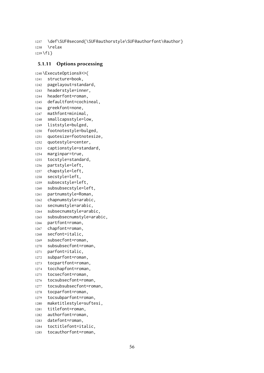```
1237 \def\SUF@second{\SUF@authorstyle\SUF@authorfont\@author}
1238 \relax
1239 \fi}
```
## 5.1.11 Options processing

```
1240 \ExecuteOptionsX<>{
1241 structure=book,
1242 pagelayout=standard,
1243 headerstyle=inner,
1244 headerfont=roman,
1245 defaultfont=cochineal,
1246 greekfont=none,
1247 mathfont=minimal,
1248 smallcapsstyle=low,
1249 liststyle=bulged,
1250 footnotestyle=bulged,
1251 quotesize=footnotesize,
1252 quotestyle=center,
1253 captionstyle=standard,
1254 marginpar=true,
1255 tocstyle=standard,
1256 partstyle=left,
1257 chapstyle=left,
1258 secstyle=left,
1259 subsecstyle=left,
1260 subsubsecstyle=left,
1261 partnumstyle=Roman,
1262 chapnumstyle=arabic,
1263 secnumstyle=arabic,
1264 subsecnumstyle=arabic,
1265 subsubsecnumstyle=arabic,
1266 partfont=roman,
1267 chapfont=roman,
1268 secfont=italic,
1269 subsecfont=roman,
1270 subsubsecfont=roman,
1271 parfont=italic,
1272 subparfont=roman,
1273 tocpartfont=roman,
1274 tocchapfont=roman,
1275 tocsecfont=roman,
1276 tocsubsecfont=roman,
1277 tocsubsubsecfont=roman,
1278 tocparfont=roman,
1279 tocsubparfont=roman,
1280 maketitlestyle=suftesi,
1281 titlefont=roman,
1282 authorfont=roman,
1283 datefont=roman,
1284 toctitlefont=italic,
1285 tocauthorfont=roman,
```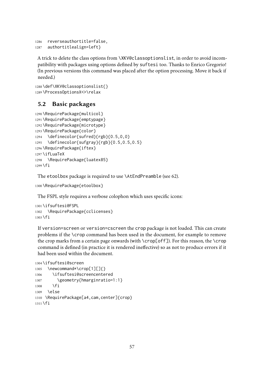```
1286 reverseauthortitle=false,
1287 authortitlealign=left}
```
A trick to delete the class options from \XKV@classoptionslist, in order to avoid incompatibility with packages using options defined by suftesi too. Thanks to Enrico Gregorio! (In previous versions this command was placed after the option processing. Move it back if needed.)

```
1288 \def\XKV@classoptionslist{}
1289 \ProcessOptionsX<>\relax
```
# 5.2 Basic packages

```
1290 \RequirePackage{multicol}
1291 \RequirePackage{emptypage}
1292 \RequirePackage{microtype}
1293 \RequirePackage{color}
1294 \definecolor{sufred}{rgb}{0.5,0,0}
1295 \definecolor{sufgray}{rgb}{0.5,0.5,0.5}
1296 \RequirePackage{iftex}
1297 \ifLuaTeX
1298 \RequirePackage{luatex85}
1299 \fi
```
The etoolbox package is required to use \AtEndPreamble (see [62\)](#page-57-0).

\RequirePackage{etoolbox}

The FSPL style requires a verbose colophon which uses specific icons:

```
1301 \ifsuftesi@FSPL
1302 \RequirePackage{cclicenses}
1303 \fi
```
If version=screen or version=cscreen the crop package is not loaded. This can create problems if the \crop command has been used in the document, for example to remove the crop marks from a certain page onwards (with  $\c{c}$ ). For this reason, the  $\c{c}$ command is defined (in practice it is rendered ineffective) so as not to produce errors if it had been used within the document.

```
1304 \ifsuftesi@screen
1305 \newcommand*\crop[1][]{}
1306 \ifsuftesi@screencentered
1307 \geometry{hmarginratio=1:1}
1308 \fi
1309 \else
1310 \RequirePackage[a4,cam,center]{crop}
1311 \fi
```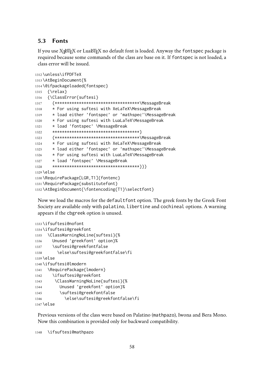# <span id="page-57-0"></span>5.3 Fonts

If you use  $\chi$   $\beta$ F<sub>E</sub>X or Lua $\beta$ F<sub>E</sub>X no default font is loaded. Anyway the <code>fontspec</code> package is required because some commands of the class are base on it. If fontspec is not loaded, a class error will be issued.

```
1312 \unless\ifPDFTeX
1313 \AtBeginDocument{%
1314 \@ifpackageloaded{fontspec}
1315 {\relax}
1316 {\ClassError{suftesi}
1317 {***********************************\MessageBreak
1318 * For using suftesi with XeLaTeX\MessageBreak
1319 * load either 'fontspec' or 'mathspec'\MessageBreak
1320 * For using suftesi with LuaLaTeX\MessageBreak
1321 * load 'fontspec' \MessageBreak
1322 ************************************}
1323 {***********************************\MessageBreak
1324 * For using suftesi with XeLaTeX\MessageBreak
1325 * load either 'fontspec' or 'mathspec'\MessageBreak
1326 * For using suftesi with LuaLaTeX\MessageBreak
1327 * load 'fontspec' \MessageBreak
1328 ************************************}}}
1329 \else
1330 \RequirePackage[LGR,T1]{fontenc}
1331 \RequirePackage{substitutefont}
1332 \AtBeginDocument{\fontencoding{T1}\selectfont}
```
Now we load the macros for the defaultfont option. The greek fonts by the Greek Font Society are available only with palatino, libertine and cochineal options. A warning appears if the cbgreek option is unused.

```
1333 \ifsuftesi@nofont
1334 \ifsuftesi@greekfont
1335 \ClassWarningNoLine{suftesi}{%
1336 Unused 'greekfont' option}%
1337 \suftesi@greekfontfalse
1338 \else\suftesi@greekfontfalse\fi
1339 \else
1340 \ifsuftesi@lmodern
1341 \RequirePackage{lmodern}
1342 \ifsuftesi@greekfont
1343 \ClassWarningNoLine{suftesi}{%
1344 Unused 'greekfont' option}%
1345 \suftesi@greekfontfalse
1346 \else\suftesi@greekfontfalse\fi
1347 \else
```
Previous versions of the class were based on Palatino (mathpazo), Iwona and Bera Mono. Now this combination is provided only for backward compatibility.

\ifsuftesi@mathpazo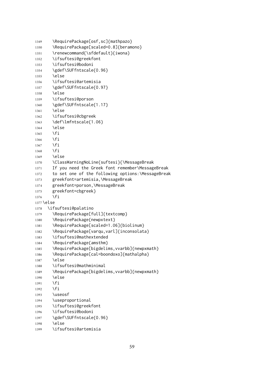```
1349 \RequirePackage[osf,sc]{mathpazo}
1350 \RequirePackage[scaled=0.8]{beramono}
1351 \renewcommand{\sfdefault}{iwona}
1352 \ifsuftesi@greekfont
1353 \ifsuftesi@bodoni
1354 \gdef\SUFfntscale{0.96}
1355 \else
1356 \ifsuftesi@artemisia
1357 \gdef\SUFfntscale{0.97}
1358 \else
1359 \ifsuftesi@porson
1360 \gdef\SUFfntscale{1.17}
1361 \else
1362 \ifsuftesi@cbgreek
1363 \def\lmfntscale{1.06}
1364 \else
1365 \fi
1366 \fi
1367 \fi
1368 \fi
1369 \else
1370 \ClassWarningNoLine{suftesi}{\MessageBreak
1371 If you need the Greek font remember\MessageBreak
1372 to set one of the following options:\MessageBreak
1373 greekfont=artemisia,\MessageBreak
1374 greekfont=porson,\MessageBreak
1375 greekfont=cbgreek}
1376 \fi
1377 \else
1378 \ifsuftesi@palatino
1379 \RequirePackage[full]{textcomp}
1380 \RequirePackage{newpxtext}
1381 \RequirePackage[scaled=1.06]{biolinum}
1382 \RequirePackage[varqu,varl]{inconsolata}
1383 \ifsuftesi@mathextended
1384 \RequirePackage{amsthm}
1385 \RequirePackage[bigdelims, vvarbb]{newpxmath}
1386 \RequirePackage[cal=boondoxo]{mathalpha}
1387 \else
1388 \ifsuftesi@mathminimal
1389 \RequirePackage[bigdelims, vvarbb]{newpxmath}
1390 \else
1391 \fi
1392 \fi
1393 \useosf
1394 \useproportional
1395 \ifsuftesi@greekfont
1396 \ifsuftesi@bodoni
1397 \gdef\SUFfntscale{0.96}
1398 \else
1399 \ifsuftesi@artemisia
```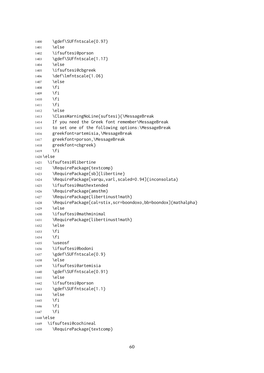```
1400 \gdef\SUFfntscale{0.97}
1401 \else
1402 \ifsuftesi@porson
1403 \gdef\SUFfntscale{1.17}
1404 \else
1405 \ifsuftesi@cbgreek
1406 \def\lmfntscale{1.06}
1407 \else
1408 \fi
1409 \fi
1410 \fi
1411 \fi
1412 \else
1413 \ClassWarningNoLine{suftesi}{\MessageBreak
1414 If you need the Greek font remember\MessageBreak
1415 to set one of the following options:\MessageBreak
1416 greekfont=artemisia,\MessageBreak
1417 greekfont=porson,\MessageBreak
1418 greekfont=cbgreek}
1419 \fi
1420 \else
1421 \ifsuftesi@libertine
1422 \RequirePackage{textcomp}
1423 \RequirePackage[sb]{libertine}
1424 \RequirePackage[varqu,varl,scaled=0.94]{inconsolata}
1425 \ifsuftesi@mathextended
1426 \RequirePackage{amsthm}
1427 \RequirePackage{libertinust1math}
1428 \RequirePackage[cal=stix,scr=boondoxo,bb=boondox]{mathalpha}
1429 \else
1430 \ifsuftesi@mathminimal
1431 \RequirePackage{libertinust1math}
1432 \else
1433 \fi
1434 \fi
1435 \useosf
1436 \ifsuftesi@bodoni
1437 \gdef\SUFfntscale{0.9}
1438 \else
1439 \ifsuftesi@artemisia
1440 \gdef\SUFfntscale{0.91}
1441 \else
1442 \ifsuftesi@porson
1443 \gdef\SUFfntscale{1.1}
1444 \else
1445 \fi
1446 \fi
1447 \fi
1448 \else
1449 \ifsuftesi@cochineal
1450 \RequirePackage{textcomp}
```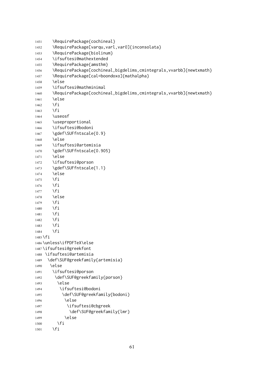```
1451 \RequirePackage{cochineal}
1452 \RequirePackage[varqu,varl,var0]{inconsolata}
1453 \RequirePackage{biolinum}
1454 \ifsuftesi@mathextended
1455 \RequirePackage{amsthm}
1456 \RequirePackage[cochineal,bigdelims,cmintegrals,vvarbb]{newtxmath}
1457 \RequirePackage[cal=boondoxo]{mathalpha}
1458 \else
1459 \ifsuftesi@mathminimal
1460 \RequirePackage[cochineal,bigdelims,cmintegrals,vvarbb]{newtxmath}
1461 \else
1462 \fi
1463 \fi
1464 \useosf
1465 \useproportional
1466 \ifsuftesi@bodoni
1467 \gdef\SUFfntscale{0.9}
1468 \else
1469 \ifsuftesi@artemisia
1470 \gdef\SUFfntscale{0.905}
1471 \else
1472 \ifsuftesi@porson
1473 \gdef\SUFfntscale{1.1}
1474 \else
1475 \fi
1476 \fi
1477 \fi
1478 \else
1479 \fi
1480 \fi
1481 \fi
1482 \fi
1483 \fi
1484 \fi
1485 \fi
1486 \unless\ifPDFTeX\else
1487 \ifsuftesi@greekfont
1488 \ifsuftesi@artemisia
1489 \def\SUF@greekfamily{artemisia}
1490 \else
1491 \ifsuftesi@porson
1492 \def\SUF@greekfamily{porson}
1493 \else
1494 \ifsuftesi@bodoni
1495 \def\SUF@greekfamily{bodoni}
1496 \else
1497 \ifsuftesi@cbgreek
1498 \def\SUF@greekfamily{lmr}
1499 \else
1500 \quad \text{If}
```

```
1501 \fi
```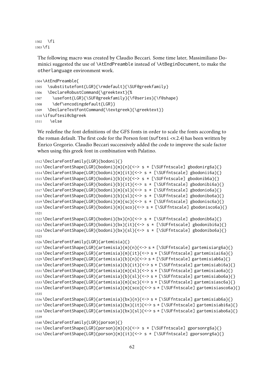```
1502 \fi
1503 \fi
```
The following macro was created by Claudio Beccari. Some time later, Massimiliano Dominici suggested the use of \AtEndPreamble instead of \AtBeginDocument, to make the otherlanguage environment work.

```
1504 \AtEndPreamble{
1505 \substitutefont{LGR}{\rmdefault}{\SUF@greekfamily}
1506 \DeclareRobustCommand{\greektext}{%
1507 \usefont{LGR}{\SUF@greekfamily}{\f@series}{\f@shape}
1508 \def\encodingdefault{LGR}}
1509 \DeclareTextFontCommand{\textgreek}{\greektext}}
1510 \ifsuftesi@cbgreek
1511 \else
```
We redefine the font definitions of the GFS fonts in order to scale the fonts according to the roman default. The first code for the Porson font (suftesi <v.2.4) has been written by Enrico Gregorio. Claudio Beccari successively added the code to improve the scale factor when using this greek font in combination with Palatino.

```
1512 \DeclareFontFamily{LGR}{bodoni}{}
1513 \DeclareFontShape{LGR}{bodoni}{m}{n}{<-> s * [\SUFfntscale] gbodonirg6a}{}
1514 \DeclareFontShape{LGR}{bodoni}{m}{it}{<-> s * [\SUFfntscale] gbodonii6a}{}
1515 \DeclareFontShape{LGR}{bodoni}{b}{n}{<-> s * [\SUFfntscale] gbodonib6a}{}
1516 \DeclareFontShape{LGR}{bodoni}{b}{it}{<-> s * [\SUFfntscale] gbodonibi6a}{}
1517 \DeclareFontShape{LGR}{bodoni}{m}{sl}{<-> s * [\SUFfntscale] gbodonio6a}{}
1518 \DeclareFontShape{LGR}{bodoni}{b}{sl}{<-> s * [\SUFfntscale] gbodonibo6a}{}
1519 \DeclareFontShape{LGR}{bodoni}{m}{sc}{<-> s * [\SUFfntscale] gbodonisc6a}{}
1520 \DeclareFontShape{LGR}{bodoni}{m}{sco}{<-> s * [\SUFfntscale] gbodonisco6a}{}
1521
1522 \DeclareFontShape{LGR}{bodoni}{bx}{n}{<-> s * [\SUFfntscale] gbodonib6a}{}
1523 \DeclareFontShape{LGR}{bodoni}{bx}{it}{<-> s * [\SUFfntscale] gbodonibi6a}{}
1524 \DeclareFontShape{LGR}{bodoni}{bx}{sl}{<-> s * [\SUFfntscale] gbodonibo6a}{}
1525
1526 \DeclareFontFamily{LGR}{artemisia}{}
1527 \DeclareFontShape{LGR}{artemisia}{m}{n}{<-> s * [\SUFfntscale] gartemisiarg6a}{}
1528 \DeclareFontShape{LGR}{artemisia}{m}{it}{<-> s * [\SUFfntscale] gartemisiai6a}{}
1529 \DeclareFontShape{LGR}{artemisia}{b}{n}{<-> s * [\SUFfntscale] gartemisiab6a}{}
1530 \DeclareFontShape{LGR}{artemisia}{b}{it}{<-> s * [\SUFfntscale] gartemisiabi6a}{}
1531 \DeclareFontShape{LGR}{artemisia}{m}{sl}{<-> s * [\SUFfntscale] gartemisiao6a}{}
1532 \DeclareFontShape{LGR}{artemisia}{b}{sl}{<-> s * [\SUFfntscale] gartemisiabo6a}{}
1533 \DeclareFontShape{LGR}{artemisia}{m}{sc}{<-> s * [\SUFfntscale] gartemisiasc6a}{}
1534 \DeclareFontShape{LGR}{artemisia}{m}{sco}{<-> s * [\SUFfntscale] gartemisiasco6a}{}
1535
1536 \DeclareFontShape{LGR}{artemisia}{bx}{n}{<-> s * [\SUFfntscale] gartemisiab6a}{}
1537 \DeclareFontShape{LGR}{artemisia}{bx}{it}{<-> s * [\SUFfntscale] gartemisiabi6a}{}
1538 \DeclareFontShape{LGR}{artemisia}{bx}{sl}{<-> s * [\SUFfntscale] gartemisiabo6a}{}
1539
1540 \DeclareFontFamily{LGR}{porson}{}
1541 \DeclareFontShape{LGR}{porson}{m}{n}{<-> s * [\SUFfntscale] gporsonrg6a}{}
1542 \DeclareFontShape{LGR}{porson}{m}{it}{<-> s * [\SUFfntscale] gporsonrg6a}{}
```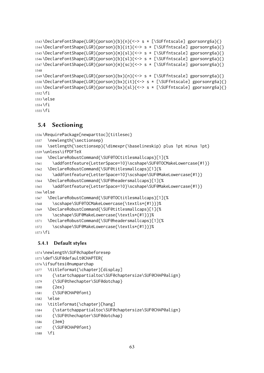```
1543 \DeclareFontShape{LGR}{porson}{b}{n}{<-> s * [\SUFfntscale] gporsonrg6a}{}
1544 \DeclareFontShape{LGR}{porson}{b}{it}{<-> s * [\SUFfntscale] gporsonrg6a}{}
1545 \DeclareFontShape{LGR}{porson}{m}{sl}{<-> s * [\SUFfntscale] gporsonrg6a}{}
1546 \DeclareFontShape{LGR}{porson}{b}{sl}{<-> s * [\SUFfntscale] gporsonrg6a}{}
1547 \DeclareFontShape{LGR}{porson}{m}{sc}{<-> s * [\SUFfntscale] gporsonrg6a}{}
1548
1549 \DeclareFontShape{LGR}{porson}{bx}{n}{<-> s * [\SUFfntscale] gporsonrg6a}{}
1550 \DeclareFontShape{LGR}{porson}{bx}{it}{<-> s * [\SUFfntscale] gporsonrg6a}{}
1551 \DeclareFontShape{LGR}{porson}{bx}{sl}{<-> s * [\SUFfntscale] gporsonrg6a}{}
1552 \fi
1553 \else
1554 \fi
```

```
1555 \fi
```
# 5.4 Sectioning

```
1556 \RequirePackage[newparttoc]{titlesec}
```

```
1557 \newlength{\sectionsep}
```

```
1558 \setlength{\sectionsep}{\dimexpr(\baselineskip) plus 1pt minus 1pt}
1559 \unless\ifPDFTeX
```

```
1560 \DeclareRobustCommand{\SUF@TOCtitlesmallcaps}[1]{%
```

```
1561 \addfontfeature{LetterSpace=10}\scshape\SUF@TOCMakeLowercase{#1}}
```

```
1562 \DeclareRobustCommand{\SUF@titlesmallcaps}[1]{%
```

```
1563 \addfontfeature{LetterSpace=10}\scshape\SUF@MakeLowercase{#1}}
```

```
1564 \DeclareRobustCommand{\SUF@headersmallcaps}[1]{%
```

```
1565 \addfontfeature{LetterSpace=10}\scshape\SUF@MakeLowercase{#1}}
1566 \else
```

```
1567 \DeclareRobustCommand{\SUF@TOCtitlesmallcaps}[1]{%
```

```
1568 \scshape\SUF@TOCMakeLowercase{\textls*{#1}}}%
```

```
1569 \DeclareRobustCommand{\SUF@titlesmallcaps}[1]{%
```

```
1570 \scshape\SUF@MakeLowercase{\textls*{#1}}}%
```

```
1571 \DeclareRobustCommand{\SUF@headersmallcaps}[1]{%
```

```
1572 \scshape\SUF@MakeLowercase{\textls*{#1}}}%
```

```
1573 \fi
```
# 5.4.1 Default styles

```
1574 \newlength\SUF@chapbeforesep
1575 \def\SUF@default@CHAPTER{
1576 \ifsuftesi@numparchap
1577 \titleformat{\chapter}[display]
1578 {\startchappartialtoc\SUF@chaptersize\SUF@CHAP@align}
1579 {\SUF@thechapter\SUF@dotchap}
1580 {2ex}
1581 {\SUF@CHAP@font}
1582 \else
1583 \titleformat{\chapter}[hang]
1584 {\startchappartialtoc\SUF@chaptersize\SUF@CHAP@align}
1585 {\SUF@thechapter\SUF@dotchap}
1586 {3em}
1587 {\SUF@CHAP@font}
```

```
1588 \fi
```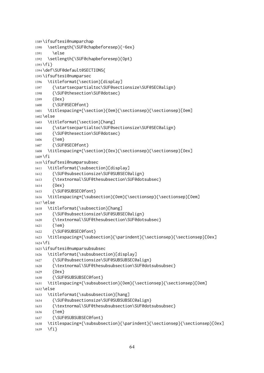```
1589 \ifsuftesi@numparchap
1590 \setlength{\SUF@chapbeforesep}{-6ex}
1591 \else
1592 \setlength{\SUF@chapbeforesep}{0pt}
1593 \fi}
1594 \def\SUF@default@SECTIONS{
1595 \ifsuftesi@numparsec
1596 \titleformat{\section}[display]
1597 {\startsecpartialtoc\SUF@sectionsize\SUF@SEC@align}
1598 {\SUF@thesection\SUF@dotsec}
1599 {0ex}
1600 {\SUF@SEC@font}
1601 \titlespacing*{\section}{0em}{\sectionsep}{\sectionsep}[0em]
1602 \else
1603 \titleformat{\section}[hang]
1604 {\startsecpartialtoc\SUF@sectionsize\SUF@SEC@align}
1605 {\SUF@thesection\SUF@dotsec}
1606 {1em}
1607 {\SUF@SEC@font}
1608 \titlespacing*{\section}{0ex}{\sectionsep}{\sectionsep}[0ex]
1609 \fi
1610 \ifsuftesi@numparsubsec
1611 \titleformat{\subsection}[display]
1612 {\SUF@subsectionsize\SUF@SUBSEC@align}
1613 {\textnormal\SUF@thesubsection\SUF@dotsubsec}
1614 {0ex}
1615 {\SUF@SUBSEC@font}
1616 \titlespacing*{\subsection}{0em}{\sectionsep}{\sectionsep}[0em]
1617 \else
1618 \titleformat{\subsection}[hang]
1619 {\SUF@subsectionsize\SUF@SUBSEC@align}
1620 {\textnormal\SUF@thesubsection\SUF@dotsubsec}
1621 {1em}
1622 {\SUF@SUBSEC@font}
1623 \titlespacing*{\subsection}{\parindent}{\sectionsep}{\sectionsep}[0ex]
1624 \fi
1625 \ifsuftesi@numparsubsubsec
1626 \titleformat{\subsubsection}[display]
1627 {\SUF@subsectionsize\SUF@SUBSUBSEC@align}
1628 {\textnormal\SUF@thesubsubsection\SUF@dotsubsubsec}
1629 {0ex}
1630 {\SUF@SUBSUBSEC@font}
1631 \titlespacing*{\subsubsection}{0em}{\sectionsep}{\sectionsep}[0em]
1632 \else
1633 \titleformat{\subsubsection}[hang]
1634 {\SUF@subsectionsize\SUF@SUBSUBSEC@align}
1635 {\textnormal\SUF@thesubsubsection\SUF@dotsubsubsec}
1636 {1em}
1637 {\SUF@SUBSUBSEC@font}
1638 \titlespacing*{\subsubsection}{\parindent}{\sectionsep}{\sectionsep}[0ex]
1639 \fi}
```

```
64
```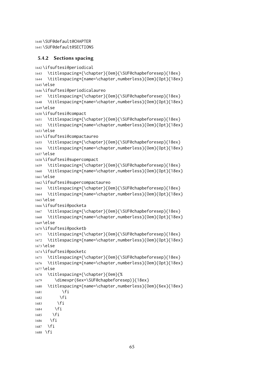```
1640 \SUF@default@CHAPTER
1641 \SUF@default@SECTIONS
```
#### 5.4.2 Sections spacing

```
1642 \ifsuftesi@periodical
1643 \titlespacing*{\chapter}{0em}{\SUF@chapbeforesep}{18ex}
1644 \titlespacing*{name=\chapter,numberless}{0em}{0pt}{18ex}
1645 \else
1646 \ifsuftesi@periodicalaureo
1647 \titlespacing*{\chapter}{0em}{\SUF@chapbeforesep}{18ex}
1648 \titlespacing*{name=\chapter,numberless}{0em}{0pt}{18ex}
1649 \else
1650 \ifsuftesi@compact
1651 \titlespacing*{\chapter}{0em}{\SUF@chapbeforesep}{18ex}
1652 \titlespacing*{name=\chapter,numberless}{0em}{0pt}{18ex}
1653 \else
1654 \ifsuftesi@compactaureo
1655 \titlespacing*{\chapter}{0em}{\SUF@chapbeforesep}{18ex}
1656 \titlespacing*{name=\chapter,numberless}{0em}{0pt}{18ex}
1657 \else
1658 \ifsuftesi@supercompact
1659 \titlespacing*{\chapter}{0em}{\SUF@chapbeforesep}{18ex}
1660 \titlespacing*{name=\chapter,numberless}{0em}{0pt}{18ex}
1661 \else
1662 \ifsuftesi@supercompactaureo
1663 \titlespacing*{\chapter}{0em}{\SUF@chapbeforesep}{18ex}
1664 \titlespacing*{name=\chapter,numberless}{0em}{0pt}{18ex}
1665 \else
1666 \ifsuftesi@pocketa
1667 \titlespacing*{\chapter}{0em}{\SUF@chapbeforesep}{18ex}
1668 \titlespacing*{name=\chapter,numberless}{0em}{0pt}{18ex}
1669 \else
1670 \ifsuftesi@pocketb
1671 \titlespacing*{\chapter}{0em}{\SUF@chapbeforesep}{18ex}
1672 \titlespacing*{name=\chapter,numberless}{0em}{0pt}{18ex}
1673 \else
1674 \ifsuftesi@pocketc
1675 \titlespacing*{\chapter}{0em}{\SUF@chapbeforesep}{18ex}
1676 \titlespacing*{name=\chapter,numberless}{0em}{0pt}{18ex}
1677 \else
1678 \titlespacing*{\chapter}{0em}{%
1679 \dimexpr(6ex+\SUF@chapbeforesep)}{18ex}
1680 \titlespacing*{name=\chapter,numberless}{0em}{6ex}{18ex}
1681 \fi
1682 \fi
1683 \fi
1684 \fi
1685 \fi
1686 \fi
1687 \fi
1688 \fi
```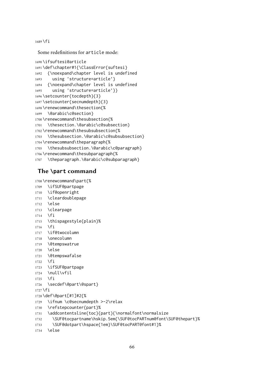```
1689 \fi
```
Some redefinitions for article mode:

```
1690 \ifsuftesi@article
1691 \def\chapter#1{\ClassError{suftesi}
1692 {\noexpand\chapter level is undefined
1693 using 'structure=article'}
1694 {\noexpand\chapter level is undefined
1695 using 'structure=article'}}
1696 \setcounter{tocdepth}{3}
1697 \setcounter{secnumdepth}{3}
1698 \renewcommand\thesection{%
1699 \@arabic\c@section}
1700 \renewcommand\thesubsection{%
1701 \thesection.\@arabic\c@subsection}
1702 \renewcommand\thesubsubsection{%
1703 \thesubsection.\@arabic\c@subsubsection}
1704 \renewcommand\theparagraph{%
1705 \thesubsubsection.\@arabic\c@paragraph}
1706 \renewcommand\thesubparagraph{%
1707 \theparagraph.\@arabic\c@subparagraph}
```
# The **\part** command

```
1708 \renewcommand\part{%
1709 \ifSUF@partpage
1710 \if@openright
1711 \cleardoublepage
1712 \else
1713 \clearpage
1714 \fi
1715 \thispagestyle{plain}%
1716 \fi
1717 \if@twocolumn
1718 \onecolumn
1719 \@tempswatrue
1720 \else
1721 \@tempswafalse
1722 \quad \text{If } i1723 \ifSUF@partpage
1724 \null\vfil
1725 \fi
1726 \secdef\@part\@spart}
1727 \fi
1728 \def\@part[#1]#2{%
1729 \ifnum \c@secnumdepth >-2\relax
1730 \refstepcounter{part}%
1731 \addcontentsline{toc}{part}{\normalfont\normalsize
1732 \SUF@tocpartname\hskip.5em{\SUF@tocPARTnum@font\SUF@thepart}%
1733 \SUF@dotpart\hspace{1em}\SUF@tocPART@font#1}%
1734 \else
```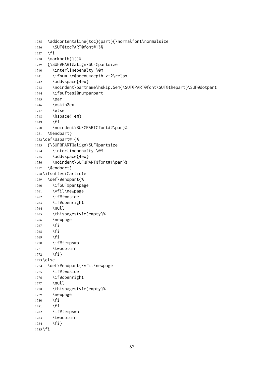```
1735 \addcontentsline{toc}{part}{\normalfont\normalsize
1736 \SUF@tocPART@font#1}%
1737 \fi
1738 \markboth{}{}%
1739 {\SUF@PART@align\SUF@partsize
1740 \interlinepenalty \@M
1741 \ifnum \c@secnumdepth >-2\relax
1742 \addvspace{4ex}
1743 \noindent\partname\hskip.5em{\SUF@PART@font\SUF@thepart}\SUF@dotpart
1744 \ifsuftesi@numparpart
1745 \par
1746 \vskip2ex
1747 \else
1748 \hspace{1em}
1749 \fi
1750 \noindent\SUF@PART@font#2\par}%
1751 \@endpart }
1752 \def\@spart#1{%
1753 {\SUF@PART@align\SUF@partsize
1754 \interlinepenalty \@M
1755 \addvspace{4ex}
1756 \noindent\SUF@PART@font#1\par}%
1757 \@endpart}
1758 \ifsuftesi@article
1759 \def\@endpart{%
1760 \ifSUF@partpage
1761 \vfil\newpage
1762 \if@twoside
1763 \if@openright
1764 \null
1765 \thispagestyle{empty}%
1766 \newpage
1767 \fi
1768 \fi
1769 \fi
1770 \if@tempswa
1771 \twocolumn
1772 \fi}
1773 \else
1774 \def\@endpart{\vfil\newpage
1775 \if@twoside
1776 \if@openright
1777 \null
1778 \thispagestyle{empty}%
1779 \newpage
1780 \fi
1781 \fi
1782 \if@tempswa
1783 \twocolumn
1784 \fi}
1785 \fi
```

```
67
```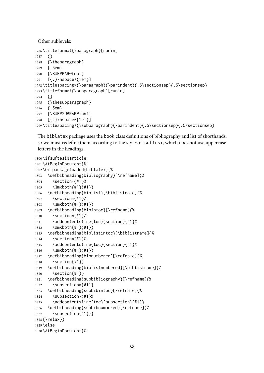Other sublevels:

```
1786 \titleformat{\paragraph}[runin]
1787 {}
1788 {\theparagraph}
1789 {.5em}
1790 {\SUF@PAR@font}
1791 [{.}\hspace*{1em}]
1792 \titlespacing*{\paragraph}{\parindent}{.5\sectionsep}{.5\sectionsep}
1793 \titleformat{\subparagraph}[runin]
1794 {}
1795 {\thesubparagraph}
1796 {.5em}
1797 {\SUF@SUBPAR@font}
1798 [{.}\hspace*{1em}]
1799 \titlespacing*{\subparagraph}{\parindent}{.5\sectionsep}{.5\sectionsep}
```
The biblatex package uses the book class definitions of bibliography and list of shorthands, so we must redefine them according to the styles of suftesi, which does not use uppercase letters in the headings.

```
1800 \ifsuftesi@article
1801 \AtBeginDocument{%
1802 \@ifpackageloaded{biblatex}{%
1803 \defbibheading{bibliography}[\refname]{%
1804 \section*{#1}%
1805 \@mkboth{#1}{#1}}
1806 \defbibheading{biblist}[\biblistname]{%
1807 \section*{#1}%
1808 \@mkboth{#1}{#1}}
1809 \defbibheading{bibintoc}[\refname]{%
1810 \section*{#1}%
1811 \addcontentsline{toc}{section}{#1}%
1812 \@mkboth{#1}{#1}}
1813 \defbibheading{biblistintoc}[\biblistname]{%
1814 \section*{#1}%
1815 \addcontentsline{toc}{section}{#1}%
1816 \@mkboth{#1}{#1}}
1817 \defbibheading{bibnumbered}[\refname]{%
1818 \section{#1}}
1819 \defbibheading{biblistnumbered}[\biblistname]{%
1820 \section{#1}}
1821 \defbibheading{subbibliography}[\refname]{%
1822 \subsection*{#1}}
1823 \defbibheading{subbibintoc}[\refname]{%
1824 \subsection*{#1}%
1825 \addcontentsline{toc}{subsection}{#1}}
1826 \defbibheading{subbibnumbered}[\refname]{%
1827 \subsection{#1}}}
1828 {\relax}}
1829 \else
1830 \AtBeginDocument{%
```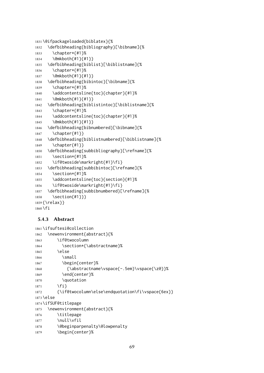```
1831 \@ifpackageloaded{biblatex}{%
1832 \defbibheading{bibliography}[\bibname]{%
1833 \chapter*{#1}%
1834 \@mkboth{#1}{#1}}
1835 \defbibheading{biblist}[\biblistname]{%
1836 \chapter*{#1}%
1837 \@mkboth{#1}{#1}}
1838 \defbibheading{bibintoc}[\bibname]{%
1839 \chapter*{#1}%
1840 \addcontentsline{toc}{chapter}{#1}%
1841 \@mkboth{#1}{#1}}
1842 \defbibheading{biblistintoc}[\biblistname]{%
1843 \chapter*{#1}%
1844 \addcontentsline{toc}{chapter}{#1}%
1845 \@mkboth{#1}{#1}}
1846 \defbibheading{bibnumbered}[\bibname]{%
1847 \chapter{#1}}
1848 \defbibheading{biblistnumbered}[\biblistname]{%
1849 \chapter{#1}}
1850 \defbibheading{subbibliography}[\refname]{%
1851 \section*{#1}%
1852 \if@twoside\markright{#1}\fi}
1853 \defbibheading{subbibintoc}[\refname]{%
1854 \section*{#1}%
1855 \addcontentsline{toc}{section}{#1}%
1856 \if@twoside\markright{#1}\fi}
1857 \defbibheading{subbibnumbered}[\refname]{%
1858 \section{#1}}}
1859 {\relax}}
1860 \fi
```
# 5.4.3 Abstract

```
1861 \ifsuftesi@collection
1862 \newenvironment{abstract}{%
1863 \if@twocolumn
1864 \section*{\abstractname}%
1865 \else
1866 \small
1867 \begin{center}%
1868 {\abstractname\vspace{-.5em}\vspace{\z@}}%
1869 \end{center}%
1870 \quotation
1871 \fi}
1872 {\if@twocolumn\else\endquotation\fi\vspace{6ex}}
1873 \else
1874 \ifSUF@titlepage
1875 \newenvironment{abstract}{%
1876 \titlepage
1877 \null\vfil
1878 \@beginparpenalty\@lowpenalty
1879 \begin{center}%
```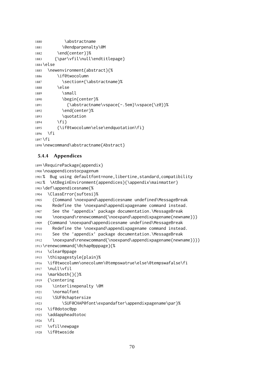```
1880 \abstractname
1881 \@endparpenalty\@M
1882 \end{center}}%
1883 {\par\vfil\null\endtitlepage}
1884 \else
1885 \newenvironment{abstract}{%
1886 \if@twocolumn
1887 \section*{\abstractname}%
1888 \else
1889 \small
1890 \begin{center}%
1891 {\abstractname\vspace{-.5em}\vspace{\z@}}%
1892 \end{center}%
1893 \quotation
1894 \fi}
1895 {\if@twocolumn\else\endquotation\fi}
1896 \fi
1897 \fi
1898 \newcommand\abstractname{Abstract}
```
#### 5.4.4 Appendices

```
1899 \RequirePackage{appendix}
1900 \noappendicestocpagenum
1901 % Bug using defaultfont=none,libertine,standard,compatibility
1902 % \AtBeginEnvironment{appendices}{\appendix\mainmatter}
1903 \def\appendicesname{%
1904 \ClassError{suftesi}%
1905 {Command \noexpand\appendicesname undefined\MessageBreak
1906 Redefine the \noexpand\appendixpagename command instead.
1907 See the 'appendix' package documentation.\MessageBreak
1908 \noexpand\renewcommand{\noexpand\appendixpagename{newname}}}
1909 {Command \noexpand\appendicesname undefined\MessageBreak
1910 Redefine the \noexpand\appendixpagename command instead.
1911 See the 'appendix' package documentation.\MessageBreak
1912 \noexpand\renewcommand{\noexpand\appendixpagename{newname}}}}
1913 \renewcommand{\@chap@pppage}{%
1914 \clear@ppage
1915 \thispagestyle{plain}%
1916 \if@twocolumn\onecolumn\@tempswatrue\else\@tempswafalse\fi
1917 \null\vfil
1918 \markboth{}{}%
1919 {\centering
1920 \interlinepenalty \@M
1921 \normalfont
1922 \SUF@chaptersize
1923 \SUF@CHAP@font\expandafter\appendixpagename\par}%
1924 \if@dotoc@pp
1925 \addappheadtotoc
1926 \fi
1927 \vfil\newpage
1928 \if@twoside
```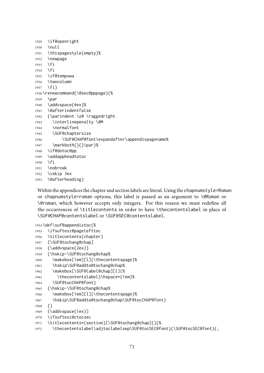```
1929 \if@openright
1930 \null
1931 \thispagestyle{empty}%
1932 \newpage
1933 \fi
1934 \fi
1935 \if@tempswa
1936 \twocolumn
1937 \fi}
1938 \renewcommand{\@sec@pppage}{%
1939 \par
1940 \addvspace{4ex}%
1941 \@afterindentfalse
1942 {\parindent \z@ \raggedright
1943 \interlinepenalty \@M
1944 \normalfont
1945 \SUF@chaptersize
1946 \SUF@CHAP@font\expandafter\appendixpagename%
1947 \markboth{}{}\par}%
1948 \if@dotoc@pp
1949 \addappheadtotoc
1950 \fi
1951 \nobreak
1952 \vskip 3ex
1953 \@afterheading}
```
Within the appendices the chapter and section labels are literal. Using the chapnumstyle=Roman or chapnumstyle=roman options, this label is passed as an argument to \@Roman or \@roman, which however accepts only integers. For this reason we must redefine all the occurrences of \titlecontents in order to have \thecontentslabel in place of \SUF@CHAP@contentslabel or \SUF@SEC@contentslabel.

```
1954 \def\suf@appendixtoc{%
1955 \ifsuftesi@pagelefttoc
1956 \titlecontents{chapter}
1957 [\SUF@tochang@chap]
1958 {\addvspace{2ex}}
1959 {\hskip-\SUF@tochang@chap%
1960 \makebox[1em][l]{\thecontentspage}%
1961 \hskip\SUF@addto@tochang@chap%
1962 \makebox[\SUF@label@chap][l]{%
1963 \thecontentslabel}\hspace*{1em}%
1964 \SUF@tocCHAP@font}
1965 {\hskip-\SUF@tochang@chap%
1966 \makebox[1em][l]{\thecontentspage}%
1967 \hskip\SUF@addto@tochang@chap\SUF@tocCHAP@font}
1968 {}
1969 [\addvspace{1ex}]
1970 \ifsuftesi@ctocsec
1971 \titlecontents*{section}[\SUF@tochang@chap]{}{%
1972 \thecontentslabel\adjtoclabelsep\SUF@tocSEC@font}{\SUF@tocSEC@font}{,
```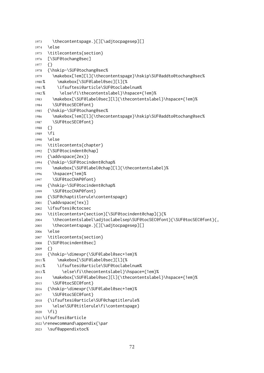```
1973 \thecontentspage.}[][\adjtocpagesep][]
1974 \else
1975 \titlecontents{section}
1976 [\SUF@tochang@sec]
1977 {}
1978 {\hskip-\SUF@tochang@sec%
1979 \makebox[1em][l]{\thecontentspage}\hskip\SUF@addto@tochang@sec%
1980 % \makebox[\SUF@label@sec][l]{%
1981 % \ifsuftesi@article\SUF@toclabelnum%
1982 % \else\fi\thecontentslabel}\hspace*{1em}%
1983 \makebox[\SUF@label@sec][l]{\thecontentslabel}\hspace*{1em}%
1984 \SUF@tocSEC@font}
1985 {\hskip-\SUF@tochang@sec%
1986 \makebox[1em][l]{\thecontentspage}\hskip\SUF@addto@tochang@sec%
1987 \SUF@tocSEC@font }
1988 {}
1989 \fi
1990 \else
1991 \titlecontents{chapter}
1992 [\SUF@tocindent@chap]
1993 {\addvspace{2ex}}
1994 {\hskip-\SUF@tocindent@chap%
1995 \makebox[\SUF@label@chap][l]{\thecontentslabel}%
1996 \hspace*{1em}%
1997 \SUF@tocCHAP@font}
1998 {\hskip-\SUF@tocindent@chap%
1999 \SUF@tocCHAP@font }
2000 {\SUF@chaptitlerule\contentspage}
2001 [\addvspace{1ex}]
2002 \ifsuftesi@ctocsec
2003 \titlecontents*{section}[\SUF@tocindent@chap]{}{%
2004 \thecontentslabel\adjtoclabelsep\SUF@tocSEC@font}{\SUF@tocSEC@font}{,
2005 \thecontentspage.}[][\adjtocpagesep][]
2006 \else
2007 \titlecontents{section}
2008 [\SUF@tocindent@sec]
2009 {}
2010 {\hskip-\dimexpr(\SUF@label@sec+1em)%
2011 % \makebox[\SUF@label@sec][l]{%
2012 % \ifsuftesi@article\SUF@toclabelnum%
2013 % \else\fi\thecontentslabel}\hspace*{1em}%
2014 \makebox[\SUF@label@sec][l]{\thecontentslabel}\hspace*{1em}%
2015 \SUF@tocSEC@font}
2016 {\hskip-\dimexpr(\SUF@label@sec+1em)%
2017 \SUF@tocSEC@font}
2018 {\ifsuftesi@article\SUF@chaptitlerule%
2019 \else\SUF@titlerule\fi\contentspage}
2020 \fi}
2021 \ifsuftesi@article
2022 \renewcommand\appendix{\par
2023 \suf@appendixtoc%
```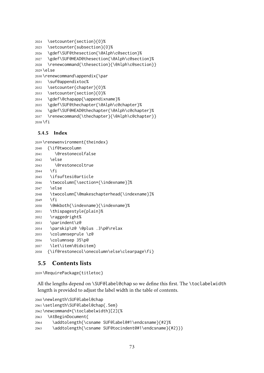```
2024 \setcounter{section}{0}%
2025 \setcounter{subsection}{0}%
2026 \gdef\SUF@thesection{\@Alph\c@section}%
2027 \gdef\SUF@HEAD@thesection{\@Alph\c@section}%
2028 \renewcommand{\thesection}{\@Alph\c@section}}
2029 \else
2030 \renewcommand\appendix{\par
2031 \suf@appendixtoc%
2032 \setcounter{chapter}{0}%
2033 \setcounter{section}{0}%
2034 \gdef\@chapapp{\appendixname}%
2035 \gdef\SUF@thechapter{\@Alph\c@chapter}%
2036 \gdef\SUF@HEAD@thechapter{\@Alph\c@chapter}%
```

```
2037 \renewcommand{\thechapter}{\@Alph\c@chapter}}
```
\fi

### 5.4.5 Index

```
2039 \renewenvironment{theindex}
2040 {\if@twocolumn
```

```
2041 \@restonecolfalse
2042 \else
2043 \@restonecoltrue
2044 \fi
2045 \ifsuftesi@article
2046 \twocolumn[\section*{\indexname}]%
2047 \else
2048 \twocolumn[\@makeschapterhead{\indexname}]%
2049 \fi
2050 \@mkboth{\indexname}{\indexname}%
2051 \thispagestyle{plain}%
2052 \raggedright%
2053 \parindent\z@
2054 \parskip\z@ \@plus .3\p@\relax
2055 \columnseprule \z@
2056 \columnsep 35\p@
2057 \let\item\@idxitem}
2058 {\if@restonecol\onecolumn\else\clearpage\fi}
```
## 5.5 Contents lists

```
2059 \RequirePackage{titletoc}
```
All the lengths depend on \SUF@label@chap so we define this first. The \toclabelwidth lengtth is provided to adjust the label width in the table of contents.

```
2060 \newlength\SUF@label@chap
2061 \setlength\SUF@label@chap{.5em}
2062 \newcommand*{\toclabelwidth}[2]{%
2063 \AtBeginDocument{
2064 \addtolength{\csname SUF@label@#1\endcsname}{#2}%
2065 \addtolength{\csname SUF@tocindent@#1\endcsname}{#2}}}
```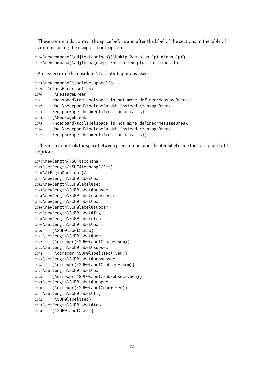These commands control the space before and after the label of the sections in the table of contents, using the compactfont option.

```
2066 \newcommand{\adjtoclabelsep}{\hskip.2em plus 1pt minus 1pt}
2067 \newcommand{\adjtocpagesep}{\hskip.5em plus 2pt minus 1pt}
```
A class error if the obsolete \toclabelspace is used:

```
2068 \newcommand{\toclabelspace}{%
```

```
2069 \ClassError{suftesi}
2070 {\MessageBreak
2071 \noexpand\toclabelspace is not more defined\MessageBreak
2072 Use \noexpand\toclabelwidth instead.\MessageBreak
2073 See package documentation for details}
2074 {\MessageBreak
2075 \noexpand\toclabelspace is not more defined\MessageBreak
2076 Use \noexpand\toclabelwidth instead.\MessageBreak
2077 See package documentation for details}}
```
This macro controls the space between page number and chapter label using the toc=pageleft option:

```
2078 \newlength{\SUF@tochang}
2079 \setlength{\SUF@tochang}{3em}
2080 \AtBeginDocument{%
2081 \newlength\SUF@label@part
2082 \newlength\SUF@label@sec
2083 \newlength\SUF@label@subsec
2084 \newlength\SUF@label@subsubsec
2085 \newlength\SUF@label@par
2086 \newlength\SUF@label@subpar
2087 \newlength\SUF@label@fig
2088 \newlength\SUF@label@tab
2089 \setlength\SUF@label@part
2090 {\SUF@label@chap}
2091 \setlength\SUF@label@sec
2092 {\dimexpr(\SUF@label@chap+.5em)}
2093 \setlength\SUF@label@subsec
2094 {\dimexpr(\SUF@label@sec+.5em)}
2095 \setlength\SUF@label@subsubsec
2096 {\dimexpr(\SUF@label@subsec+.5em)}
2097 \setlength\SUF@label@par
2098 {\dimexpr(\SUF@label@subsubsec+.5em)}
2099 \setlength\SUF@label@subpar
2100 {\dimexpr(\SUF@label@par+.5em)}
2101 \setlength\SUF@label@fig
2102 {\SUF@label@sec}
2103 \setlength\SUF@label@tab
2104 {\SUF@label@sec}}
```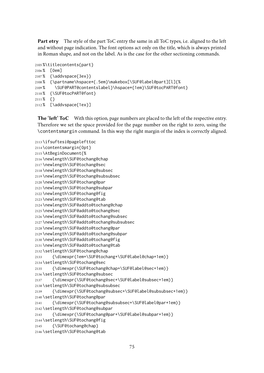Part etry The style of the part ToC entry the same in all ToC types, i.e. aligned to the left and without page indication. The font options act only on the title, which is always printed in Roman shape, and not on the label. As is the case for the other sectioning commands.

```
2105 %\titlecontents{part}
2106 % [0em]
2107% {\addvspace{3ex}}
2108 % {\partname\hspace*{.5em}\makebox[\SUF@label@part][l]{%
2109 % \SUF@PART@contentslabel}\hspace*{1em}\SUF@tocPART@font}
2110 % {\SUF@tocPART@font}
2111 % {}
2112 % [\addvspace{1ex}]
```
The 'left' ToC With this option, page numbers are placed to the left of the respective entry. Therefore we set the space provided for the page number on the right to zero, using the \contentsmargin command. In this way the right margin of the index is correctly aligned.

```
2113 \ifsuftesi@pagelefttoc
2114 \contentsmargin{0pt}
2115 \AtBeginDocument{%
2116 \newlength\SUF@tochang@chap
2117 \newlength\SUF@tochang@sec
2118 \newlength\SUF@tochang@subsec
2119 \newlength\SUF@tochang@subsubsec
2120 \newlength\SUF@tochang@par
2121 \newlength\SUF@tochang@subpar
2122 \newlength\SUF@tochang@fig
2123 \newlength\SUF@tochang@tab
2124 \newlength\SUF@addto@tochang@chap
2125 \newlength\SUF@addto@tochang@sec
2126 \newlength\SUF@addto@tochang@subsec
2127 \newlength\SUF@addto@tochang@subsubsec
2128 \newlength\SUF@addto@tochang@par
2129 \newlength\SUF@addto@tochang@subpar
2130 \newlength\SUF@addto@tochang@fig
2131 \newlength\SUF@addto@tochang@tab
2132 \setlength\SUF@tochang@chap
2133 {\dimexpr(1em+\SUF@tochang+\SUF@label@chap+1em)}
2134 \setlength\SUF@tochang@sec
2135 {\dimexpr(\SUF@tochang@chap+\SUF@label@sec+1em)}
2136 \setlength\SUF@tochang@subsec
2137 {\dimexpr(\SUF@tochang@sec+\SUF@label@subsec+1em)}
2138 \setlength\SUF@tochang@subsubsec
2139 {\dimexpr(\SUF@tochang@subsec+\SUF@label@subsubsec+1em)}
2140 \setlength\SUF@tochang@par
2141 {\dimexpr(\SUF@tochang@subsubsec+\SUF@label@par+1em)}
2142 \setlength\SUF@tochang@subpar
2143 {\dimexpr(\SUF@tochang@par+\SUF@label@subpar+1em)}
2144 \setlength\SUF@tochang@fig
2145 {\SUF@tochang@chap}
2146 \setlength\SUF@tochang@tab
```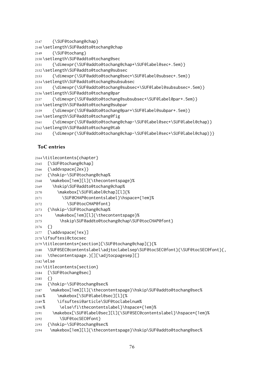{\SUF@tochang@chap}

```
2148 \setlength\SUF@addto@tochang@chap
```
{\SUF@tochang}

```
2150 \setlength\SUF@addto@tochang@sec
```

```
2151 {\dimexpr(\SUF@addto@tochang@chap+\SUF@label@sec+.5em)}
```
\setlength\SUF@addto@tochang@subsec

```
2153 {\dimexpr(\SUF@addto@tochang@sec+\SUF@label@subsec+.5em)}
```
\setlength\SUF@addto@tochang@subsubsec

```
2155 {\dimexpr(\SUF@addto@tochang@subsec+\SUF@label@subsubsec+.5em)}
```
\setlength\SUF@addto@tochang@par

```
2157 {\dimexpr(\SUF@addto@tochang@subsubsec+\SUF@label@par+.5em)}
```
\setlength\SUF@addto@tochang@subpar

```
2159 {\dimexpr(\SUF@addto@tochang@par+\SUF@label@subpar+.5em)}
```
\setlength\SUF@addto@tochang@fig

```
2161 {\dimexpr(\SUF@addto@tochang@chap-\SUF@label@sec+\SUF@label@chap)}
```
\setlength\SUF@addto@tochang@tab

```
2163 {\dimexpr(\SUF@addto@tochang@chap-\SUF@label@sec+\SUF@label@chap)}}
```
# ToC entries

```
2164 \titlecontents{chapter}
2165 [\SUF@tochang@chap]
2166 {\addvspace{2ex}}
2167 {\hskip-\SUF@tochang@chap%
```

```
2168 \makebox[1em][l]{\thecontentspage}%
```

```
2169 \hskip\SUF@addto@tochang@chap%
```

```
2170 \makebox[\SUF@label@chap][l]{%
```
- \SUF@CHAP@contentslabel}\hspace\*{1em}%
- 2172 \SUF@tocCHAP@font }
- {\hskip-\SUF@tochang@chap%
- \makebox[1em][l]{\thecontentspage}%
- 2175 \hskip\SUF@addto@tochang@chap\SUF@tocCHAP@font}
- {}
- [\addvspace{1ex}]
- \ifsuftesi@ctocsec
- \titlecontents\*{section}[\SUF@tochang@chap]{}{%
- \SUF@SEC@contentslabel\adjtoclabelsep\SUF@tocSEC@font}{\SUF@tocSEC@font}{,
- \thecontentspage.}[][\adjtocpagesep][]
- \else
- \titlecontents{section}
- [\SUF@tochang@sec]
- {}
- {\hskip-\SUF@tochang@sec%
- 2187 \makebox[1em][l]{\thecontentspage}\hskip\SUF@addto@tochang@sec%
- % \makebox[\SUF@label@sec][l]{%
- % \ifsuftesi@article\SUF@toclabelnum%
- % \else\fi\thecontentslabel}\hspace\*{1em}%
- \makebox[\SUF@label@sec][l]{\SUF@SEC@contentslabel}\hspace\*{1em}%
- 2192 \SUF@tocSEC@font }
- {\hskip-\SUF@tochang@sec%
- \makebox[1em][l]{\thecontentspage}\hskip\SUF@addto@tochang@sec%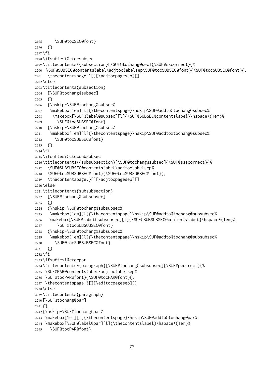```
2195 \SUF@tocSEC@font }
2196 {}
2197 \fi
2198 \ifsuftesi@ctocsubsec
2199 \titlecontents*{subsection}[\SUF@tochang@sec]{\SUF@sscorrect}{%
2200 \SUF@SUBSEC@contentslabel\adjtoclabelsep\SUF@tocSUBSEC@font}{\SUF@tocSUBSEC@font}{,
2201 \thecontentspage.}[][\adjtocpagesep][]
2202 \else
2203 \titlecontents{subsection}
2204 [\SUF@tochang@subsec]
2205 \quad \{ \}2206 {\hskip-\SUF@tochang@subsec%
2207 \makebox[1em][l]{\thecontentspage}\hskip\SUF@addto@tochang@subsec%
2208 \makebox[\SUF@label@subsec][l]{\SUF@SUBSEC@contentslabel}\hspace*{1em}%
2209 \SUF@tocSUBSEC@font }
2210 {\hskip-\SUF@tochang@subsec%
2211 \makebox[1em][l]{\thecontentspage}\hskip\SUF@addto@tochang@subsec%
2212 \SUF@tocSUBSEC@font }
2213 {}
2214 \fi
2215 \ifsuftesi@ctocsubsubsec
2216 \titlecontents*{subsubsection}[\SUF@tochang@subsec]{\SUF@ssscorrect}{%
2217 \SUF@SUBSUBSEC@contentslabel\adjtoclabelsep%
2218 \SUF@tocSUBSUBSEC@font}{\SUF@tocSUBSUBSEC@font}{,
2219 \thecontentspage.}[][\adjtocpagesep][]
2220 \else
2221 \titlecontents{subsubsection}
2222 [\SUF@tochang@subsubsec]
2223 {}
2224 {\hskip-\SUF@tochang@subsubsec%
2225 \makebox[1em][l]{\thecontentspage}\hskip\SUF@addto@tochang@subsubsec%
2226 \makebox[\SUF@label@subsubsec][l]{\SUF@SUBSUBSEC@contentslabel}\hspace*{1em}%
2227 \SUF@tocSUBSUBSEC@font }
2228 {\hskip-\SUF@tochang@subsubsec%
2229 \makebox[1em][l]{\thecontentspage}\hskip\SUF@addto@tochang@subsubsec%
2230 \SUF@tocSUBSUBSEC@font }
2231 {}
2232 \fi
2233 \ifsuftesi@ctocpar
2234 \titlecontents*{paragraph}[\SUF@tochang@subsubsec]{\SUF@pcorrect}{%
2235 \SUF@PAR@contentslabel\adjtoclabelsep%
2236 \SUF@tocPAR@font}{\SUF@tocPAR@font}{,
2237 \thecontentspage.}[][\adjtocpagesep][]
2238 \else
2239 \titlecontents{paragraph}
2240 [\SUF@tochang@par]
2241 {}
2242 {\hskip-\SUF@tochang@par%
2243 \makebox[1em][l]{\thecontentspage}\hskip\SUF@addto@tochang@par%
2244 \makebox[\SUF@label@par][l]{\thecontentslabel}\hspace*{1em}%
2245 \SUF@tocPAR@font}
```

```
77
```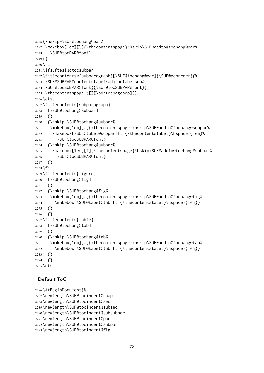```
2246 {\hskip-\SUF@tochang@par%
2247 \makebox[1em][l]{\thecontentspage}\hskip\SUF@addto@tochang@par%
2248 \SUF@tocPAR@font}
2249 {}
2250 \text{ } \forall \text{fi}2251 \ifsuftesi@ctocsubpar
2252 \titlecontents*{subparagraph}[\SUF@tochang@par]{\SUF@pcorrect}{%
2253 \SUF@SUBPAR@contentslabel\adjtoclabelsep%
2254 \SUF@tocSUBPAR@font}{\SUF@tocSUBPAR@font}{,
2255 \thecontentspage.}[][\adjtocpagesep][]
2256 \else
2257 \titlecontents{subparagraph}
2258 [\SUF@tochang@subpar]
2259 {}
2260 {\hskip-\SUF@tochang@subpar%
2261 \makebox[1em][l]{\thecontentspage}\hskip\SUF@addto@tochang@subpar%
2262 \makebox[\SUF@label@subpar][l]{\thecontentslabel}\hspace*{1em}%
2263 \SUF@tocSUBPAR@font }
2264 {\hskip-\SUF@tochang@subpar%
2265 \makebox[1em][l]{\thecontentspage}\hskip\SUF@addto@tochang@subpar%
2266 \SUF@tocSUBPAR@font }
2267 {}
2268 \fi
2269 \titlecontents{figure}
2270 [\SUF@tochang@fig]
2271 \quad \{ \}2272 {\hskip-\SUF@tochang@fig%
2273 \makebox[1em][l]{\thecontentspage}\hskip\SUF@addto@tochang@fig%
2274 \makebox[\SUF@label@tab][l]{\thecontentslabel}\hspace*{1em}}
2275 {}
2276 {}
2277 \titlecontents{table}
2278 [\SUF@tochang@tab]
2279 {}
2280 {\hskip-\SUF@tochang@tab%
2281 \makebox[1em][l]{\thecontentspage}\hskip\SUF@addto@tochang@tab%
2282 \makebox[\SUF@label@tab][l]{\thecontentslabel}\hspace*{1em}}
2283 {}
2284 {}
2285 \else
```
# Default ToC

```
2286 \AtBeginDocument{%
2287 \newlength\SUF@tocindent@chap
2288 \newlength\SUF@tocindent@sec
2289 \newlength\SUF@tocindent@subsec
2290 \newlength\SUF@tocindent@subsubsec
2291 \newlength\SUF@tocindent@par
2292 \newlength\SUF@tocindent@subpar
2293 \newlength\SUF@tocindent@fig
```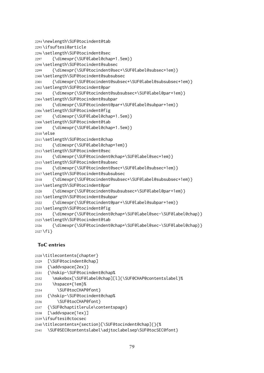```
2294 \newlength\SUF@tocindent@tab
2295 \ifsuftesi@article
2296 \setlength\SUF@tocindent@sec
2297 {\dimexpr(\SUF@label@chap+1.5em)}
2298 \setlength\SUF@tocindent@subsec
2299 {\dimexpr(\SUF@tocindent@sec+\SUF@label@subsec+1em)}
2300 \setlength\SUF@tocindent@subsubsec
2301 {\dimexpr(\SUF@tocindent@subsec+\SUF@label@subsubsec+1em)}
2302 \setlength\SUF@tocindent@par
2303 {\dimexpr(\SUF@tocindent@subsubsec+\SUF@label@par+1em)}
2304 \setlength\SUF@tocindent@subpar
2305 {\dimexpr(\SUF@tocindent@par+\SUF@label@subpar+1em)}
2306 \setlength\SUF@tocindent@fig
2307 {\dimexpr(\SUF@label@chap+1.5em)}
2308 \setlength\SUF@tocindent@tab
2309 {\dimexpr(\SUF@label@chap+1.5em)}
2310 \else
2311 \setlength\SUF@tocindent@chap
2312 {\dimexpr(\SUF@label@chap+1em)}
2313 \setlength\SUF@tocindent@sec
2314 {\dimexpr(\SUF@tocindent@chap+\SUF@label@sec+1em)}
2315 \setlength\SUF@tocindent@subsec
2316 {\dimexpr(\SUF@tocindent@sec+\SUF@label@subsec+1em)}
2317 \setlength\SUF@tocindent@subsubsec
2318 {\dimexpr(\SUF@tocindent@subsec+\SUF@label@subsubsec+1em)}
2319 \setlength\SUF@tocindent@par
2320 {\dimexpr(\SUF@tocindent@subsubsec+\SUF@label@par+1em)}
2321 \setlength\SUF@tocindent@subpar
2322 {\dimexpr(\SUF@tocindent@par+\SUF@label@subpar+1em)}
2323 \setlength\SUF@tocindent@fig
2324 {\dimexpr(\SUF@tocindent@chap+\SUF@label@sec-\SUF@label@chap)}
2325 \setlength\SUF@tocindent@tab
2326 {\dimexpr(\SUF@tocindent@chap+\SUF@label@sec-\SUF@label@chap)}
2327 \fi}
```
### ToC entries

```
2328 \titlecontents{chapter}
```
- [\SUF@tocindent@chap]
- $2330 \quad {\addvspace{2ex}}$
- {\hskip-\SUF@tocindent@chap%
- \makebox[\SUF@label@chap][l]{\SUF@CHAP@contentslabel}%
- \hspace\*{1em}%
- 2334 \SUF@tocCHAP@font}
- {\hskip-\SUF@tocindent@chap%
- 2336 \SUF@tocCHAP@font }
- {\SUF@chaptitlerule\contentspage}
- [\addvspace{1ex}]
- \ifsuftesi@ctocsec
- \titlecontents\*{section}[\SUF@tocindent@chap]{}{%
- \SUF@SEC@contentslabel\adjtoclabelsep\SUF@tocSEC@font}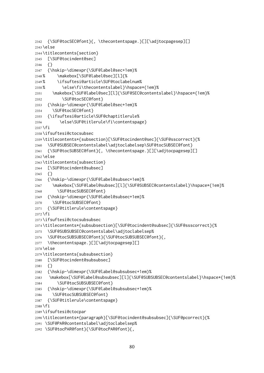```
2342 {\SUF@tocSEC@font}{, \thecontentspage.}[][\adjtocpagesep][]
2343 \else
2344 \titlecontents{section}
2345 [\SUF@tocindent@sec]
2346 {}
2347 {\hskip-\dimexpr(\SUF@label@sec+1em)%
2348 % \makebox[\SUF@label@sec][l]{%
2349 % \ifsuftesi@article\SUF@toclabelnum%
2350 % \else\fi\thecontentslabel}\hspace*{1em}%
2351 \makebox[\SUF@label@sec][l]{\SUF@SEC@contentslabel}\hspace*{1em}%
2352 \SUF@tocSEC@font }
2353 {\hskip-\dimexpr(\SUF@label@sec+1em)%
2354 \SUF@tocSEC@font}
2355 {\ifsuftesi@article\SUF@chaptitlerule%
2356 \else\SUF@titlerule\fi\contentspage}
2357 \fi
2358 \ifsuftesi@ctocsubsec
2359 \titlecontents*{subsection}[\SUF@tocindent@sec]{\SUF@sscorrect}{%
2360 \SUF@SUBSEC@contentslabel\adjtoclabelsep\SUF@tocSUBSEC@font}
2361 {\SUF@tocSUBSEC@font}{, \thecontentspage.}[][\adjtocpagesep][]
2362 \else
2363 \titlecontents{subsection}
2364 [\SUF@tocindent@subsec]
2365 {}
2366 {\hskip-\dimexpr(\SUF@label@subsec+1em)%
2367 \makebox[\SUF@label@subsec][l]{\SUF@SUBSEC@contentslabel}\hspace*{1em}%
2368 \SUF@tocSUBSEC@font }
2369 {\hskip-\dimexpr(\SUF@label@subsec+1em)%
2370 \SUF@tocSUBSEC@font}
2371 {\SUF@titlerule\contentspage}
2372 \fi
2373 \ifsuftesi@ctocsubsubsec
2374 \titlecontents*{subsubsection}[\SUF@tocindent@subsec]{\SUF@ssscorrect}{%
2375 \SUF@SUBSUBSEC@contentslabel\adjtoclabelsep%
2376 \SUF@tocSUBSUBSEC@font}{\SUF@tocSUBSUBSEC@font}{,
2377 \thecontentspage.}[][\adjtocpagesep][]
2378 \else
2379 \titlecontents{subsubsection}
2380 [\SUF@tocindent@subsubsec]
2381 {}
2382 {\hskip-\dimexpr(\SUF@label@subsubsec+1em)%
2383 \makebox[\SUF@label@subsubsec][l]{\SUF@SUBSUBSEC@contentslabel}\hspace*{1em}%
2384 \SUF@tocSUBSUBSEC@font }
2385 {\hskip-\dimexpr(\SUF@label@subsubsec+1em)%
2386 \SUF@tocSUBSUBSEC@font}
2387 {\SUF@titlerule\contentspage}
2388 \fi
2389 \ifsuftesi@ctocpar
2390 \titlecontents*{paragraph}[\SUF@tocindent@subsubsec]{\SUF@pcorrect}{%
2391 \SUF@PAR@contentslabel\adjtoclabelsep%
2392 \SUF@tocPAR@font}{\SUF@tocPAR@font}{,
```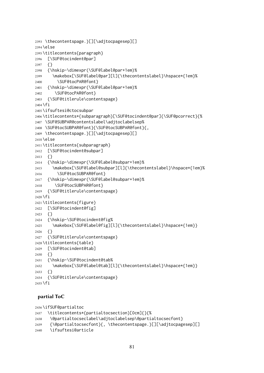```
2393 \thecontentspage.}[][\adjtocpagesep][]
2394 \else
2395 \titlecontents{paragraph}
2396 [\SUF@tocindent@par]
2397 {}
2398 {\hskip-\dimexpr(\SUF@label@par+1em)%
2399 \makebox[\SUF@label@par][l]{\thecontentslabel}\hspace*{1em}%
2400 \SUF@tocPAR@font}
2401 {\hskip-\dimexpr(\SUF@label@par+1em)%
2402 \SUF@tocPAR@font}
2403 {\SUF@titlerule\contentspage}
2404 \fi
2405 \ifsuftesi@ctocsubpar
2406 \titlecontents*{subparagraph}[\SUF@tocindent@par]{\SUF@pcorrect}{%
2407 \SUF@SUBPAR@contentslabel\adjtoclabelsep%
2408 \SUF@tocSUBPAR@font}{\SUF@tocSUBPAR@font}{,
2409 \thecontentspage.}[][\adjtocpagesep][]
2410 \else
2411 \titlecontents{subparagraph}
2412 [\SUF@tocindent@subpar]
2413 {}
2414 {\hskip-\dimexpr(\SUF@label@subpar+1em)%
2415 \makebox[\SUF@label@subpar][l]{\thecontentslabel}\hspace*{1em}%
2416 \SUF@tocSUBPAR@font }
2417 {\hskip-\dimexpr(\SUF@label@subpar+1em)%
2418 \SUF@tocSUBPAR@font }
2419 {\SUF@titlerule\contentspage}
2420 \fi
2421 \titlecontents{figure}
2422 [\SUF@tocindent@fig]
2423 {}
2424 {\hskip-\SUF@tocindent@fig%
2425 \makebox[\SUF@label@fig][l]{\thecontentslabel}\hspace*{1em}}
2426 {}
2427 {\SUF@titlerule\contentspage}
2428 \titlecontents{table}
2429 [\SUF@tocindent@tab]
2430 {}
2431 {\hskip-\SUF@tocindent@tab%
2432 \makebox[\SUF@label@tab][l]{\thecontentslabel}\hspace*{1em}}
2433 {}
2434 {\SUF@titlerule\contentspage}
2435 \text{ t}
```
### partial ToC

```
2436 \ifSUF@partialtoc
2437 \titlecontents*{partialtocsection}[0cm]{}{%
2438 \@partialtocseclabel\adjtoclabelsep\@partialtocsecfont}
2439 {\@partialtocsecfont}{, \thecontentspage.}[][\adjtocpagesep][]
2440 \ifsuftesi@article
```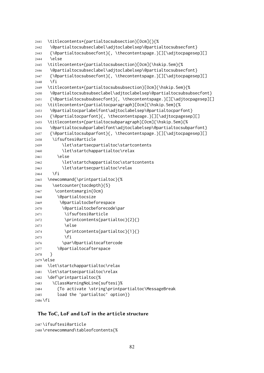```
2441 \titlecontents*{partialtocsubsection}[0cm]{}{%
2442 \@partialtocsubseclabel\adjtoclabelsep\@partialtocsubsecfont}
2443 {\@partialtocsubsecfont}{, \thecontentspage.}[][\adjtocpagesep][]
2444 \else
2445 \titlecontents*{partialtocsubsection}[0cm]{\hskip.5em}{%
2446 \@partialtocsubseclabel\adjtoclabelsep\@partialtocsubsecfont}
2447 {\@partialtocsubsecfont}{, \thecontentspage.}[][\adjtocpagesep][]
2448 \fi
2449 \titlecontents*{partialtocsubsubsection}[0cm]{\hskip.5em}{%
2450 \@partialtocsubsubseclabel\adjtoclabelsep\@partialtocsubsubsecfont}
2451 {\@partialtocsubsubsecfont}{, \thecontentspage.}[][\adjtocpagesep][]
2452 \titlecontents*{partialtocparagraph}[0cm]{\hskip.5em}{%
2453 \@partialtocparlabelfont\adjtoclabelsep\@partialtocparfont}
2454 {\@partialtocparfont}{, \thecontentspage.}[][\adjtocpagesep][]
2455 \titlecontents*{partialtocsubparagraph}[0cm]{\hskip.5em}{%
2456 \@partialtocsubparlabelfont\adjtoclabelsep\@partialtocsubparfont}
2457 {\@partialtocsubparfont}{, \thecontentspage.}[][\adjtocpagesep][]
2458 \ifsuftesi@article
2459 \let\startsecpartialtoc\startcontents
2460 \let\startchappartialtoc\relax
2461 \else
2462 \let\startchappartialtoc\startcontents
2463 \let\startsecpartialtoc\relax
2464 \fi
2465 \newcommand{\printpartialtoc}{%
2466 \setcounter{tocdepth}{5}
2467 \contentsmargin{0cm}
2468 \@partialtocsize
2469 \@partialtocbeforespace
2470 \@partialtocbeforecode\par
2471 \ifsuftesi@article
2472 \printcontents{partialtoc}{2}{}
2473 \else
2474 \printcontents{partialtoc}{1}{}
2475 \fi
2476 \par\@partialtocaftercode
2477 \@partialtocafterspace
2478 }
2479 \else
2480 \let\startchappartialtoc\relax
2481 \let\startsecpartialtoc\relax
2482 \def\printpartialtoc{%
2483 \ClassWarningNoLine{suftesi}%
2484 {To activate \string\printpartialtoc\MessageBreak
2485 load the 'partialtoc' option}}
```
### \fi

### The ToC, LoF and LoT in the **article** structure

```
2487 \ifsuftesi@article
2488 \renewcommand\tableofcontents{%
```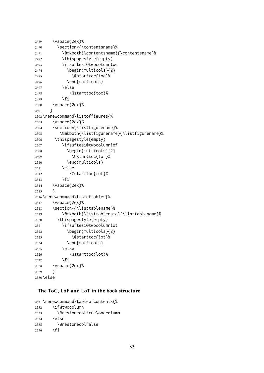```
2489 \vspace{2ex}%
2490 \section*{\contentsname}%
2491 \@mkboth{\contentsname}{\contentsname}%
2492 \thispagestyle{empty}
2493 \ifsuftesi@twocolumntoc
2494 \begin{multicols}{2}
2495 \\departtoc{toc}%
2496 \end{multicols}
2497 \else
2498 \@starttoc{toc}%
2499 \fi
2500 \vspace{2ex}%
2501 }
2502 \renewcommand\listoffigures{%
2503 \vspace{2ex}%
2504 \section*{\listfigurename}%
2505 \@mkboth{\listfigurename}{\listfigurename}%
2506 \thispagestyle{empty}
2507 \ifsuftesi@twocolumnlof
2508 \begin{multicols}{2}
2509 \@starttoc{lof}%
2510 \end{multicols}
2511 \else
2512 \@starttoc{lof}%
2513 \fi
2514 \vspace{2ex}%
2515 }
2516 \renewcommand\listoftables{%
2517 \vspace{2ex}%
2518 \section*{\listtablename}%
2519 \@mkboth{\listtablename}{\listtablename}%
2520 \thispagestyle{empty}
2521 \ifsuftesi@twocolumnlot
2522 \begin{multicols}{2}
2523 \@starttoc{lot}%
2524 \end{multicols}
2525 \else
2526 \@starttoc{lot}%
2527 \fi
2528 \vspace{2ex}%
2529 }
2530 \else
```
### The ToC, LoF and LoT in the **book** structure

```
2531 \renewcommand\tableofcontents{%
2532 \if@twocolumn
2533 \@restonecoltrue\onecolumn
2534 \else
2535 \@restonecolfalse
2536 \fi
```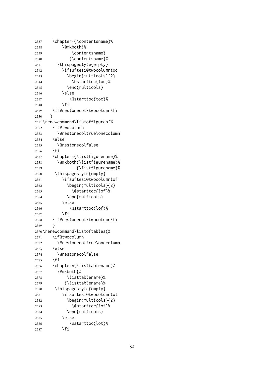```
2537 \chapter*{\contentsname}%
2538 \@mkboth{%
2539 \contentsname}
2540 {\contentsname}%
2541 \thispagestyle{empty}
2542 \ifsuftesi@twocolumntoc
2543 \begin{multicols}{2}
2544 \@starttoc{toc}%
2545 \end{multicols}
2546 \else
2547 \@starttoc{toc}%
2548 \fi
2549 \if@restonecol\twocolumn\fi
2550 }
2551 \renewcommand\listoffigures{%
2552 \if@twocolumn
2553 \@restonecoltrue\onecolumn
2554 \else
2555 \@restonecolfalse
2556 \fi
2557 \chapter*{\listfigurename}%
2558 \@mkboth{\listfigurename}%
2559 {\listfigurename}%
2560 \thispagestyle{empty}
2561 \ifsuftesi@twocolumnlof
2562 \begin{multicols}{2}
2563 \@starttoc{lof}%
2564 \end{multicols}
2565 \else
2566 \@starttoc{lof}%
2567 \fi
2568 \if@restonecol\twocolumn\fi
2569 }
2570 \renewcommand\listoftables{%
2571 \if@twocolumn
2572 \@restonecoltrue\onecolumn
2573 \else
2574 \@restonecolfalse
2575 \fi
2576 \chapter*{\listtablename}%
2577 \@mkboth{%
2578 \listtablename}%
2579 {\listtablename}%
2580 \thispagestyle{empty}
2581 \ifsuftesi@twocolumnlot
2582 \begin{multicols}{2}
2583 \@starttoc{lot}%
2584 \end{multicols}
2585 \else
2586 \@starttoc{lot}%
2587 \fi
```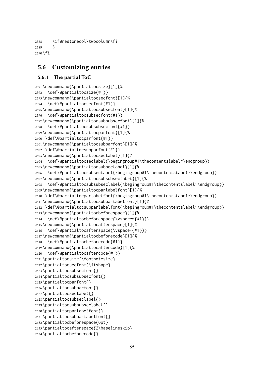\if@restonecol\twocolumn\fi } \fi

### 5.6 Customizing entries

### 5.6.1 The partial ToC

```
2591 \newcommand{\partialtocsize}[1]{%
2592 \def\@partialtocsize{#1}}
2593 \newcommand{\partialtocsecfont}[1]{%
2594 \def\@partialtocsecfont{#1}}
2595 \newcommand{\partialtocsubsecfont}[1]{%
2596 \def\@partialtocsubsecfont{#1}}
2597 \newcommand{\partialtocsubsubsecfont}[1]{%
2598 \def\@partialtocsubsubsecfont{#1}}
2599 \newcommand{\partialtocparfont}[1]{%
2600 \def\@partialtocparfont{#1}}
2601 \newcommand{\partialtocsubparfont}[1]{%
2602 \def\@partialtocsubparfont{#1}}
2603 \newcommand{\partialtocseclabel}[1]{%
2604 \def\@partialtocseclabel{\begingroup#1\thecontentslabel~\endgroup}}
2605 \newcommand{\partialtocsubseclabel}[1]{%
2606 \def\@partialtocsubseclabel{\begingroup#1\thecontentslabel~\endgroup}}
2607 \newcommand{\partialtocsubsubseclabel}[1]{%
2608 \def\@partialtocsubsubseclabel{\begingroup#1\thecontentslabel~\endgroup}}
2609 \newcommand{\partialtocparlabelfont}[1]{%
2610 \def\@partialtocparlabelfont{\begingroup#1\thecontentslabel~\endgroup}}
2611 \newcommand{\partialtocsubparlabelfont}[1]{%
2612 \def\@partialtocsubparlabelfont{\begingroup#1\thecontentslabel~\endgroup}}
2613 \newcommand{\partialtocbeforespace}[1]{%
2614 \def\@partialtocbeforespace{\vspace*{#1}}}
2615 \newcommand{\partialtocafterspace}[1]{%
2616 \def\@partialtocafterspace{\vspace*{#1}}}
2617 \newcommand{\partialtocbeforecode}[1]{%
2618 \def\@partialtocbeforecode{#1}}
2619 \newcommand{\partialtocaftercode}[1]{%
2620 \def\@partialtocaftercode{#1}}
2621 \partialtocsize{\footnotesize}
2622 \partialtocsecfont{\itshape}
2623 \partialtocsubsecfont{}
2624 \partialtocsubsubsecfont{}
2625 \partialtocparfont{}
2626 \partialtocsubparfont{}
2627 \partialtocseclabel{}
2628 \partialtocsubseclabel{}
2629 \partialtocsubsubseclabel{}
2630 \partialtocparlabelfont{}
2631 \partialtocsubparlabelfont{}
2632 \partialtocbeforespace{0pt}
2633 \partialtocafterspace{2\baselineskip}
2634 \partialtocbeforecode{}
```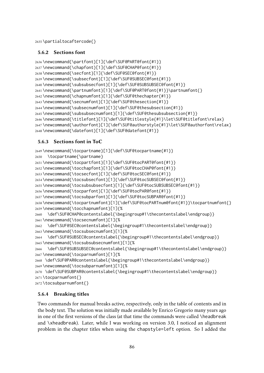\partialtocaftercode{}

### 5.6.2 Sections font

```
2636 \newcommand{\partfont}[1]{\def\SUF@PART@font{#1}}
2637 \newcommand{\chapfont}[1]{\def\SUF@CHAP@font{#1}}
2638 \newcommand{\secfont}[1]{\def\SUF@SEC@font{#1}}
2639 \newcommand{\subsecfont}[1]{\def\SUF@SUBSEC@font{#1}}
2640 \newcommand{\subsubsecfont}[1]{\def\SUF@SUBSUBSEC@font{#1}}
2641 \newcommand{\partnumfont}[1]{\def\SUF@PART@font{#1}}\partnumfont{}
2642 \newcommand{\chapnumfont}[1]{\def\SUF@thechapter{#1}}
2643 \newcommand{\secnumfont}[1]{\def\SUF@thesection{#1}}
2644 \newcommand{\subsecnumfont}[1]{\def\SUF@thesubsection{#1}}
2645 \newcommand{\subsubsecnumfont}[1]{\def\SUF@thesubsubsection{#1}}
2646 \newcommand{\titlefont}[1]{\def\SUF@titlestyle{#1}\let\SUF@titlefont\relax}
2647 \newcommand{\authorfont}[1]{\def\SUF@authorstyle{#1}\let\SUF@authorfont\relax}
2648 \newcommand{\datefont}[1]{\def\SUF@datefont{#1}}
```
## 5.6.3 Sections font in ToC

```
2649 \newcommand{\tocpartname}[1]{\def\SUF@tocpartname{#1}}
2650 \tocpartname{\partname}
2651 \newcommand{\tocpartfont}[1]{\def\SUF@tocPART@font{#1}}
2652 \newcommand{\tocchapfont}[1]{\def\SUF@tocCHAP@font{#1}}
2653 \newcommand{\tocsecfont}[1]{\def\SUF@tocSEC@font{#1}}
2654 \newcommand{\tocsubsecfont}[1]{\def\SUF@tocSUBSEC@font{#1}}
2655 \newcommand{\tocsubsubsecfont}[1]{\def\SUF@tocSUBSUBSEC@font{#1}}
2656 \newcommand{\tocparfont}[1]{\def\SUF@tocPAR@font{#1}}
2657 \newcommand{\tocsubparfont}[1]{\def\SUF@tocSUBPAR@font{#1}}
2658 \newcommand{\tocpartnumfont}[1]{\def\SUF@tocPARTnum@font{#1}}\tocpartnumfont{}
2659 \newcommand{\tocchapnumfont}[1]{%
2660 \def\SUF@CHAP@contentslabel{\begingroup#1\thecontentslabel\endgroup}}
2661 \newcommand{\tocsecnumfont}[1]{%
2662 \def\SUF@SEC@contentslabel{\begingroup#1\thecontentslabel\endgroup}}
2663 \newcommand{\tocsubsecnumfont}[1]{%
2664 \def\SUF@SUBSEC@contentslabel{\begingroup#1\thecontentslabel\endgroup}}
2665 \newcommand{\tocsubsubsecnumfont}[1]{%
2666 \def\SUF@SUBSUBSEC@contentslabel{\begingroup#1\thecontentslabel\endgroup}}
2667 \newcommand{\tocparnumfont}[1]{%
2668 \def\SUF@PAR@contentslabel{\begingroup#1\thecontentslabel\endgroup}}
2669 \newcommand{\tocsubparnumfont}[1]{%
2670 \def\SUF@SUBPAR@contentslabel{\begingroup#1\thecontentslabel\endgroup}}
2671 \tocparnumfont{}
```
### \tocsubparnumfont{}

### 5.6.4 Breaking titles

Two commands for manual breaks active, respectively, only in the table of contents and in the body text. The solution was initially made available by Enrico Gregorio many years ago in one of the first versions of the class (at that time the commands were called \headbreak and \xheadbreak). Later, while I was working on version 3.0, I noticed an alignment problem in the chapter titles when using the chapstyle=left option. So I added the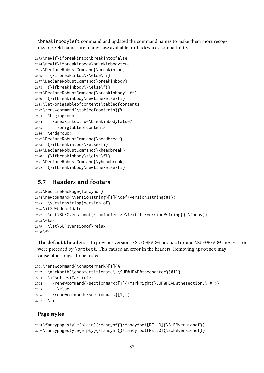\breakinbodyleft command and updated the command names to make them more recognizable. Old names are in any case available for backwards compatibility.

```
2673 \newif\ifbreakintoc\breakintocfalse
2674 \newif\ifbreakinbody\breakinbodytrue
2675 \DeclareRobustCommand{\breakintoc}
2676 {\ifbreakintoc\\\else\fi}
2677 \DeclareRobustCommand{\breakinbody}
2678 {\ifbreakinbody\\\else\fi}
2679 \DeclareRobustCommand{\breakinbodyleft}
2680 {\ifbreakinbody\newline\else\fi}
2681 \let\origtableofcontents\tableofcontents
2682 \renewcommand{\tableofcontents}{%
2683 \begingroup
2684 \breakintoctrue\breakinbodyfalse%
2685 \origtableofcontents
2686 \endgroup}
2687 \DeclareRobustCommand{\headbreak}
2688 {\ifbreakintoc\\\else\fi}
2689 \DeclareRobustCommand{\xheadbreak}
2690 {\ifbreakinbody\\\else\fi}
2691 \DeclareRobustCommand{\yheadbreak}
2692 {\ifbreakinbody\newline\else\fi}
```
# 5.7 Headers and footers

```
2693 \RequirePackage{fancyhdr}
2694 \newcommand{\versionstring}[1]{\def\version@string{#1}}
2695 \versionstring{Version of}
2696 \ifSUF@draftdate
2697 \def\SUF@versionof{\footnotesize\texttt{\version@string{} \today}}
2698 \else
2699 \let\SUF@versionof\relax
2700 \fi
```
The **default** headers In previous versions \SUF@HEAD@thechapter and \SUF@HEAD@thesection were preceded by \protect. This caused an error in the headers. Removing \protect may cause other bugs. To be tested.

```
2701 \renewcommand{\chaptermark}[1]{%
2702 \markboth{\chaptertitlename\ \SUF@HEAD@thechapter}{#1}}
2703 \ifsuftesi@article
2704 \renewcommand{\sectionmark}[1]{\markright{\SUF@HEAD@thesection.\ #1}}
2705 \else
2706 \renewcommand{\sectionmark}[1]{}
2707 \fi
```
### Page styles

```
2708 \fancypagestyle{plain}{\fancyhf{}\fancyfoot[RE,LO]{\SUF@versionof}}
2709 \fancypagestyle{empty}{\fancyhf{}\fancyfoot[RE,LO]{\SUF@versionof}}
```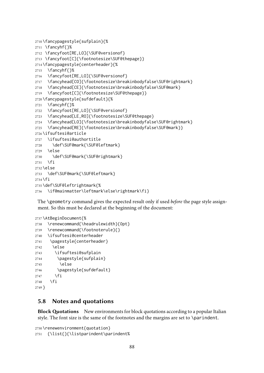```
2710 \fancypagestyle{sufplain}{%
2711 \fancyhf{}%
2712 \fancyfoot[RE,LO]{\SUF@versionof}
2713 \fancyfoot[C]{\footnotesize\SUF@thepage}}
2714 \fancypagestyle{centerheader}{%
2715 \fancyhf{}%
2716 \fancyfoot[RE,LO]{\SUF@versionof}
2717 \fancyhead[CO]{\footnotesize\breakinbodyfalse\SUF@rightmark}
2718 \fancyhead[CE]{\footnotesize\breakinbodyfalse\SUF@mark}
2719 \fancyfoot[C]{\footnotesize\SUF@thepage}}
2720 \fancypagestyle{sufdefault}{%
2721 \fancyhf{}%
2722 \fancyfoot[RE,LO]{\SUF@versionof}
2723 \fancyhead[LE,RO]{\footnotesize\SUF@thepage}
2724 \fancyhead[LO]{\footnotesize\breakinbodyfalse\SUF@rightmark}
2725 \fancyhead[RE]{\footnotesize\breakinbodyfalse\SUF@mark}}
2726 \ifsuftesi@article
2727 \ifsuftesi@authortitle
2728 \def\SUF@mark{\SUF@leftmark}
2729 \else
2730 \def\SUF@mark{\SUF@rightmark}
2731 \text{ }\; \text{Vfi}2732 \else
2733 \def\SUF@mark{\SUF@leftmark}
2734 \fi
2735 \def\SUF@leftrightmark{%
2736 \if@mainmatter\leftmark\else\rightmark\fi}
```
The \geometry command gives the expected result only if used *before* the page style assignment. So this must be declared at the beginning of the document:

```
2737 \AtBeginDocument{%
2738 \renewcommand{\headrulewidth}{0pt}
2739 \renewcommand{\footnoterule}{}
2740 \ifsuftesi@centerheader
2741 \pagestyle{centerheader}
2742 \else
2743 \ifsuftesi@sufplain
2744 \pagestyle{sufplain}
2745 \else
2746 \pagestyle{sufdefault}
2747 \fi
2748 \fi
2749 }
```
### 5.8 Notes and quotations

**Block Quotations** New environments for block quotations according to a popular Italian style. The font size is the same of the footnotes and the margins are set to \parindent.

```
2750 \renewenvironment{quotation}
2751 {\list{}{\listparindent\parindent%
```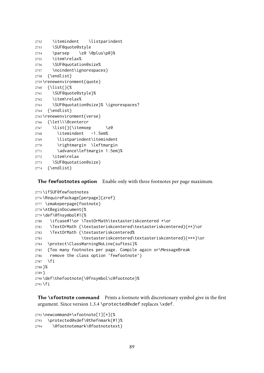```
2752 \itemindent \listparindent
2753 \SUF@quote@style
2754 \parsep \z@ \@plus\p@}%
2755 \item\relax%
2756 \SUF@quotation@size%
2757 \noindent\ignorespaces}
2758 {\endlist}
2759 \renewenvironment{quote}
2760 {\list{}{%
2761 \SUF@quote@style}%
2762 \item\relax%
2763 \SUF@quotation@size}% \ignorespaces?
2764 {\endlist}
2765 \renewenvironment{verse}
2766 {\let\\\@centercr
2767 \list{}{\itemsep \z@
2768 \itemindent -1.5em%
2769 \listparindent\itemindent
2770 \rightmargin \leftmargin
2771 \advance\leftmargin 1.5em}%
2772 \item\relax
2773 \SUF@quotation@size}
2774 {\endlist}
```
The **fewfootnotes** option Enable only with three footnotes per page maximum.

```
2775 \ifSUF@fewfootnotes
2776 \RequirePackage[perpage]{zref}
2777 \zmakeperpage{footnote}
2778 \AtBeginDocument{%
2779 \def\@fnsymbol#1{%
2780 \ifcase#1\or \TextOrMath\textasteriskcentered *\or
2781 \TextOrMath {\textasteriskcentered\textasteriskcentered}{**}\or
2782 \TextOrMath {\textasteriskcentered%
2783 \textasteriskcentered\textasteriskcentered}{***}\or
2784 \protect\ClassWarningNoLine{suftesi}%
2785 {Too many footnotes per page. Compile again or\MessageBreak
2786 remove the class option 'fewfootnote'}
2787 \fi
2788 }%
2789 }
2790 \def\thefootnote{\@fnsymbol\c@footnote}%
2791 \fi
```
The **\xfootnote** command Prints a footnote with discretionary symbol give in the first argument. Since version 1.3.4 \protected@xdef replaces \xdef.

```
2792 \newcommand*\xfootnote[1][*]{%
2793 \protected@xdef\@thefnmark{#1}%
2794 \@footnotemark\@footnotetext}
```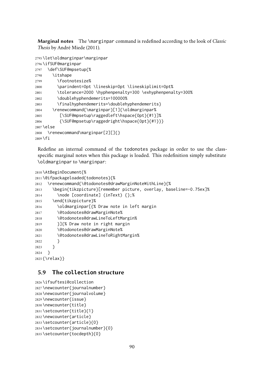Marginal notes The \marginpar command is redefined according to the look of *Classic Thesis* by André [Miede](#page-103-0) [\(2011\)](#page-103-0).

```
2795 \let\oldmarginpar\marginpar
2796 \ifSUF@marginpar
2797 \def\SUF@mpsetup{%
2798 \itshape
2799 \footnotesize%
2800 \parindent=0pt \lineskip=0pt \lineskiplimit=0pt%
2801 \tolerance=2000 \hyphenpenalty=300 \exhyphenpenalty=300%
2802 \doublehyphendemerits=100000%
2803 \finalhyphendemerits=\doublehyphendemerits}
2804 \renewcommand{\marginpar}[1]{\oldmarginpar%
2805 [\SUF@mpsetup\raggedleft\hspace{0pt}{#1}]%
2806 {\SUF@mpsetup\raggedright\hspace{0pt}{#1}}}
2807 \else
2808 \renewcommand\marginpar[2][]{}
2809 \fi
```
Redefine an internal command of the todonotes package in order to use the classspecific marginal notes when this package is loaded. This redefinition simply substitute \oldmarginpar to \marginpar:

```
2810 \AtBeginDocument{%
2811 \@ifpackageloaded{todonotes}{%
2812 \renewcommand{\@todonotes@drawMarginNoteWithLine}{%
2813 \begin{tikzpicture}[remember picture, overlay, baseline=-0.75ex]%
2814 \node [coordinate] (inText) {};%
2815 \end{tikzpicture}%
2816 \oldmarginpar[{% Draw note in left margin
2817 \@todonotes@drawMarginNote%
2818 \@todonotes@drawLineToLeftMargin%
2819 }]{% Draw note in right margin
2820 \@todonotes@drawMarginNote%
2821 \@todonotes@drawLineToRightMargin%
2822 }
2823 }
2824 }
2825 {\relax}}
```
# 5.9 The **collection** structure

```
2826 \ifsuftesi@collection
2827 \newcounter{journalnumber}
2828 \newcounter{journalvolume}
2829 \newcounter{issue}
2830 \newcounter{title}
2831 \setcounter{title}{1}
2832 \newcounter{article}
2833 \setcounter{article}{0}
2834 \setcounter{journalnumber}{0}
2835 \setcounter{tocdepth}{0}
```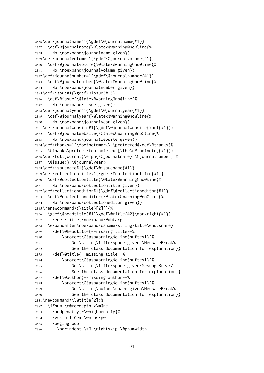```
2836 \def\journalname#1{\gdef\@journalname{#1}}
2837 \def\@journalname{\@latex@warning@no@line{%
2838 No \noexpand\journalname given}}
2839 \def\journalvolume#1{\gdef\@journalvolume{#1}}
2840 \def\@journalvolume{\@latex@warning@no@line{%
2841 No \noexpand\journalvolume given}}
2842\def\journalnumber#1{\gdef\@journalnumber{#1}}
2843 \def\@journalnumber{\@latex@warning@no@line{%
2844 No \noexpand\journalnumber given}}
2845 \def\issue#1{\gdef\@issue{#1}}
2846 \def\@issue{\@latex@warning@no@line{%
2847 No \noexpand\issue given}}
2848 \def\journalyear#1{\gdef\@journalyear{#1}}
2849 \def\@journalyear{\@latex@warning@no@line{%
2850 No \noexpand\journalyear given}}
2851 \def\journalwebsite#1{\gdef\@journalwebsite{\url{#1}}}
2852 \def\@journalwebsite{\@latex@warning@no@line{%
2853 No \noexpand\journalwebsite given}}
2854 \def\thanks#1{\footnotemark\ \protected@xdef\@thanks{%
2855 \@thanks\protect\footnotetext[\the\c@footnote]{#1}}}
2856 \def\fulljournal{\emph{\@journalname} \@journalnumber, %
2857 \@issue{} \@journalyear}
2858 \def\issuename#1{\gdef\@issuename{#1}}
2859 \def\collectiontitle#1{\gdef\@collectiontitle{#1}}
2860 \def\@collectiontitle{\@latex@warning@no@line{%
2861 No \noexpand\collectiontitle given}}
2862 \def\collectioneditor#1{\gdef\@collectioneditor{#1}}
2863 \def\@collectioneditor{\@latex@warning@no@line{%
2864 No \noexpand\collectioneditor given}}
2865 \renewcommand*{\title}[2][]{%
2866 \gdef\@headtitle{#1}\gdef\@title{#2}\markright{#1}}
2867 \edef\title{\noexpand\@dblarg
2868 \expandafter\noexpand\csname\string\title\endcsname}
2869 \def\@headtitle{--missing title--%
2870 \protect\ClassWarningNoLine{suftesi}{%
2871 No \string\title\space given \MessageBreak%
2872 See the class documentation for explanation}}
2873 \def\@title{--missing title--%
2874 \protect\ClassWarningNoLine{suftesi}{%
2875 No \string\title\space given\MessageBreak%
2876 See the class documentation for explanation}}
2877 \def\@author{--missing author--%
2878 \protect\ClassWarningNoLine{suftesi}{%
2879 No \string\author\space given\MessageBreak%
2880 See the class documentation for explanation}}
2881 \newcommand*\l@title[2]{%
2882 \ifnum \c@tocdepth >\m@ne
2883 \addpenalty{-\@highpenalty}%
2884 \vskip 1.0ex \@plus\p@
2885 \begingroup
2886 \parindent \z@ \rightskip \@pnumwidth
```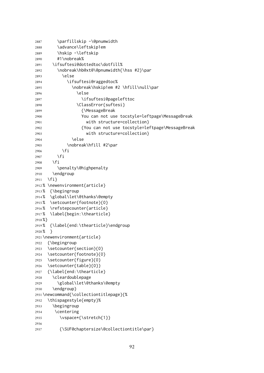```
2887 \parfillskip -\@pnumwidth
2888 \advance\leftskip1em
2889 \hskip -\leftskip
2890 #1\nobreak%
2891 \ifsuftesi@dottedtoc\dotfill%
2892 \nobreak\hb@xt@\@pnumwidth{\hss #2}\par
2893 \else
2894 \ifsuftesi@raggedtoc%
2895 \nobreak\hskip1em #2 \hfill\null\par
2896 \else
2897 \ifsuftesi@pagelefttoc
2898 \ClassError{suftesi}
2899 {\MessageBreak
2900 You can not use tocstyle=leftpage\MessageBreak
2901 with structure=collection}
2902 {You can not use tocstyle=leftpage\MessageBreak
2903 with structure=collection}
2904 \else
2905 \nobreak\hfill #2\par
2906 \fi
2907 \fi
2908 \fi
2909 \penalty\@highpenalty
2910 \endgroup
2911 \fi}
2912 % \newenvironment{article}
2913 % {\begingroup
2914 % \global\let\@thanks\@empty
2915 % \setcounter{footnote}{0}
2916 % \refstepcounter{article}
2917 % \label{begin:\thearticle}
2918 %}
2919 % {\label{end:\thearticle}\endgroup
2920 % }
2921 \newenvironment{article}
2922 {\begingroup
2923 \setcounter{section}{0}
2924 \setcounter{footnote}{0}
2925 \setcounter{figure}{0}
2926 \setcounter{table}{0}}
2927 {\label{end:\thearticle}
2928 \cleardoublepage
2929 \global\let\@thanks\@empty
2930 \endgroup}
2931 \newcommand{\collectiontitlepage}{%
2932 \thispagestyle{empty}%
2933 \begingroup
2934 \centering
2935 \vspace*{\stretch{1}}
2936
2937 {\SUF@chaptersize\@collectiontitle\par}
```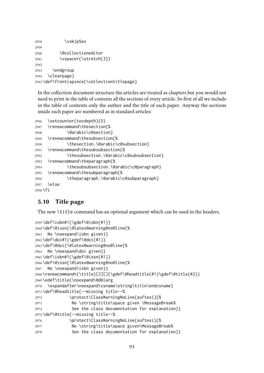```
2938 \vskip5ex
2939
2940 \@collectioneditor
2941 \vspace*{\stretch{3}}
2942
2943 \endgroup
2944 \clearpage}
2945 \def\frontispiece{\collectiontitlepage}
```
In the collection document structure the articles are treated as chapters but you would not need to print in the table of contents all the sections of every article. So first of all we include in the table of contents only the author and the title of each paper. Anyway the sections inside each paper are numbered as in standard articles:

```
2946 \setcounter{tocdepth}{0}
2947 \renewcommand\thesection{%
2948 \@arabic\c@section}
2949 \renewcommand\thesubsection{%
2950 \thesection.\@arabic\c@subsection}
2951 \renewcommand\thesubsubsection{%
2952 \thesubsection.\@arabic\c@subsubsection}
2953 \renewcommand\theparagraph{%
2954 \thesubsubsection.\@arabic\c@paragraph}
2955 \renewcommand\thesubparagraph{%
2956 \theparagraph.\@arabic\c@subparagraph}
2957 \else
2958 \fi
```
# 5.10 Title page

The new \title command has an optional argument which can be used in the headers.

```
2959 \def\isbn#1{\gdef\@isbn{#1}}
2960 \def\@issn{\@latex@warning@no@line{%
2961 No \noexpand\isbn given}}
2962 \def\doi#1{\gdef\@doi{#1}}
2963 \def\@doi{\@latex@warning@no@line{%
2964 No \noexpand\doi given}}
2965 \def\isbn#1{\gdef\@issn{#1}}
2966 \def\@issn{\@latex@warning@no@line{%
2967 No \noexpand\isbn given}}
2968 \renewcommand*{\title}[2][]{\gdef\@headtitle{#1}\gdef\@title{#2}}
2969 \edef\title{\noexpand\@dblarg
2970 \expandafter\noexpand\csname\string\title\endcsname}
2971 \def\@headtitle{--missing title--%
2972 \protect\ClassWarningNoLine{suftesi}{%
2973 No \string\title\space given \MessageBreak%
2974 See the class documentation for explanation}}
2975 \def\@title{--missing title--%
2976 \protect\ClassWarningNoLine{suftesi}{%
2977 No \string\title\space given\MessageBreak%
2978 See the class documentation for explanation}}
```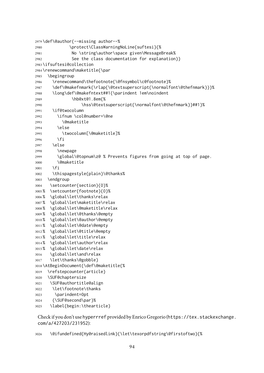```
2979 \def\@author{--missing author--%
2980 \protect\ClassWarningNoLine{suftesi}{%
2981 No \string\author\space given\MessageBreak%
2982 See the class documentation for explanation}}
2983 \ifsuftesi@collection
2984 \renewcommand\maketitle{\par
2985 \begingroup
2986 \renewcommand\thefootnote{\@fnsymbol\c@footnote}%
2987 \def\@makefnmark{\rlap{\@textsuperscript{\normalfont\@thefnmark}}}%
2988 \long\def\@makefntext##1{\parindent 1em\noindent
2989 \hb@xt@1.8em{%
2990 \hss\@textsuperscript{\normalfont\@thefnmark}}##1}%
2991 \if@twocolumn
2992 \ifnum \col@number=\@ne
2993 \@maketitle
2994 \else
2995 \twocolumn[\@maketitle]%
2996 \fi
2997 \else
2998 \newpage
2999 \global\@topnum\z@ % Prevents figures from going at top of page.
3000 \@maketitle
3001 \fi
3002 \thispagestyle{plain}\@thanks%
3003 \endgroup
3004 \setcounter{section}{0}%
3005 % \setcounter{footnote}{0}%
3006 % \global\let\thanks\relax
3007 % \global\let\maketitle\relax
3008 % \global\let\@maketitle\relax
3009 % \global\let\@thanks\@empty
3010 % \global\let\@author\@empty
3011 % \global\let\@date\@empty
3012 % \global\let\@title\@empty
3013 % \global\let\title\relax
3014 % \global\let\author\relax
3015 % \global\let\date\relax
3016 \global\let\and\relax
3017 \let\thanks\@gobble}
3018 \AtBeginDocument{\def\@maketitle{%
3019 \refstepcounter{article}
3020 \SUF@chaptersize
3021 \SUF@authortitle@align
3022 \let\footnote\thanks
3023 \parindent=0pt
3024 {\SUF@second\par}%
3025 \label{begin:\thearticle}
```
Check if you don't use hyperrref provided by Enrico Gregorio ([https://tex.stackexchan](https://tex.stackexchange.com/a/427203/231952)ge. [com/a/427203/231952](https://tex.stackexchange.com/a/427203/231952)):

\@ifundefined{Hy@raisedlink}{\let\texorpdfstring\@firstoftwo}{%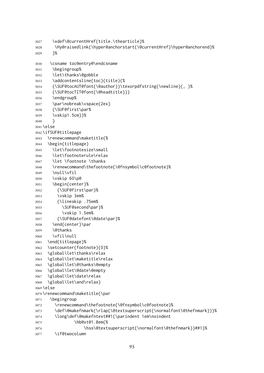```
3027 \xdef\@currentHref{title.\thearticle}%
3028 \Hy@raisedlink{\hyper@anchorstart{\@currentHref}\hyper@anchorend}%
3029 }%
3030 \csname toc@entry@\endcsname
3031 \begingroup%
3032 \let\thanks\@gobble
3033 \addcontentsline{toc}{title}{%
3034 {\SUF@tocAUT@font{\@author}}\texorpdfstring{\newline}{, }%
3035 {\SUF@tocTIT@font{\@headtitle}}}
3036 \endgroup%
3037 \par\nobreak\vspace{2ex}
3038 {\SUF@first\par%
3039 \vskip1.5cm}}%
3040 }
3041 \else
3042 \ifSUF@titlepage
3043 \renewcommand\maketitle{%
3044 \begin{titlepage}
3045 \let\footnotesize\small
3046 \let\footnoterule\relax
3047 \let \footnote \thanks
3048 \renewcommand\thefootnote{\@fnsymbol\c@footnote}%
3049 \null\vfil
3050 \vskip 60\p@
3051 \begin{center}%
3052 {\SUF@first\par}%
3053 \vskip 3em%
3054 {\lineskip .75em%
3055 \SUF@second\par}%
3056 \vskip 1.5em%
3057 {\SUF@datefont\@date\par}%
3058 \end{center}\par
3059 \@thanks
3060 \vfil\null
3061 \end{titlepage}%
3062 \setcounter{footnote}{0}%
3063 \global\let\thanks\relax
3064 \global\let\maketitle\relax
3065 \global\let\@thanks\@empty
3066 \global\let\@date\@empty
3067 \global\let\date\relax
3068 \global\let\and\relax}
3069 \else
3070 \renewcommand\maketitle{\par
3071 \begingroup
3072 \renewcommand\thefootnote{\@fnsymbol\c@footnote}%
3073 \def\@makefnmark{\rlap{\@textsuperscript{\normalfont\@thefnmark}}}%
3074 \long\def\@makefntext##1{\parindent 1em\noindent
3075 \hb@xt@1.8em{%
3076 \hss\@textsuperscript{\normalfont\@thefnmark}}##1}%
3077 \if@twocolumn
```

```
95
```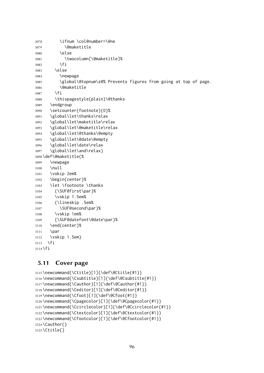```
3078 \ifnum \col@number=\@ne
3079 \@maketitle
3080 \else
3081 \twocolumn[\@maketitle]%
3082 \fi
3083 \else
3084 \newpage
3085 \global\@topnum\z@% Prevents figures from going at top of page.
3086 \@maketitle
3087 \fi
3088 \thispagestyle{plain}\@thanks
3089 \endgroup
3090 \setcounter{footnote}{0}%
3091 \global\let\thanks\relax
3092 \global\let\maketitle\relax
3093 \global\let\@maketitle\relax
3094 \global\let\@thanks\@empty
3095 \global\let\@date\@empty
3096 \global\let\date\relax
3097 \global\let\and\relax}
3098 \def\@maketitle{%
3099 \newpage
3100 \null
3101 \vskip 2em%
3102 \begin{center}%
3103 \let \footnote \thanks
3104 {\SUF@first\par}%
3105 \vskip 1.5em%
3106 {\lineskip .5em%
3107 \SUF@second\par}%
3108 \vskip 1em%
3109 {\SUF@datefont\@date\par}%
3110 \end{center}%
3111 \par
3112 \vskip 1.5em}
3113 \fi
3114 \fi
```
## 5.11 Cover page

```
3115 \newcommand{\Ctitle}[1]{\def\@Ctitle{#1}}
3116 \newcommand{\Csubtitle}[1]{\def\@Csubtitle{#1}}
3117 \newcommand{\Cauthor}[1]{\def\@Cauthor{#1}}
3118 \newcommand{\Ceditor}[1]{\def\@Ceditor{#1}}
3119 \newcommand{\Cfoot}[1]{\def\@Cfoot{#1}}
3120 \newcommand{\Cpagecolor}[1]{\def\@Cpagecolor{#1}}
3121 \newcommand{\Ccirclecolor}[1]{\def\@Ccirclecolor{#1}}
3122 \newcommand{\Ctextcolor}[1]{\def\@Ctextcolor{#1}}
3123 \newcommand{\Cfootcolor}[1]{\def\@Cfootcolor{#1}}
3124 \Cauthor{}
3125 \Ctitle{}
```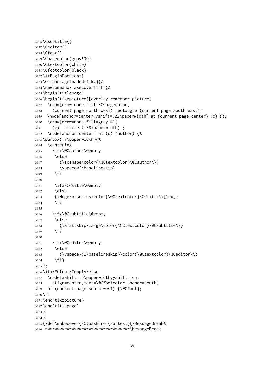```
3126 \Csubtitle{}
3127 \Ceditor{}
3128 \Cfoot{}
3129 \Cpagecolor{gray!30}
3130 \Ctextcolor{white}
3131 \Cfootcolor{black}
3132 \AtBeginDocument{
3133 \@ifpackageloaded{tikz}{%
3134 \newcommand\makecover[1][]{%
3135 \begin{titlepage}
3136 \begin{tikzpicture}[overlay,remember picture]
3137 \draw[draw=none,fill=\@Cpagecolor]
3138 (current page.north west) rectangle (current page.south east);
3139 \node[anchor=center,yshift=.22\paperwidth] at (current page.center) (c) {};
3140 \draw[draw=none,fill=gray,#1]
3141 (c) circle (.38\paperwidth) ;
3142 \node[anchor=center] at (c) (author) {%
3143 \parbox{.7\paperwidth}{%
3144 \centering
3145 \ifx\@Cauthor\@empty
3146 \else
3147 {\scshape\color{\@Ctextcolor}\@Cauthor\\}
3148 \vspace*{\baselineskip}
3149 \fi
3150
3151 \ifx\@Ctitle\@empty
3152 \else
3153 {\Huge\bfseries\color{\@Ctextcolor}\@Ctitle\\[1ex]}
3154 \fi
3155
3156 \ifx\@Csubtitle\@empty
3157 \else
3158 {\smallskip\Large\color{\@Ctextcolor}\@Csubtitle\\}
3159 \fi
3160
3161 \ifx\@Ceditor\@empty
3162 \else
3163 {\vspace*{2\baselineskip}\color{\@Ctextcolor}\@Ceditor\\}
3164 \fi}
3165 };
3166 \ifx\@Cfoot\@empty\else
3167 \node[xshift=.5\paperwidth,yshift=1cm,
3168 align=center,text=\@Cfootcolor,anchor=south]
3169 at (current page.south west) {\@Cfoot};
3170 \fi
3171 \end{tikzpicture}
3172 \end{titlepage}
3173 }
3174 }
3175 {\def\makecover{\ClassError{suftesi}{\MessageBreak%
3176 ***********************************\MessageBreak
```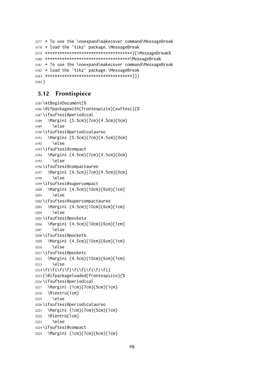```
3177 * To use the \noexpand\makecover command\MessageBreak
3178 * load the 'tikz' package.\MessageBreak
3179 ************************************}{\MessageBreak%
3180 ***********************************\MessageBreak
3181 * To use the \noexpand\makecover command\MessageBreak
3182 * load the 'tikz' package.\MessageBreak
3183 ************************************}}}
3184 }
```
### 5.12 Frontispiece

```
3185 \AtBeginDocument{%
3186 \@ifpackagewith{frontespizio}{suftesi}{%
3187 \ifsuftesi@periodical
3188 \Margini {5.5cm}{7cm}{4.5cm}{0cm}
3189 \else
3190 \ifsuftesi@periodicalaureo
3191 \Margini {5.5cm}{7cm}{4.5cm}{0cm}
3192 \else
3193 \ifsuftesi@compact
3194 \Margini {4.5cm}{7cm}{4.5cm}{0cm}
3195 \else
3196 \ifsuftesi@compactaureo
3197 \Margini {4.5cm}{7cm}{4.5cm}{0cm}
3198 \else
3199 \ifsuftesi@supercompact
3200 \Margini {4.5cm}{10cm}{6cm}{1cm}
3201 \else
3202 \ifsuftesi@supercompactaureo
3203 \Margini {4.5cm}{10cm}{6cm}{1cm}
3204 \else
3205 \ifsuftesi@pocketa
3206 \Margini {4.5cm}{10cm}{6cm}{1cm}
3207 \else
3208 \ifsuftesi@pocketb
3209 \Margini {4.5cm}{10cm}{6cm}{1cm}
3210 \else
3211 \ifsuftesi@pocketc
3212 \Margini {4.5cm}{10cm}{6cm}{1cm}
3213 \else
3214 \fi\fi\fi\fi\fi\fi\fi\fi\fi}
3215 {\@ifpackageloaded{frontespizio}{%
3216 \ifsuftesi@periodical
3217 \Margini {1cm}{7cm}{5cm}{1cm}
3218 \Rientro{1cm}
3219 \else
3220 \ifsuftesi@periodicalaureo
3221 \Margini {1cm}{7cm}{5cm}{1cm}
3222 \Rientro{1cm}
3223 \else
3224 \ifsuftesi@compact
3225 \Margini {1cm}{7cm}{6cm}{1cm}
```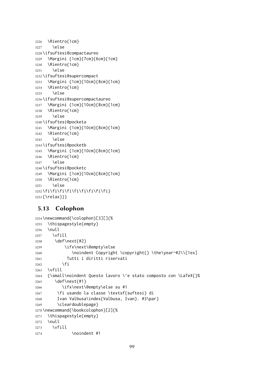```
3226 \Rientro{1cm}
3227 \else
3228 \ifsuftesi@compactaureo
3229 \Margini {1cm}{7cm}{6cm}{1cm}
3230 \Rientro{1cm}
3231 \else
3232 \ifsuftesi@supercompact
3233 \Margini {1cm}{10cm}{8cm}{1cm}
3234 \Rientro{1cm}
3235 \else
3236 \ifsuftesi@supercompactaureo
3237 \Margini {1cm}{10cm}{8cm}{1cm}
3238 \Rientro{1cm}
3239 \else
3240 \ifsuftesi@pocketa
3241 \Margini {1cm}{10cm}{8cm}{1cm}
3242 \Rientro{1cm}
3243 \else
3244 \ifsuftesi@pocketb
3245 \Margini {1cm}{10cm}{8cm}{1cm}
3246 \Rientro{1cm}
3247 \else
3248 \ifsuftesi@pocketc
3249 \Margini {1cm}{10cm}{8cm}{1cm}
3250 \Rientro{1cm}
3251 \else
3252 \fi\fi\fi\fi\fi\fi\fi\fi\fi}
3253 {\relax}}}
```
# 5.13 Colophon

```
3254 \newcommand{\colophon}[3][]{%
3255 \thispagestyle{empty}
3256 \null
3257 \vfill
3258 \def\next{#2}
3259 \ifx\next\@empty\else
3260 \noindent Copyright \copyright{} \the\year~#2\\[1ex]
3261 Tutti i diritti riservati
3262 \fi
3263 \vfill
3264 {\small\noindent Questo lavoro \'e stato composto con \LaTeX{}%
3265 \def\next{#1}
3266 \ifx\next\@empty\else su #1
3267 \fi usando la classe \textsf{suftesi} di
3268 Ivan Valbusa\index{Valbusa, Ivan}. #3\par}
3269 \cleardoublepage}
3270 \newcommand{\bookcolophon}[2]{%
3271 \thispagestyle{empty}
3272 \null
3273 \forallfill
3274 \noindent #1
```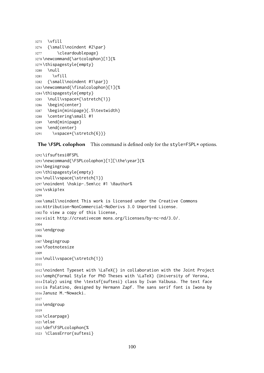```
3275 \vfill
3276 {\small\noindent #2\par}
3277 \cleardoublepage}
3278 \newcommand{\artcolophon}[1]{%
3279 \thispagestyle{empty}
3280 \null
3281 \vfill
3282 {\small\noindent #1\par}}
3283 \newcommand{\finalcolophon}[1]{%
3284 \thispagestyle{empty}
3285 \null\vspace*{\stretch{1}}
3286 \begin{center}
3287 \begin{minipage}{.5\textwidth}
3288 \centering\small #1
3289 \end{minipage}
3290 \end{center}
3291 \vspace*{\stretch{6}}}
```
The **\FSPL** colophon This command is defined only for the style=FSPL\* options.

```
3292 \ifsuftesi@FSPL
3293 \newcommand{\FSPLcolophon}[1][\the\year]{%
3294 \begingroup
3295 \thispagestyle{empty}
3296 \null\vspace{\stretch{1}}
3297 \noindent \hskip-.5em\cc #1 \@author%
3298 \vskip1ex
3299
3300 \small\noindent This work is licensed under the Creative Commons
3301 Attribution-NonCommercial-NoDerivs 3.0 Unported License.
3302 To view a copy of this license,
3303 visit http://creativecom mons.org/licenses/by-nc-nd/3.0/.
3304
3305 \endgroup
3306
3307 \begingroup
3308 \footnotesize
3309
3310 \null\vspace{\stretch{1}}
3311
3312 \noindent Typeset with \LaTeX{} in collaboration with the Joint Project
3313 \emph{Formal Style for PhD Theses with \LaTeX} (University of Verona,
3314 Italy) using the \textsf{suftesi} class by Ivan Valbusa. The text face
3315 is Palatino, designed by Hermann Zapf. The sans serif font is Iwona by
3316 Janusz M.~Nowacki.
3317
3318 \endgroup
3319
3320 \clearpage}
3321 \else
3322 \def\FSPLcolophon{%
3323 \ClassError{suftesi}
```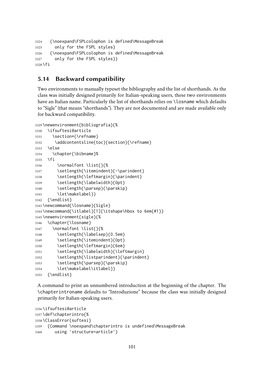```
3324 {\noexpand\FSPLcolophon is defined\MessageBreak
3325 only for the FSPL styles}
3326 {\noexpand\FSPLcolophon is defined\MessageBreak
3327 only for the FSPL styles}}
3328 \fi
```
# 5.14 Backward compatibility

Two environments to manually typeset the bibliography and the list of shorthands. As the class was initially designed primarily for Italian-speaking users, these two environments have an Italian name. Particularly the list of shorthands relies on \losname which defaults to "Sigle" (that means "shorthands"). They are not documented and are made available only for backward compatibility.

```
3329 \newenvironment{bibliografia}{%
```

```
3330 \ifsuftesi@article
3331 \section*{\refname}
3332 \addcontentsline{toc}{section}{\refname}
3333 \else
3334 \chapter{\bibname}%
3335 \fi
3336 \normalfont \list{}{%
3337 \setlength{\itemindent}{-\parindent}
3338 \setlength{\leftmargin}{\parindent}
3339 \setlength{\labelwidth}{0pt}
3340 \setlength{\parsep}{\parskip}
3341 \let\makelabel}}
3342 {\endlist}
3343 \newcommand{\losname}{Sigle}
3344 \newcommand{\itlabel}[1]{\itshape\hbox to 6em{#1}}
3345 \newenvironment{sigle}{%
3346 \chapter{\losname}
3347 \normalfont \list{}{%
3348 \setlength{\labelsep}{0.5em}
3349 \setlength{\itemindent}{0pt}
3350 \setlength{\leftmargin}{6em}
3351 \setlength{\labelwidth}{\leftmargin}
3352 \setlength{\listparindent}{\parindent}
3353 \setlength{\parsep}{\parskip}
3354 \let\makelabel\itlabel}}
3355 {\endlist}
```
A command to print an unnumbered introduction at the beginning of the chapter. The \chapterintroname defaults to "Introduzione" because the class was initially designed primarily for Italian-speaking users.

```
3356 \ifsuftesi@article
3357 \def\chapterintro{%
3358 \ClassError{suftesi}
3359 {Command \noexpand\chapterintro is undefined\MessageBreak
3360 using 'structure=article'}
```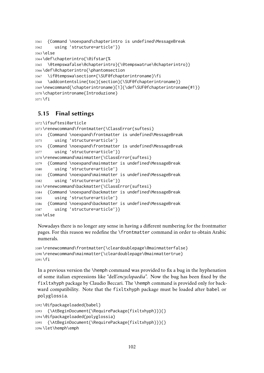```
3361 {Command \noexpand\chapterintro is undefined\MessageBreak
3362 using 'structure=article'}}
3363 \else
3364 \def\chapterintro{\@ifstar{%
3365 \@tempswafalse\@chapterintro}{\@tempswatrue\@chapterintro}}
3366 \def\@chapterintro{\phantomsection
3367 \if@tempswa\section*{\SUF@fchapterintroname}\fi
3368 \addcontentsline{toc}{section}{\SUF@fchapterintroname}}
3369 \newcommand{\chapterintroname}[1]{\def\SUF@fchapterintroname{#1}}
3370 \chapterintroname{Introduzione}
3371 \fi
```
# 5.15 Final settings

```
3372 \ifsuftesi@article
3373 \renewcommand\frontmatter{\ClassError{suftesi}
3374 {Command \noexpand\frontmatter is undefined\MessageBreak
3375 using 'structure=article'}
3376 {Command \noexpand\frontmatter is undefined\MessageBreak
3377 using 'structure=article'}}
3378 \renewcommand\mainmatter{\ClassError{suftesi}
3379 {Command \noexpand\mainmatter is undefined\MessageBreak
3380 using 'structure=article'}
3381 {Command \noexpand\mainmatter is undefined\MessageBreak
3382 using 'structure=article'}}
3383 \renewcommand\backmatter{\ClassError{suftesi}
3384 {Command \noexpand\backmatter is undefined\MessageBreak
3385 using 'structure=article'}
3386 {Command \noexpand\backmatter is undefined\MessageBreak
3387 using 'structure=article'}}
3388 \else
```
Nowadays there is no longer any sense in having a different numbering for the frontmatter pages. For this reason we redefine the \frontmatter command in order to obtain Arabic numerals.

```
3389 \renewcommand\frontmatter{\cleardoublepage\@mainmatterfalse}
3390 \renewcommand\mainmatter{\cleardoublepage\@mainmattertrue}
3391 \fi
```
In a previous version the \hemph command was provided to fix a bug in the hyphenation of some italian expressions like "dell'*encyclopaedia*". Now the bug has been fixed by the fixltxhyph package by Claudio Beccari. The \hemph command is provided only for backward compatibility. Note that the fixltxhyph package must be loaded after babel or polyglossia.

```
3392 \@ifpackageloaded{babel}
3393 {\AtBeginDocument{\RequirePackage{fixltxhyph}}}{}
3394 \@ifpackageloaded{polyglossia}
3395 {\AtBeginDocument{\RequirePackage{fixltxhyph}}}{}
3396 \let\hemph\emph
```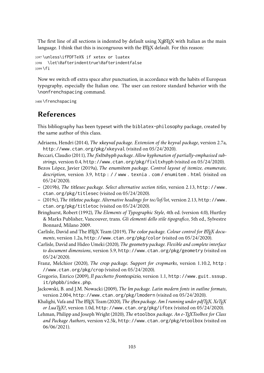The first line of all sections is indented by default using  $X_{\exists}$ EX with Italian as the main language. I think that this is incongruous with the LATEX default. For this reason:

3397 \unless\ifPDFTeX% if xetex or luatex 3398 \let\@afterindenttrue\@afterindentfalse 3399 \fi

Now we switch off extra space after punctuation, in accordance with the habits of European typography, especially the Italian one. The user can restore standard behavior with the \nonfrenchspacing command.

3400 \frenchspacing

# References

This bibliography has been typeset with the biblatex-philosophy package, created by the same author of this class.

- Adriaens, Hendri (2014), *The* xkeyval *package. Extension of the keyval package*, version 2.7a, <http://www.ctan.org/pkg/xkeyval> (visited on 05/24/2020).
- Beccari, Claudio (2011), *The* fixltxhyph *package. Allow hyphenation of partially-emphasised substrings*, version 0.4, <http://www.ctan.org/pkg/fixltxhyph> (visited on 05/24/2020).
- Bezos López, Javier (2019a), *The* enumitem *package. Control layout of itemize, enumerate, description*, version 3.9, [http : / / www . texnia . com / enumitem . html](http://www.texnia.com/enumitem.html) (visited on 05/24/2020).
- (2019b), *The* titlesec *package. Select alternative section titles*, version 2.13, [http://www.](http://www.ctan.org/pkg/titlesec) [ctan.org/pkg/titlesec](http://www.ctan.org/pkg/titlesec) (visited on 05/24/2020).
- (2019c), *The* titletoc *package. Alternative headings for toc/lof/lot*, version 2.13, [http://www.](http://www.ctan.org/pkg/titletoc) [ctan.org/pkg/titletoc](http://www.ctan.org/pkg/titletoc) (visited on 05/24/2020).
- Bringhurst, Robert (1992), *The Elements of Typographic Style*, 4th ed. (version 4.0), Hurtley & Marks Publisher, Vancouver, trans. *Gli elementi dello stile tipografico*, 5th ed., Sylvestre Bonnard, Milano 2009.
- Carlisle, David and The *E*TEX Team (2019), *The color package. Colour control for ETEX documents*, version 1.2a, <http://www.ctan.org/pkg/color> (visited on 05/24/2020).
- Carlisle, David and Hideo Umeki (2020), *The* geometry *package. Flexible and complete interface to document dimensions*, version 5.9, <http://www.ctan.org/pkg/geometry> (visited on 05/24/2020).
- Franz, Melchior (2020), *The* crop *package. Support for cropmarks*, version 1.10.2, [http :](http://www.ctan.org/pkg/crop) [//www.ctan.org/pkg/crop](http://www.ctan.org/pkg/crop) (visited on 05/24/2020).
- Gregorio, Enrico (2009), *Il pacchetto* frontespizio, version 1.1, [http://www.guit.sssup.](http://www.guit.sssup.it/phpbb/index.php) [it/phpbb/index.php](http://www.guit.sssup.it/phpbb/index.php).
- Jackowski, B. and J.M. Nowacki (2009), *The* lm *package. Latin modern fonts in outline formats*, version 2.004, <http://www.ctan.org/pkg/lmodern> (visited on 05/24/2020).
- Khalighi, Vafa and The LATEX Team (2020), *The iftex package. Am I running under pdfTFX, XeTFX or LuaTEX?*, version 1.0d, <http://www.ctan.org/pkg/iftex> (visited on 05/24/2020).
- Lehman, Philipp and Joseph Wright (2020), *The* etoolbox *package. An e-TEXToolbox for Class and Package Authors*, version v2.5k, <http://www.ctan.org/pkg/etoolbox> (visited on 06/06/2021).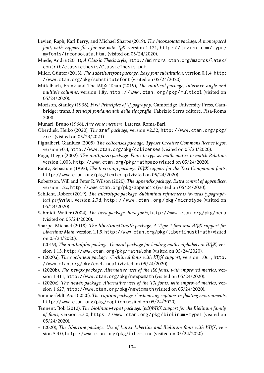- Levien, Raph, Karl Berry, and Michael Sharpe (2019), *The* inconsolata *package. A monospaced font, with support files for use with TEX*, version 1.121, [http : / / levien . com / type /](http://levien.com/type/myfonts/inconsolata.html) [myfonts/inconsolata.html](http://levien.com/type/myfonts/inconsolata.html) (visited on 05/24/2020).
- <span id="page-103-0"></span>Miede, André (2011), *A Classic Thesis style*, [http://mirrors.ctan.org/macros/latex/](http://mirrors.ctan.org/macros/latex/contrib/classicthesis/ClassicThesis.pdf) [contrib/classicthesis/ClassicThesis.pdf](http://mirrors.ctan.org/macros/latex/contrib/classicthesis/ClassicThesis.pdf).
- Milde, Günter (2013), *The* substitutefont *package. Easy font substitution*, version 0.1.4, [http:](http://www.ctan.org/pkg/substitutefont) [//www.ctan.org/pkg/substitutefont](http://www.ctan.org/pkg/substitutefont) (visited on 05/24/2020).
- Mittelbach, Frank and The LATEX Team (2019), *The multicol package. Intermix single and multiple columns*, version 1.8y, [http : / / www . ctan . org / pkg / multicol](http://www.ctan.org/pkg/multicol) (visited on 05/24/2020).
- Morison, Stanley (1936), *First Principles of Typography*, Cambridge University Press, Cambridge; trans. *I principi fondamentali della tipografia*, Fabrizio Serra editore, Pisa-Roma 2008.
- Munari, Bruno (1966), *Arte come mestiere*, Laterza, Roma-Bari.
- Oberdiek, Heiko (2020), *The* zref *package*, version v2.32, [http://www.ctan.org/pkg/](http://www.ctan.org/pkg/zref) [zref](http://www.ctan.org/pkg/zref) (visited on 05/23/2021).
- Pignalberi, Gianluca (2005), *The* cclicenses *package. Typeset Creative Commons licence logos*, version v0.4, <http://www.ctan.org/pkg/cclicenses> (visited on 05/24/2020).
- Puga, Diego (2002), *The* mathpazo *package. Fonts to typeset mathematics to match Palatino*, version 1.003, <http://www.ctan.org/pkg/mathpazo> (visited on 05/24/2020).
- Rahtz, Sebastian (1995), *The* textcomp *package. LATEX support for the Text Companion fonts*, <http://www.ctan.org/pkg/textcomp> (visited on 05/24/2020).
- Robertson, Will and Peter R. Wilson (2020), *The* appendix *package. Extra control of appendices*, version 1.2c, <http://www.ctan.org/pkg/appendix> (visited on 05/24/2020).
- Schlicht, Robert (2019), *The* microtype *package. Subliminal refinements towards typographical perfection*, version 2.7d, [http : / / www . ctan . org / pkg / microtype](http://www.ctan.org/pkg/microtype) (visited on 05/24/2020).
- Schmidt, Walter (2004), *The* bera *package. Bera fonts*, <http://www.ctan.org/pkg/bera> (visited on 05/24/2020).
- Sharpe, Michael (2018), *The libertinust1math package. A Type 1 font and BTEX support for Libertinus Math*, version 1.1.9, <http://www.ctan.org/pkg/libertinust1math> (visited on 05/24/2020).
- (2019), *The* mathalpha *package. General package for loading maths alphabets in LATEX*, version 1.13, <http://www.ctan.org/pkg/mathalpha> (visited on 05/24/2020).
- (2020a), *The* cochineal *package. Cochineal fonts with LATEX support*, version 1.061, [http:](http://www.ctan.org/pkg/cochineal) [//www.ctan.org/pkg/cochineal](http://www.ctan.org/pkg/cochineal) (visited on 05/24/2020).
- (2020b), *The* newpx *package. Alternative uses of the PX fonts, with improved metrics*, version 1.411, <http://www.ctan.org/pkg/newpxmath> (visited on 05/24/2020).
- (2020c), *The* newtx *package. Alternative uses of the TX fonts, with improved metrics*, version 1.627, <http://www.ctan.org/pkg/newtxmath> (visited on 05/24/2020).
- Sommerfeldt, Axel (2020), *The* caption *package. Customising captions in floating environments*, <http://www.ctan.org/pkg/caption> (visited on 05/24/2020).
- Tennent, Bob (2012), *The* biolinum-type1 *package. (pdf)LATEX support for the Biolinum family of fonts*, version 5.3.0, [https : / / www . ctan . org / pkg / biolinum - type1](https://www.ctan.org/pkg/biolinum-type1) (visited on 05/24/2020).
- (2020), *The* libertine *package. Use of Linux Libertine and Biolinum fonts with LATEX*, version 5.3.0, <http://www.ctan.org/pkg/libertine> (visited on 05/24/2020).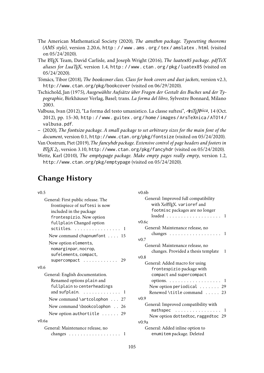- The American Mathematical Society (2020), *The* amsthm *package. Typesetting theorems (AMS style)*, version 2.20.6, [http : / / www . ams . org / tex / amslatex . html](http://www.ams.org/tex/amslatex.html) (visited on 05/24/2020).
- The LATEX Team, David Carlisle, and Joseph Wright (2016), *The* luatex85 *package. pdfTeX aliases for LuaTEX*, version 1.4, [http : / / www . ctan . org / pkg / luatex85](http://www.ctan.org/pkg/luatex85) (visited on 05/24/2020).
- Tómács, Tibor (2018), *The* bookcover *class. Class for book covers and dust jackets*, version v2.3, <http://www.ctan.org/pkg/bookcover> (visited on 06/29/2020).
- Tschichold, Jan (1975), *Ausgewählte Aufsätze über Fragen der Gestalt des Buches und der Typographie*, Birkhäuser Verlag, Basel; trans. *La forma del libro*, Sylvestre Bonnard, Milano 2003.
- Valbusa, Ivan (2012), "La forma del testo umanistico. La classe suftesi", <sup>A</sup>rs*TEXnica*, 14 (Oct. 2012), pp. 15-30, [http : / / www . guitex . org / home / images / ArsTeXnica / AT014 /](http://www.guitex.org/home/images/ArsTeXnica/AT014/valbusa.pdf) [valbusa.pdf](http://www.guitex.org/home/images/ArsTeXnica/AT014/valbusa.pdf).
- (2020), *The* fontsize *package. A small package to set arbitrary sizes for the main font of the document*, version 0.1, <http://www.ctan.org/pkg/fontsize> (visited on 05/24/2020).
- Van Oostrum, Piet (2019), *The* fancyhdr *package. Extensive control of page headers and footers in*  $E/F_X^X2_\epsilon$ , version 3.10, <http://www.ctan.org/pkg/fancyhdr> (visited on 05/24/2020).
- Wette, Karl (2010), *The* emptypage *package. Make empty pages really empty*, version 1.2, <http://www.ctan.org/pkg/emptypage> (visited on 05/24/2020).

 $v \Omega$ 

# Change History

#### v0.5

| General: First public release. The                |
|---------------------------------------------------|
| frontispiece of suftesi is now                    |
| included in the package                           |
| frontespizio. New option                          |
| fullplain Changed option                          |
| sctitles.  1                                      |
| New command chapnumfont 15                        |
| New option elements,                              |
| nomarginpar, nocrop,                              |
| sufelements, compact,                             |
| supercompact<br>- 29                              |
| v0.6                                              |
| General: English documentation.                   |
| Renamed options plain and                         |
| fullplain to centerheadings                       |
| and sufplain. $\ldots \ldots \ldots \ldots$       |
| New command \artcolophon 27                       |
| New command \bookcolophon 26                      |
| New option authortitle $\ldots$ . 29              |
|                                                   |
| v0.6a                                             |
| General: Maintenance release, no                  |
| changes $\ldots \ldots \ldots \ldots \ldots$<br>1 |
|                                                   |

| vv.vv                                                  |
|--------------------------------------------------------|
| General: Improved full compatibility                   |
| with XeLTEX. varioref and                              |
| footmisc packages are no longer                        |
| $loaded \dots$<br>1                                    |
| v0.6c                                                  |
| General: Maintenance release, no                       |
| changes $\ldots \ldots \ldots \ldots$<br>1             |
| v0.7                                                   |
| General: Maintenance release, no                       |
| changes. Provided a thesis template<br>1               |
| v0.8                                                   |
| General: Added macro for using                         |
| frontespizio package with                              |
| compact and supercompact                               |
| options. $\ldots \ldots \ldots \ldots$<br>$\mathbf{I}$ |
| New option periodical $\ldots \ldots$ 29               |
| Renewed \title command  23                             |
| v(0.9)                                                 |
| General: Improved compatibility with                   |
| mathspec<br>.<br>1                                     |
| New option dottedtoc, raggedtoc 29                     |
| $v$ 0.9a                                               |
| General: Added inline option to                        |
| enumitem package. Deleted                              |
|                                                        |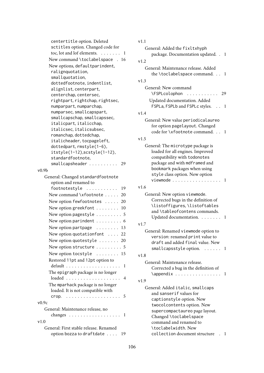| centertitle option. Deleted                               |
|-----------------------------------------------------------|
| sctitles option. Changed code for                         |
| toc, lot and lof elements.<br>1<br>$\ldots$               |
| New command \toclabelspace . 16                           |
| New options, defaultparindent,                            |
| ralignquotation,                                          |
| smallquotation,                                           |
| dottedfootnote, indentlist,                               |
| alignlist, centerpart,                                    |
|                                                           |
| centerchap, centersec,<br>rightpart, rightchap, rightsec, |
|                                                           |
| numparpart, numparchap,                                   |
| numparsec, smallcapspart,                                 |
| smallcapschap, smallcapssec,                              |
| italicpart, italicchap,                                   |
| italicsec, italicsubsec,                                  |
| romanchap, dottedchap,                                    |
| italicheader, tocpageleft,                                |
| dottedpart, rmstyle(1-6),                                 |
| itstyle(1-12), scstyle(1-12),                             |
| standardfootnote,                                         |
| smallcapsheader<br>29                                     |
| v0.9b                                                     |
| General: Changed standardfootnote                         |
| option and renamed to                                     |
| footnotestyle<br>19<br>.                                  |
| New command \xfootnote<br>20                              |
| New option fewfootnotes  20                               |
| New option greekfont 10                                   |
| New option pagestyle $\dots\dots\dots 5$                  |
|                                                           |
| New option parindent $\dots\dots\dots$ 6                  |
| New option partpage $\dots \dots \dots$ 13                |
| New option quotationfont  22                              |
| New option quotestyle $\dots\dots$<br>20                  |
| New option structure  5                                   |
| New option tocstyle  15                                   |
|                                                           |
| Restored 11pt and 12pt option to                          |
| 1                                                         |
| The epigraph package is no longer                         |
| 4                                                         |
| The mparhack package is no longer                         |
| loaded. It is not compatible with                         |
| 5<br>crop.<br>.                                           |
| v0.9c                                                     |
| General: Maintenance release, no                          |
| changes<br>-1                                             |
| v1.0                                                      |
| General: First stable release. Renamed                    |
| option bozza to draftdate<br>19                           |
|                                                           |

| × | . | ÷ | . |  |
|---|---|---|---|--|
|   |   |   |   |  |

| General: Added the fixltxhyph<br>package. Documentation updated. .<br>1                                         |
|-----------------------------------------------------------------------------------------------------------------|
| v1.2                                                                                                            |
| General: Maintenance release. Added<br>the \toclabelspace command<br>1                                          |
| v1.3                                                                                                            |
| General: New command                                                                                            |
| <b>\FSPLcolophon</b><br>29<br>$\begin{array}{cccccccccccccc} . & . & . & . & . & . & . & . & . & . \end{array}$ |
| Updated documentation. Added                                                                                    |
| FSPLa, FSPLb and FSPLc styles.<br>1                                                                             |
| v1.4                                                                                                            |
| General: New value periodicalaureo                                                                              |
| for option pagelayout. Changed                                                                                  |
| code for \xfootnote command<br>1                                                                                |
| v1.5                                                                                                            |
| General: The microtype package is                                                                               |
| loaded for all engines. Improved                                                                                |
| compatibility with todonotes                                                                                    |
| package and with mdframed and                                                                                   |
| bookmark packages when using                                                                                    |
| style class option. New option                                                                                  |
| viewmode<br>1                                                                                                   |
| v1.6                                                                                                            |
| General: New option viewmode.                                                                                   |
| Corrected bugs in the definition of                                                                             |
| \listoffigures, \listoftables                                                                                   |
| and \tableofcontens commands.                                                                                   |
| Updated documentation.<br>1                                                                                     |
| v1.7                                                                                                            |
| General: Renamed viewmode option to                                                                             |
| version: renamed print value to                                                                                 |
| draft and added final value. New                                                                                |
| smallcapsstyle option.<br>1                                                                                     |
| v1.8                                                                                                            |
| General: Maintenance release.                                                                                   |
| Corrected a bug in the definition of                                                                            |
| \appendix<br>1                                                                                                  |
| v1.9                                                                                                            |
| General: Added italic, smallcaps                                                                                |
| and sanserif values for                                                                                         |
| captionstyle option. New                                                                                        |
| twocolcontents option. New                                                                                      |
| supercompactaureo page layout.                                                                                  |
| Changed \toclabelspace                                                                                          |
| command and renamed to                                                                                          |
| \toclabelwidth. New                                                                                             |
| collection document structure<br>1                                                                              |
|                                                                                                                 |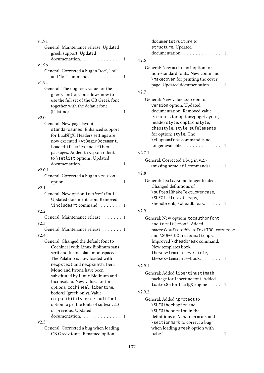| v1.9a                                                                   |   |
|-------------------------------------------------------------------------|---|
| General: Maintenance release. Updated                                   |   |
| greek support. Updated                                                  |   |
| documentation.                                                          | 1 |
| v1.9b                                                                   |   |
| General: Corrected a bug in "toc", "lof"                                |   |
| and "lot" commands.                                                     | 1 |
| v1.9c                                                                   |   |
| General: The cbgreek value for the                                      |   |
| greekfont option allows now to                                          |   |
| use the full set of the CB Greek font                                   |   |
| together with the default font                                          |   |
| (Palatino). $\ldots$<br>.                                               | 1 |
| v2.0                                                                    |   |
| General: New page layout                                                |   |
| standardaureo. Enhanced support                                         |   |
| for LuaLTFX. Headers settings are                                       |   |
| now executed \AtBeginDocument.                                          |   |
| Loaded ifluatex and ifthen                                              |   |
| packages. Added listparindent                                           |   |
| to <b>\setlist</b> options. Updated<br>documentation.                   | 1 |
| v2.0.1                                                                  |   |
| General: Corrected a bug in version                                     |   |
| option. $\ldots \ldots \ldots \ldots \ldots$                            | 1 |
| v2.1                                                                    |   |
| General: New option toc(level) font.                                    |   |
| Updated documentation. Removed                                          |   |
| \includeart command                                                     | 1 |
| v2.2                                                                    |   |
| General: Maintenance release.                                           | 1 |
| v2.3                                                                    |   |
| General: Maintenance release.                                           | 1 |
| v2.4                                                                    |   |
| General: Changed the default font to                                    |   |
| Cochineal with Linux Biolinum sans                                      |   |
| serif and Inconsolata monospaced.                                       |   |
| The Palatino is now loaded with                                         |   |
| newpxtext and newpxmath. Bera                                           |   |
| Mono and Iwona have been                                                |   |
| substituted by Linux Biolinum and                                       |   |
| Inconsolata. New values for font                                        |   |
| options: cochineal, libertine,                                          |   |
| bodoni (greek only). Value                                              |   |
| compatibility for defaultfont                                           |   |
| option to get the fonts of suftesi v2.3                                 |   |
| or previous. Updated                                                    |   |
| documentation<br>$\mathbf{1}$<br>v2.5                                   | 1 |
|                                                                         |   |
| General: Corrected a bug when loading<br>CB Greek fonts. Renamed option |   |

|        | documentstructure to<br>structure. Updated<br>documentation. 1                                                                                                                                                                                                                   |  |
|--------|----------------------------------------------------------------------------------------------------------------------------------------------------------------------------------------------------------------------------------------------------------------------------------|--|
| v2.6   |                                                                                                                                                                                                                                                                                  |  |
|        | General: New mathfont option for<br>non-standard fonts. New command<br>\makecover for printing the cover<br>page. Updated documentation. 1                                                                                                                                       |  |
| v2.7   |                                                                                                                                                                                                                                                                                  |  |
|        | General: New value cscreen for<br>version option. Updated<br>documentation. Removed value<br>elements for options:pagelayout,<br>headerstyle, captionstyle,<br>chapstyle, style; sufelements<br>for option: style. The<br>\chapnumfont command is no<br>longer available.<br>. 1 |  |
| v2.7.1 |                                                                                                                                                                                                                                                                                  |  |
|        | General: Corrected a bug in v.2.7<br>(missing some $\forall$ fi commands). 1                                                                                                                                                                                                     |  |
| v2.8   |                                                                                                                                                                                                                                                                                  |  |
|        | General: textcase no longer loaded.<br>Changed definitions of<br>\suftesi@MakeTextLowercase,<br>\SUF@titlesmallcaps,<br>\headbreak, \xheadbreak. 1                                                                                                                               |  |
| v2.9   |                                                                                                                                                                                                                                                                                  |  |
|        | General: New options tocauthorfont<br>and toctitlefont. Added<br>macros\suftesi@MakeTextTOCLowercase<br>and \SUF@TOCtitlesmallcaps.<br>Improved \xheadbreak command.<br>New templates book,<br>theses-template-article,<br>theses-template-book.  1                              |  |
| v2.9.1 |                                                                                                                                                                                                                                                                                  |  |
|        | General: Added libertinust1math<br>package for Libertine font. Added<br>luatex85 for LuaT <sub>E</sub> X engine 1                                                                                                                                                                |  |
| v2.9.2 |                                                                                                                                                                                                                                                                                  |  |
|        | General: Added \protect to<br>\SUF@thechapter and<br>\SUF@thesection in the<br>definitions of \chaptermark and<br>\sectionmark to correct a bug<br>when loading greek option with                                                                                                |  |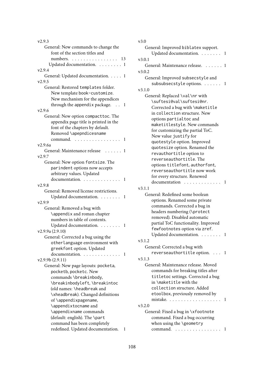| v2.9.3                                                     |
|------------------------------------------------------------|
| General: New commands to change the                        |
| font of the section titles and                             |
| numbers<br>. 13                                            |
|                                                            |
| Updated documentation. 1                                   |
| v2.9.4                                                     |
| General: Updated documentation. 1                          |
| v2.9.5                                                     |
| General: Restored templates folder.                        |
| New template book-customize.                               |
| New mechanism for the appendices                           |
| through the appendix package.<br>1<br>$\ddot{\phantom{0}}$ |
| v2.9.6                                                     |
|                                                            |
| General: New option compacttoc. The                        |
| appendix page title is printed in the                      |
| font of the chapters by default.                           |
| Removed \apepndicesname                                    |
| command.<br>.<br>1<br>.                                    |
| v2.9.6a                                                    |
| General: Maintenance release<br>. 1                        |
|                                                            |
| v2.9.7                                                     |
| General: New option fontsize. The                          |
| parindent options now accepts                              |
| arbitrary values. Updated                                  |
| documentation.<br>1                                        |
| v2.9.8                                                     |
| General: Removed license restrictions.                     |
| Updated documentation.<br>1                                |
| v2.9.9                                                     |
|                                                            |
| General: Removed a bug with                                |
| \appendix and roman chapter                                |
| numbers in table of contents.                              |
| Updated documentation.<br>1                                |
| v2.9.9a (2.9.10)                                           |
| General: Corrected a bug using the                         |
| otherlanguage environment with                             |
|                                                            |
| greekfont option. Updated                                  |
| documentation.<br>1                                        |
| v2.9.9b(2.9.11)                                            |
| General: New page layouts: pocketa,                        |
| pocketb, pocketc. New                                      |
| commands \breakinbody,                                     |
| \breakinbodyleft, \breakintoc                              |
| (old names: \headbreak and                                 |
| \xheadbreak). Changed definitions                          |
|                                                            |
| of \appendixpagename,                                      |
| \appendixtocname and                                       |
| \appendixname commands                                     |
| (default: english). The \part                              |
| command has been completely                                |
| redefined. Updated documentation.<br>1                     |
|                                                            |

| v3.0                                                                 |                |
|----------------------------------------------------------------------|----------------|
| General: Improved biblatex support.                                  |                |
| Updated documentation.                                               | 1              |
| v3.0.1                                                               |                |
| General: Maintenance release.                                        | 1              |
| v3.0.2                                                               |                |
| General: Improved subsecstyle and                                    |                |
| subsubsecstyle options.                                              | 1              |
| v3.1.0                                                               |                |
| General: Replaced \val\nr with                                       |                |
| \suftesi@val\suftesi@nr.                                             |                |
| Corrected a bug with \maketitle                                      |                |
| in collection structure. New                                         |                |
| options partialtoc and                                               |                |
| maketitlestyle. New commands                                         |                |
| for customizing the partial ToC.                                     |                |
| New value justify for                                                |                |
| quotestyle option. Improved<br>quotesize option. Renamed the         |                |
| revauthortitle option to                                             |                |
| reverseauthortitle. The                                              |                |
| options titlefont, authorfont,                                       |                |
| reverseauthortitle now work                                          |                |
| for every structure. Renewed                                         |                |
| documentation                                                        | $\mathbf{1}$   |
| v3.1.1                                                               |                |
| General: Redefined some boolean                                      |                |
| options. Renamed some private                                        |                |
| commands. Corrected a bug in                                         |                |
| headers numbering (\protect                                          |                |
| removed). Disabled automatic                                         |                |
| partial ToC functionality. Improved                                  |                |
| fewfootnotes option via zref.                                        |                |
| Updated documentation.                                               | 1              |
| v3.1.2                                                               |                |
| General: Corrected a bug with                                        |                |
| reverseauthortitle option.  1                                        |                |
| v3.1.3                                                               |                |
| General: Maintenance release. Moved                                  |                |
| commands for breaking titles after                                   |                |
| titletoc settings. Corrected a bug                                   |                |
| in \maketitle with the                                               |                |
| collection structure. Added                                          |                |
| etoolbox, previously removed by<br>mistake.                          | $\overline{1}$ |
|                                                                      |                |
| v3.2.0                                                               |                |
| General: Fixed a bug in \xfootnote<br>command. Fixed a bug occurring |                |
| when using the \geometry                                             |                |
| command.<br>. 1                                                      |                |
|                                                                      |                |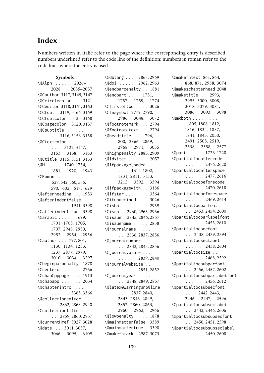# Index

Numbers written in italic refer to the page where the corresponding entry is described; numbers underlined refer to the code line of the definition; numbers in roman refer to the code lines where the entry is used.

#### **Symbols**

\@Alph . . . . . . 2026– 2028, 2035–2037 \@Cauthor 3117, 3145, 3147 \@Ccirclecolor . . . 3121 \@Ceditor 3118, 3161, 3163 \@Cfoot 3119, 3166, 3169 \@Cfootcolor 3123, 3168 \@Cpagecolor 3120, 3137 \@Csubtitle . . . . . . . . 3116, 3156, 3158 \@Ctextcolor . . . . . . . . . 3122, 3147, 3153, 3158, 3163 \@Ctitle 3115, 3151, 3153 \@M . . . . . 1740, 1754, 1881, 1920, 1943 \@Roman . . . . . . . . . 527, 542, 560, 575, 590, 602, 617, 629 \@afterheading . . . 1953 \@afterindentfalse . . . . . . 1941, 3398 \@afterindenttrue 3398 \@arabic . . . . . 1699, 1701, 1703, 1705, 1707, 2948, 2950, 2952, 2954, 2956 \@author . . . 797, 801, 1130, 1134, 1233, 1237, 2877, 2979, 3010, 3034, 3297 \@beginparpenalty 1878 \@centercr . . . . . . 2766 \@chap@pppage . . . 1913 \@chapapp . . . . . . . 2034 \@chapterintro . . . . . . . . . . 3365, 3366 \@collectioneditor . . 2862, 2863, 2940 \@collectiontitle . . . 2859, 2860, 2937 \@currentHref 3027, 3028 \@date . . 3011, 3057, 3066, 3095, 3109 \@dblarg . . . . 2867, 2969 \@doi . . . . . . 2962, 2963 \@endparpenalty . . 1881 \@endpart . . . . 1751, 1757, 1759, 1774 \@firstoftwo . . . . 3026 \@fnsymbol 2779, 2790, 2986, 3048, 3072 \@footnotemark . . . 2794 \@footnotetext . . . 2794 \@headtitle . . . 796, 800, 2866, 2869, 2968, 2971, 3035 \@highpenalty 2883, 2909 \@idxitem . . . . . . . 2057 \@ifpackageloaded . . . . . 1314, 1802, 1831, 2811, 3133, 3215, 3392, 3394 \@ifpackagewith . . 3186 \@ifstar . . . . . . . . 3364 \@ifundefined . . . 3026 \@isbn . . . . . . . . . 2959 \@issn . 2960, 2965, 2966 \@issue 2845, 2846, 2857 \@issuename . . . . . 2858 \@journalname . . . . . . 2836, 2837, 2856 \@journalnumber . . . . . 2842, 2843, 2856 \@journalvolume . . . . . . . . . 2839, 2840 \@journalwebsite . . . . . . . . 2851, 2852 \@journalyear . . . . . . 2848, 2849, 2857 \@latex@warning@no@line  $\ldots$  . 2837, 2840, 2843, 2846, 2849, 2852, 2860, 2863, 2960, 2963, 2966 \@lowpenalty . . . . 1878 \@mainmatterfalse 3389 \@mainmattertrue . 3390 \@makefnmark 2987, 3073

\@makefntext 861, 864, 868, 871, 2988, 3074 \@makeschapterhead 2048 \@maketitle . . 2993, 2995, 3000, 3008, 3018, 3079, 3081, 3086, 3093, 3098 \@mkboth . . . . . . . . . 1805, 1808, 1812, 1816, 1834, 1837, 1841, 1845, 2050, 2491, 2505, 2519, 2538, 2558, 2577 \@part . . . . . 1726, 1728 \@partialtocaftercode . . . . . . 2476, 2620 \@partialtocafterspace . . . . . . 2477, 2616 \@partialtocbeforecode . . . . . . 2470, 2618 \@partialtocbeforespace . . . . . . 2469, 2614 \@partialtocparfont  $\ldots$  2453, 2454, 2600 \@partialtocparlabelfont  $\ldots$  . . . 2453, 2610 \@partialtocsecfont . . 2438, 2439, 2594 \@partialtocseclabel . . . . . . 2438, 2604 \@partialtocsize . . . . . . . . 2468, 2592 \@partialtocsubparfont  $\ldots$  2456, 2457, 2602 \@partialtocsubparlabelfont  $\ldots$  . . . 2456, 2612 \@partialtocsubsecfont  $\ldots$  2442, 2443, 2446, 2447, 2596 \@partialtocsubseclabel  $\ldots$  2442, 2446, 2606 \@partialtocsubsubsecfont  $\ldots$  2450, 2451, 2598 \@partialtocsubsubseclabel . . . . . . 2450, 2608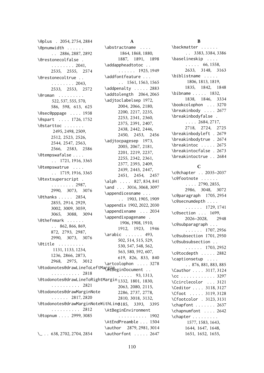\@plus . 2054, 2754, 2884 \@pnumwidth . . . . . . . . 2886, 2887, 2892 \@restonecolfalse . . . . . . . . . 2041, 2535, 2555, 2574 \@restonecoltrue . . . . . . . . . . 2043, 2533, 2553, 2572 \@roman . . . . . . . . . 522, 537, 555, 570, 586, 598, 613, 625 \@sec@pppage . . . . 1938 \@spart . . . . 1726, 1752 \@starttoc . . . . . . . 2495, 2498, 2509, 2512, 2523, 2526, 2544, 2547, 2563, 2566, 2583, 2586 \@tempswafalse . . . . . . 1721, 1916, 3365 \@tempswatrue . . . . . . 1719, 1916, 3365 \@textsuperscript . . . . . . . . . 2987, 2990, 3073, 3076 \@thanks . . . . . 2854, 2855, 2914, 2929, 3002, 3009, 3059, 3065, 3088, 3094 \@thefnmark . . . . . . . . 862, 866, 869, 872, 2793, 2987, 2990, 3073, 3076 \@title . . . . . . . . . 1131, 1133, 1234, 1236, 2866, 2873, 2968, 2975, 3012 \@todonotes@drawLineToLeftMargin<br>2010 - 2010 . . . . . . . . . . 2818 \@todonotes@drawLineToRightMargin 1332, 1801, 1830, . . . . . . . . . . 2821 \@todonotes@drawMarginNote . . . . . . 2817, 2820 \@todonotes@drawMarginNoteWithLine 3185, 3393, 3395 . . . . . . . . . . 2812 \@topnum . . . . 2999, 3085 \<sub>mu</sub> . . 638, 2702, 2704, 2854

#### **A**

\abstractname . . . . 1864, 1868, 1880, 1887, 1891, 1898 \addappheadtotoc . . . . . . . . 1925, 1949 \addfontfeature . . . . . 1561, 1563, 1565 \addpenalty . . . . . 2883 \addtolength 2064, 2065 \adjtoclabelsep 1972, 2004, 2066, 2180, 2200, 2217, 2235, 2253, 2341, 2360, 2375, 2391, 2407, 2438, 2442, 2446, 2450, 2453, 2456 \adjtocpagesep 1973, 2005, 2067, 2181, 2201, 2219, 2237, 2255, 2342, 2361, 2377, 2393, 2409, 2439, 2443, 2447, 2451, 2454, 2457 \alph . . . . 827, 834, 841 \and . . . 3016, 3068, 3097 \appendicesname . . . . . 1903, 1905, 1909 \appendix 1902, 2022, 2030 \appendixname . . . 2034 \appendixpagename . 1906, 1908, 1910, 1912, 1923, 1946 \arabic . . . . . . 493, 502, 514, 515, 529, 530, 547, 548, 562, 563, 580, 592, 607, 619, 826, 833, 840 \artcolophon . . . . 3278  $\ldots$  . 93, 1313, 2063, 2080, 2115, 2286, 2737, 2778, 2810, 3018, 3132, \AtBeginEnvironment . . . . . . . . . . 1902 \AtEndPreamble . . . 1504 \author 2879, 2981, 3014 \authorfont . . . . . 2647

#### **B**

\backmatter . . . . . . . . 3383, 3384, 3386 \baselineskip . . . .  $\ldots$  . 66, 1558, 2633, 3148, 3163 \biblistname . . . . . 1806, 1813, 1819, 1835, 1842, 1848 \bibname . . . . . 1832, 1838, 1846, 3334 \bookcolophon . . . 3270 \breakinbody . . . . 2677 \breakinbodyfalse .  $\ldots$  2684, 2717, 2718, 2724, 2725 \breakinbodyleft . 2679 \breakinbodytrue . 2674 \breakintoc . . . . . 2675 \breakintocfalse . 2673 \breakintoctrue . . 2684 **C** \c@chapter . . 2035–2037 \c@footnote . . . . . .  $\ldots$  . 2790, 2855,

2986, 3048, 3072 \c@paragraph 1705, 2954 \c@secnumdepth . . . . . . . . . . 1729, 1741 \c@section . . . 1699, 2026–2028, 2948 \c@subparagraph . . . . . . . . . 1707, 2956 \c@subsection 1701, 2950 \c@subsubsection . . . . . . . . 1703, 2952 \c@tocdepth . . . . . 2882 \captionsetup . . . . . . 876, 881, 883, 885 \Cauthor . . . . 3117, 3124 \cc . . . . . . . . . . . . 3297 \Ccirclecolor . . . 3121 \Ceditor . . . . 3118, 3127 \Cfoot . . . . . 3119, 3128 \Cfootcolor . 3123, 3131 \chapfont . . . . . . . 2637 \chapnumfont . . . . 2642 \chapter . . . . . . . . . 1577, 1583, 1643, 1644, 1647, 1648, 1651, 1652, 1655,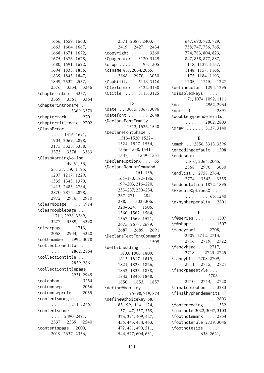1656, 1659, 1660, 1663, 1664, 1667, 1668, 1671, 1672, 1675, 1676, 1678, 1680, 1691, 1692, 1694, 1833, 1836, 1839, 1843, 1847, 1849, 2537, 2557, 2576, 3334, 3346 \chapterintro 3357, 3359, 3361, 3364 \chapterintroname . . . . . . . 3369, 3370 \chaptermark . . . . 2701 \chaptertitlename 2702 \ClassError . . . . . . . . . . 1316, 1691, 1904, 2069, 2898, 3175, 3323, 3358, 3373, 3378, 3383 \ClassWarningNoLine . . . . . 49, 51, 53, 55, 57, 59, 1195, 1207, 1217, 1229, 1335, 1343, 1370, 1413, 2483, 2784, 2870, 2874, 2878, 2972, 2976, 2980 \clear@ppage . . . . 1914 \cleardoublepage . . 1711, 2928, 3269, 3277, 3389, 3390 \clearpage . . . 1713, 2058, 2944, 3320 \col@number . 2992, 3078 \collectioneditor . . . . . . . 2862, 2864 \collectiontitle . . . . . . . . 2859, 2861 \collectiontitlepage . . . . . . 2931, 2945 \colophon . . . . . . . 3254 \columnsep . . . . . . 2056 \columnseprule . . . 2055 \contentsmargin . . . . . . . . . 2114, 2467 \contentsname . . . .  $\ldots$  . 2490, 2491, 2537, 2539, 2540 \contentspage 2000, 2019, 2337, 2356,

2371, 2387, 2403, 2419, 2427, 2434 \copyright . . . . . . 3260 \Cpagecolor . 3120, 3129 \crop . . . . . . . 93, 1305 \csname 857, 2064, 2065, 2868, 2970, 3030 \Csubtitle . . 3116, 3126 \Ctextcolor . 3122, 3130 \Ctitle . . . . 3115, 3125

#### **D**

\date . . 3015, 3067, 3096 \datefont . . . . . . . 2648 \DeclareFontFamily . . 1512, 1526, 1540 \DeclareFontShape . 1513–1520, 1522– 1524, 1527–1534, 1536–1538, 1541– 1547, 1549–1551 \DeclareOptionX . . . 65 \DeclareRobustCommand  $\ldots$  . 151–155, 166–170, 182–186, 199–203, 216–220, 233–237, 250–254, 267–271, 284– 288, 302–306, 320–324, 1506, 1560, 1562, 1564, 1567, 1569, 1571, 2675, 2677, 2679, 2687, 2689, 2691 \DeclareTextFontCommand . . . . . . . . . . 1509 \defbibheading . . . . 1803, 1806, 1809, 1813, 1817, 1819, 1821, 1823, 1826, 1832, 1835, 1838, 1842, 1846, 1848, 1850, 1853, 1857 \define@boolkey . . . . . . 95–98, 719, 874 \define@choicekey 68, 83, 99, 114, 124, 137, 147, 337, 355, 373, 391, 409, 427, 436, 445, 454, 463, 472, 481, 490, 511, 544, 577, 604, 631,

647, 690, 720, 729, 738, 747, 756, 765, 774, 783, 804, 823, 847, 858, 877, 887, 1118, 1127, 1137, 1148, 1157, 1166, 1175, 1184, 1193, 1205, 1215, 1227 \definecolor 1294, 1295 \disable@keys . . . . 71, 1074, 1092, 1111 \doi . . . . . . . 2962, 2964 \dotfill . . . . . . . 2891 \doublehyphendemerits . . . . . . 2802, 2803 \draw . . . . . . 3137, 3140

# **E**

\emph . . 2856, 3313, 3396 \encodingdefault . 1508 \endcsname . . . . . . . . 857, 2064, 2065, 2868, 2970, 3030 \endlist . 2758, 2764, 2774, 3342, 3355 \endquotation 1872, 1895 \ExecuteOptionsX . . . . . . . . . . 66, 1240 \exhyphenpenalty . 2801

# **F**

\f@series . . . . . . . 1507 \f@shape . . . . . . . . 1507 \fancyfoot . . . 2708, 2709, 2712, 2713, 2716, 2719, 2722 \fancyhead . . . 2717, 2718, 2723–2725 \fancyhf . 2708, 2709, 2711, 2715, 2721 \fancypagestyle . . . . . . . . . . 2708– 2710, 2714, 2720 \finalcolophon . . . 3283 \finalhyphendemerits . . . . . . . . . . 2803 \fontencoding . . . 1332 \footnote 3022, 3047, 3103 \footnotemark . . . 2854 \footnoterule 2739, 3046 \footnotesize . . . .  $\ldots$  . 638, 2621,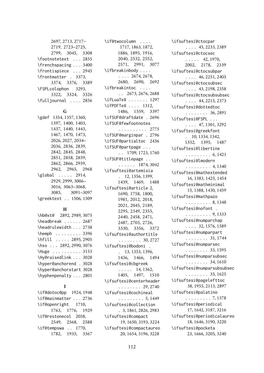2697, 2713, 2717– 2719, 2723–2725, 2799, 3045, 3308 \footnotetext . . . 2855 \frenchspacing . . . 3400 \frontispiece . . . 2945 \frontmatter . 3373, 3374, 3376, 3389 \FSPLcolophon 3293, 3322, 3324, 3326 \fulljournal . . . . 2856

#### **G**

\gdef 1354, 1357, 1360, 1397, 1400, 1403, 1437, 1440, 1443, 1467, 1470, 1473, 2026, 2027, 2034– 2036, 2836, 2839, 2842, 2845, 2848, 2851, 2858, 2859, 2862, 2866, 2959, 2962, 2965, 2968 \global . . . . . 2914, 2929, 2999, 3006– 3016, 3063–3068, 3085, 3091–3097 \greektext . . 1506, 1509

#### **H**

| \hb@xt@ 2892, 2989, 3075 |  |
|--------------------------|--|
| \headbreak  2687         |  |
| \headrulewidth 2738      |  |
| $\hbox{hemph}$ 3396      |  |
| \hfill  2895, 2905       |  |
| \hss  2892, 2990, 3076   |  |
| \Huge 3153               |  |
| \Hy@raisedlink  3028     |  |
| \hyper@anchorend . 3028  |  |
| \hyper@anchorstart 3028  |  |
| \hyphenpenalty 2801      |  |

### **I**

\if@dotoc@pp 1924, 1948 \if@mainmatter . . . 2736 \if@openright 1710, 1763, 1776, 1929 \if@restonecol 2058, 2549, 2568, 2588 \if@tempswa . . 1770, 1782, 1935, 3367 \if@twocolumn . . . . 1717, 1863, 1872, 1886, 1895, 1916, 2040, 2532, 2552, 2571, 2991, 3077 \ifbreakinbody . . . .  $\ldots$  2674, 2678, 2680, 2690, 2692 \ifbreakintoc .... . . 2673, 2676, 2688 \ifLuaTeX . . . . . . . 1297 \ifPDFTeX . . . . 1312, 1486, 1559, 3397 \ifSUF@draftdate . 2696 \ifSUF@fewfootnotes . . . . . . . . . . 2775 \ifSUF@marginpar . 2796 \ifSUF@partialtoc 2436 \ifSUF@partpage . . . . . 1709, 1723, 1760 \ifSUF@titlepage . . . . . . . . 1874, 3042 \ifsuftesi@artemisia . 12, 1356, 1399, 1439, 1469, 1488 \ifsuftesi@article 2, 1690, 1758, 1800, 1981, 2012, 2018, 2021, 2045, 2189, 2295, 2349, 2355, 2440, 2458, 2471, 2487, 2703, 2726, 3330, 3356, 3372 \ifsuftesi@authortitle . . . . . . . . 30, 2727 \ifsuftesi@bodoni . . 13, 1353, 1396, 1436, 1466, 1494 \ifsuftesi@cbgreek . . . . . 14, 1362, 1405, 1497, 1510 \ifsuftesi@centerheader . . . . . . . . 29, 2740 \ifsuftesi@cochineal . . . . . . . . . 5, 1449 \ifsuftesi@collection . 3, 1861, 2826, 2983 \ifsuftesi@compact 19, 1650, 3193, 3224 \ifsuftesi@compactaureo 20, 1654, 3196, 3228

\ifsuftesi@ctocpar . . . . 45, 2233, 2389 \ifsuftesi@ctocsec  $\ldots$  . 42, 1970, 2002, 2178, 2339 \ifsuftesi@ctocsubpar . . . . 46, 2251, 2405 \ifsuftesi@ctocsubsec . . . . 43, 2198, 2358 \ifsuftesi@ctocsubsubsec . . . . 44, 2215, 2373 \ifsuftesi@dottedtoc . . . . . . . . 36, 2891 \ifsuftesi@FSPL . . . . . . . 47, 1301, 3292 \ifsuftesi@greekfont . 10, 1334, 1342, 1352, 1395, 1487 \ifsuftesi@libertine . . . . . . . . . 6, 1421 \ifsuftesi@lmodern . . . . . . . . . 4, 1340 \ifsuftesi@mathextended 16, 1383, 1425, 1454 \ifsuftesi@mathminimal 15, 1388, 1430, 1459 \ifsuftesi@mathpazo . . . . . . . . . 8, 1348 \ifsuftesi@nofont . . . . . . . . . . 9, 1333 \ifsuftesi@numparchap . . . . 32, 1576, 1589 \ifsuftesi@numparpart . . . . . . . . 31, 1744 \ifsuftesi@numparsec . . . . . . . . 33, 1595 \ifsuftesi@numparsubsec . . . . . . . . 34, 1610 \ifsuftesi@numparsubsubsec . . . . . . . . 35, 1625 \ifsuftesi@pagelefttoc 38, 1955, 2113, 2897 \ifsuftesi@palatino . . . . . . . . . 7, 1378 \ifsuftesi@periodical 17, 1642, 3187, 3216 \ifsuftesi@periodicalaureo 18, 1646, 3190, 3220 \ifsuftesi@pocketa 23, 1666, 3205, 3240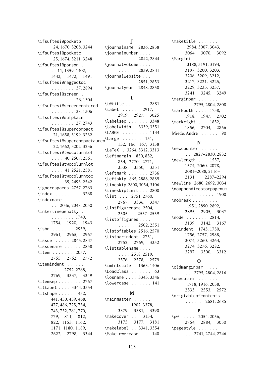\ifsuftesi@pocketb 24, 1670, 3208, 3244 \ifsuftesi@pocketc 25, 1674, 3211, 3248 \ifsuftesi@porson . . 11, 1359, 1402, 1442, 1472, 1491 \ifsuftesi@raggedtoc . . . . . . . . 37, 2894 \ifsuftesi@screen . . . . . . . . . 26, 1304 \ifsuftesi@screencentered . . . . . . . . 28, 1306 \ifsuftesi@sufplain . . . . . . . . 27, 2743 \ifsuftesi@supercompact 21, 1658, 3199, 3232 \ifsuftesi@supercompactaureo \Large . . . . . . . 151, 22, 1662, 3202, 3236 \ifsuftesi@twocolumnlof  $\ldots$  . 40, 2507, 2561 \ifsuftesi@twocolumnlot . . . . 41, 2521, 2581 \ifsuftesi@twocolumntoc . . . . 39, 2493, 2542 \ignorespaces 2757, 2763 \index . . . . . . . . . 3268 \indexname . . . . . . . . . 2046, 2048, 2050 \interlinepenalty . . . . . . . . . 1740, 1754, 1920, 1943 \isbn . . . . . . . 2959, 2961, 2965, 2967 \issue . . . . . 2845, 2847 \issuename . . . . . . 2858 \item . . . . . . 2057, 2755, 2762, 2772 \itemindent . . . . . .  $\ldots$  2752, 2768. 2769, 3337, 3349 \itemsep . . . . . . . . 2767 \itlabel . . . . 3344, 3354 \itshape . . . . . 432. 441, 450, 459, 468, 477, 486, 725, 734, 743, 752, 761, 770, 779, 811, 812, 822, 1153, 1162, 1171, 1180, 1189, 2622, 2798, 3344

**J**

#### **L**

\l@title . . . . . . . . 2881 \label . . . . . . 2917, 2919, 2927, 3025 \labelsep . . . . . . . 3348 \labelwidth . 3339, 3351 \LARGE . . . . . . . . . 1144 152, 166, 167, 3158 \LaTeX . 3264, 3312, 3313 \leftmargin 850, 852, 854, 2770, 2771, 3338, 3350, 3351 \leftmark . . . . . . . 2736 \leftskip 865, 2888, 2889 \lineskip 2800, 3054, 3106 \lineskiplimit . . . 2800 \list . . . 2751, 2760, 2767, 3336, 3347 \listfigurename 2504, 2505, 2557–2559 \listoffigures . . . .  $\ldots$  . . . 2502, 2551 \listoftables 2516, 2570 \listparindent 2751, 2752, 2769, 3352 \listtablename . . . . . . . . 2518, 2519, 2576, 2578, 2579 \lmfntscale . 1363, 1406 \LoadClass . . . . . . . 63 \losname . . . . 3343, 3346 \lowercase . . . . . . . 141

### **M**

\mainmatter . . . . . . . . . . 1902, 3378, 3379, 3381, 3390 \makecover . . . 3134, 3175, 3177, 3181 \makelabel . . 3341, 3354 \MakeLowercase . . . 140

\maketitle . . . . . . . 2984, 3007, 3043, 3064, 3070, 3092 \Margini . . . . . . . . . 3188, 3191, 3194, 3197, 3200, 3203, 3206, 3209, 3212, 3217, 3221, 3225, 3229, 3233, 3237, 3241, 3245, 3249 \marginpar . . . . . . . . . 2795, 2804, 2808 \markboth . . . . 1738, 1918, 1947, 2702 \markright . . . 1852, 1856, 2704, 2866 Miede, André . . . . . . [90](#page-89-0)

# **N**

\newcounter . . . . . . . . 2827–2830, 2832 \newlength . . . 1557, 1574, 2060, 2078, 2081–2088, 2116– 2131, 2287–2294 \newline 2680, 2692, 3034 \noappendicestocpagenum . . . . . . . . . . 1900 \nobreak . . . . . . . . . 1951, 2890, 2892, 2895, 2905, 3037 \node . . . . . . 2814, 3139, 3142, 3167 \noindent 1743, 1750, 1756, 2757, 2988, 3074, 3260, 3264, 3274, 3276, 3282, 3297, 3300, 3312

# **O**

\oldmarginpar . . . . . . 2795, 2804, 2816 \onecolumn . . . . . . . 1718, 1916, 2058, 2533, 2553, 2572 \origtableofcontents . . . . . . 2681, 2685

# **P**

\p@ . . . . . 2054, 2056, 2754, 2884, 3050 \pagestyle . . . . . . . . . 2741, 2744, 2746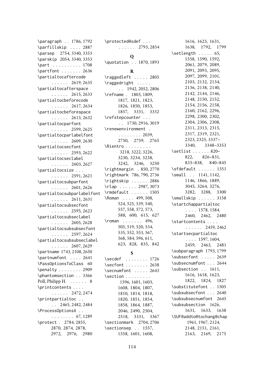\paragraph . . 1786, 1792 \parfillskip . . . . 2887 \parsep 2754, 3340, 3353 \parskip 2054, 3340, 3353 \part . . . . . . . . . 1708 \partfont . . . . . . . 2636 \partialtocaftercode . . . . . . 2619, 2635 \partialtocafterspace . . . . . . 2615, 2633 \partialtocbeforecode . . . . . . 2617, 2634 \partialtocbeforespace . . . . . . 2613, 2632 \partialtocparfont . . . . . . 2599, 2625 \partialtocparlabelfont . . . . . . 2609, 2630 \partialtocsecfont . . . . . . 2593, 2622 \partialtocseclabel  $\ldots$  . . . 2603, 2627 \partialtocsize . . . . . . . . . 2591, 2621 \partialtocsubparfont . . . . . . 2601, 2626 \partialtocsubparlabelfont . . . . . . 2611, 2631 \partialtocsubsecfont . . . . . . 2595, 2623 \partialtocsubseclabel . . . . . . 2605, 2628 \partialtocsubsubsecfont . . . . . . 2597, 2624 \partialtocsubsubseclabel . . . . . . 2607, 2629 \partname 1743, 2108, 2650 \partnumfont . . . . 2641 \PassOptionsToClass 60 \penalty . . . . . . . . 2909 \phantomsection . . 3366 Poll, Philipp H. . . . . . . [8](#page-7-0) \printcontents . . . . . . . . . . 2472, 2474 \printpartialtoc . . . . 2465, 2482, 2484 \ProcessOptionsX . . . . . . . . . . 67, 1289 \protect . 2784, 2855, 2870, 2874, 2878, 2972, 2976, 2980

\protected@xdef . . . . . . . . . 2793, 2854

#### **Q**

\quotation . . 1870, 1893

#### **R**

\raggedleft . . . . . 2805 \raggedright . . . . . . . 1942, 2052, 2806 \refname . 1803, 1809, 1817, 1821, 1823, 1826, 1850, 1853, 1857, 3331, 3332 \refstepcounter . . . . . 1730, 2916, 3019 \renewenvironment . . . . . . . . . 2039, 2750, 2759, 2765 \Rientro . . . . . . . . . 3218, 3222, 3226, 3230, 3234, 3238, 3242, 3246, 3250 \rightmargin . 850, 2770 \rightmark 786, 790, 2736 \rightskip . . . . . . 2886 \rlap . . . . . . 2987, 3073 \rmdefault . . . . . . 1505 \Roman . . . . 499, 508, 524, 525, 539, 540, 557, 558, 572, 573, 588, 600, 615, 627 \roman . . . . . . . 496, 505, 519, 520, 534, 535, 552, 553, 567, 568, 584, 596, 611, 623, 828, 835, 842

### **S**

\secdef . . . . . . . . 1726 \secfont . . . . . . . . 2638 \secnumfont . . . . . 2643 \section . . . . . . . . . 1596, 1601, 1603, 1608, 1804, 1807, 1810, 1814, 1818, 1820, 1851, 1854, 1858, 1864, 1887, 2046, 2490, 2504, 2518, 3331, 3367 \sectionmark 2704, 2706 \sectionsep . . 1557, 1558, 1601, 1608,

1616, 1623, 1631, 1638, 1792, 1799 \setlength . . . . . 65, 1558, 1590, 1592, 2061, 2079, 2089, 2091, 2093, 2095, 2097, 2099, 2101, 2103, 2132, 2134, 2136, 2138, 2140, 2142, 2144, 2146, 2148, 2150, 2152, 2154, 2156, 2158, 2160, 2162, 2296, 2298, 2300, 2302, 2304, 2306, 2308, 2311, 2313, 2315, 2317, 2319, 2321, 2323, 2325, 3337– 3340, 3348–3353 \setlist . . . . . . 820-<br>822, 826-831, 826–831. 833–838, 840–845 \sfdefault . . . . . . 1351 \small . . 1141, 1142, 1146, 1866, 1889, 3045, 3264, 3276, 3282, 3288, 3300 \smallskip . . . . . . 3158 \startchappartialtoc . . . . 1578, 1584, 2460, 2462, 2480 \startcontents . . . . . . . . . . 2459, 2462 \startsecpartialtoc  $\ldots$  . 1597, 1604, 2459, 2463, 2481 \subparagraph 1793, 1799 \subsecfont . . . . . 2639 \subsecnumfont . . . 2644 \subsection . . 1611, 1616, 1618, 1623, 1822, 1824, 1827 \substitutefont . . 1505 \subsubsecfont . . . 2640 \subsubsecnumfont 2645 \subsubsection 1626, 1631, 1633, 1638 \SUF@addto@tochang@chap 1961, 1967, 2124, 2148, 2151, 2161, 2163, 2169, 2175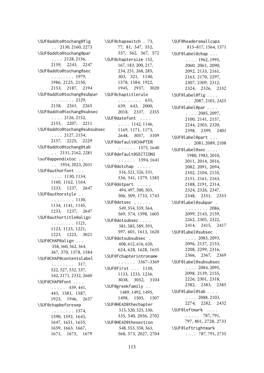\SUF@addto@tochang@fig . . 2130, 2160, 2273 \SUF@addto@tochang@par . . . . 2128, 2156, 2159, 2243, 2247 \SUF@addto@tochang@sec . . . . . . . . 1979, 1986, 2125, 2150, 2153, 2187, 2194 \SUF@addto@tochang@subpar . . . . . . . . 2129, 2158, 2261, 2265 \SUF@addto@tochang@subsec . . . . 2126, 2152, 2155, 2207, 2211 \SUF@addto@tochang@subsubsec  $\ldots$  2127, 2154, 2157, 2225, 2229 \SUF@addto@tochang@tab . . 2131, 2162, 2281 \suf@appendixtoc . . . . 1954, 2023, 2031 \SUF@authorfont . . . . . . . 1130, 1134, 1160, 1162, 1164, 1233, 1237, 2647 \SUF@authorstyle . . . . . . . . . . 1130, 1134, 1141, 1145, 1233, 1237, 2647 \SUF@authortitle@align . . . . . . . . 1121, 1123, 1125, 1221, 1223, 1225, 3021 \SUF@CHAP@align . . . 358, 360, 362, 364, 367, 370, 1578, 1584 \SUF@CHAP@contentslabel . . . . . . . . 517, 522, 527, 532, 537, 542, 2171, 2332, 2660 \SUF@CHAP@font . . . .  $\ldots$  . 439, 441, 443, 1581, 1587, 1923, 1946, 2637 \SUF@chapbeforesep . . . . . . . . 1574, 1590, 1592, 1643, 1647, 1651, 1655, 1659, 1663, 1667, 1671, 1675, 1679

\SUF@chapswitch . 73, 77, 81, 547, 552, 557, 562, 567, 572 \SUF@chaptersize 152, 167, 183, 200, 217, 234, 251, 268, 285, 303, 321, 1140, 1578, 1584, 1922, 1945, 2937, 3020 \SUF@chaptitlerule . . . . . . . . 635, 639, 643, 2000, 2018, 2337, 2355 \SUF@datefont . . . .  $\ldots$  . 1142, 1146, 1169, 1171, 1173, 2648, 3057, 3109 \SUF@default@CHAPTER . . . . . . 1575, 1640 \SUF@default@SECTIONS . . . . . . 1594, 1641 \SUF@dotchap . . . . . 516, 521, 526, 531, 536, 541, 1579, 1585 \SUF@dotpart . . . . . 494, 497, 500, 503, 506, 509, 1733, 1743 \SUF@dotsec . . . . . . 549, 554, 559, 564, 569, 574, 1598, 1605 \SUF@dotsubsec . . . . 581, 585, 589, 593, 597, 601, 1613, 1620 \SUF@dotsubsubsec . 608, 612, 616, 620, 624, 628, 1628, 1635 \SUF@fchapterintroname . . . . . . 3367–3369 \SUF@first . . . 1130, 1133, 1233, 1236, 3038, 3052, 3104 \SUF@greekfamily . . 1489, 1492, 1495, 1498, 1505, 1507 \SUF@HEAD@thechapter 515, 520, 525, 530, 535, 540, 2036, 2702 \SUF@HEAD@thesection 548, 553, 558, 563, 568, 573, 2027, 2704 \SUF@headersmallcaps 815–817, 1564, 1571 \SUF@label@chap . . . . . . . 1962, 1995, 2060, 2061, 2090, 2092, 2133, 2161, 2163, 2170, 2297, 2307, 2309, 2312, 2324, 2326, 2332 \SUF@label@fig . . . .  $\ldots$  2087, 2101, 2425 \SUF@label@par . . . .  $\ldots$  . 2085, 2097, 2100, 2141, 2157, 2244, 2303, 2320, 2398, 2399, 2401 \SUF@label@part . . . . . 2081, 2089, 2108 \SUF@label@sec . . . . 1980, 1983, 2010, 2011, 2014, 2016, 2082, 2091, 2094, 2102, 2104, 2135, 2151, 2161, 2163, 2188, 2191, 2314, 2324, 2326, 2347, 2348, 2351, 2353 \SUF@label@subpar . . . . . . . . . 2086, 2099, 2143, 2159, 2262, 2305, 2322, 2414, 2415, 2417 \SUF@label@subsec .  $\ldots$  . 2083, 2093, 2096, 2137, 2153, 2208, 2299, 2316, 2366, 2367, 2369 \SUF@label@subsubsec  $\ldots$  . 2084, 2095, 2098, 2139, 2155, 2226, 2301, 2318, 2382, 2383, 2385 \SUF@label@tab . . . .  $\ldots$  2088, 2103, 2274, 2282, 2432 \SUF@leftmark . . . .  $\ldots$  . 787, 791, 797, 801, 2728, 2733 \SUF@leftrightmark . . . . 787, 791, 2735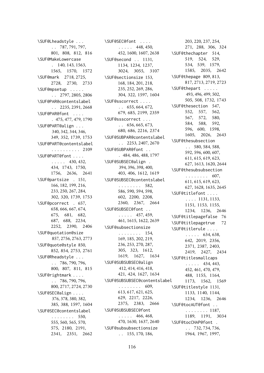\SUF@Lheadstyle . . . . . 787, 791, 797, 801, 808, 812, 816 \SUF@MakeLowercase . 140, 143, 1563, 1565, 1570, 1572 \SUF@mark 2718, 2725, 2728, 2730, 2733 \SUF@mpsetup . . . . . . . 2797, 2805, 2806 \SUF@PAR@contentslabel . . 2235, 2391, 2668 \SUF@PAR@font . . . . . 475, 477, 479, 1790 \SUF@PART@align . . . 340, 342, 344, 346, 349, 352, 1739, 1753 \SUF@PART@contentslabel . . . . . . . . . . 2109 \SUF@PART@font . . . .  $\ldots$  . 430, 432, 434, 1743, 1750, 1756, 2636, 2641 \SUF@partsize . 151, 166, 182, 199, 216, 233, 250, 267, 284, 302, 320, 1739, 1753 \SUF@pcorrect . 657, 658, 666, 667, 674, 675, 681, 682, 687, 688, 2234, 2252, 2390, 2406 \SUF@quotation@size 857, 2756, 2763, 2773 \SUF@quote@style 850, 852, 854, 2753, 2761 \SUF@Rheadstyle . . . . . 786, 790, 796, 800, 807, 811, 815 \SUF@rightmark . . . . . . 786, 790, 796, 800, 2717, 2724, 2730 \SUF@SEC@align . . . . 376, 378, 380, 382, 385, 388, 1597, 1604 \SUF@SEC@contentslabel . . . . . . . . 550, 555, 560, 565, 570, 575, 2180, 2191, 2341, 2351, 2662 \SUF@SEC@font . . . .  $\ldots$  . 448, 450, 452, 1600, 1607, 2638 \SUF@second . . 1131, 1134, 1234, 1237, 3024, 3055, 3107 \SUF@sectionsize 153, 168, 184, 201, 218, 235, 252, 269, 286, 304, 322, 1597, 1604 \SUF@sscorrect . . . .  $\ldots$  655, 664, 672, 679, 685, 2199, 2359 \SUF@ssscorrect . . .  $\ldots$  656, 665, 673, 680, 686, 2216, 2374 \SUF@SUBPAR@contentslabel . . 2253, 2407, 2670 \SUF@SUBPAR@font . . . 484, 486, 488, 1797 \SUF@SUBSEC@align . 394, 396, 398, 400, 403, 406, 1612, 1619 \SUF@SUBSEC@contentslabel . . . . . . . . 582, 586, 590, 594, 598, 602, 2200, 2208, 2360, 2367, 2664 \SUF@SUBSEC@font . .  $\ldots$  . 457, 459, 461, 1615, 1622, 2639 \SUF@subsectionsize . . . . . . . . 154, 169, 185, 202, 219, 236, 253, 270, 287, 305, 323, 1612, 1619, 1627, 1634 \SUF@SUBSUBSEC@align 412, 414, 416, 418, 421, 424, 1627, 1634 \SUF@SUBSUBSEC@contentslabel . . . . . . . . 609, 613, 617, 621, 625, 629, 2217, 2226, 2375, 2383, 2666 \SUF@SUBSUBSEC@font  $\ldots$  . 466, 468, 470, 1630, 1637, 2640 \SUF@subsubsectionsize . . 155, 170, 186,

203, 220, 237, 254, 271, 288, 306, 324 \SUF@thechapter 514, 519, 524, 529, 534, 539, 1579, 1585, 2035, 2642 \SUF@thepage 809, 813, 817, 2713, 2719, 2723 \SUF@thepart . . . . . 493, 496, 499, 502, 505, 508, 1732, 1743 \SUF@thesection 547, 552, 557, 562, 567, 572, 580, 584, 588, 592, 596, 600, 1598, 1605, 2026, 2643 \SUF@thesubsection . . 580, 584, 588, 592, 596, 600, 607, 611, 615, 619, 623, 627, 1613, 1620, 2644 \SUF@thesubsubsection . . . . . . . . 607, 611, 615, 619, 623, 627, 1628, 1635, 2645 \SUF@titlefont . . . . . . . . 1131, 1133, 1151, 1153, 1155, 1234, 1236, 2646 \SUF@titlepagefalse 76 \SUF@titlepagetrue 72 \SUF@titlerule . . . .  $\ldots$  . 634, 638, 642, 2019, 2356, 2371, 2387, 2403, 2419, 2427, 2434 \SUF@titlesmallcaps  $\ldots$  . 434, 443, 452, 461, 470, 479, 488, 1155, 1164, 1173, 1562, 1569 \SUF@titlestyle 1131, 1133, 1140, 1144, 1234, 1236, 2646 \SUF@tocAUT@font . . . . . . . . . . 1187, 1189, 1191, 3034 \SUF@tocCHAP@font . . . 732, 734, 736, 1964, 1967, 1997,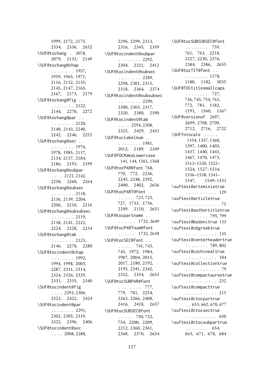1999, 2172, 2175, 2334, 2336, 2652 \SUF@tochang . 2078, 2079, 2133, 2149 \SUF@tochang@chap . . . . . . . . . 1957, 1959, 1965, 1971, 2116, 2132, 2135, 2145, 2147, 2165, 2167, 2173, 2179 \SUF@tochang@fig . . . . . . . . . . 2122, 2144, 2270, 2272 \SUF@tochang@par . . . . . . . . . . 2120, 2140, 2143, 2240, 2242, 2246, 2252 \SUF@tochang@sec . . . . . . . . . . 1976, 1978, 1985, 2117, 2134, 2137, 2184, 2186, 2193, 2199 \SUF@tochang@subpar . . . . 2121, 2142, 2258, 2260, 2264 \SUF@tochang@subsec . . . . . . . . 2118, 2136, 2139, 2204, 2206, 2210, 2216 \SUF@tochang@subsubsec . . . . . . . . 2119, 2138, 2141, 2222, 2224, 2228, 2234 \SUF@tochang@tab . . . . . . . . . . 2123, 2146, 2278, 2280 \SUF@tocindent@chap . . . . . . . . 1992, 1994, 1998, 2003, 2287, 2311, 2314, 2324, 2326, 2329, 2331, 2335, 2340 \SUF@tocindent@fig . . . . 2293, 2306, 2323, 2422, 2424 \SUF@tocindent@par . . . . . . . . 2291, 2302, 2305, 2319, 2322, 2396, 2406 \SUF@tocindent@sec  $\ldots$  . 2008, 2288,

2296, 2299, 2313, 2316, 2345, 2359 \SUF@tocindent@subpar . . . . . . . . 2292, 2304, 2321, 2412 \SUF@tocindent@subsec . . . . . . . . 2289, 2298, 2301, 2315, 2318, 2364, 2374 \SUF@tocindent@subsubsec . . . . . . . . 2290, 2300, 2303, 2317, 2320, 2380, 2390 \SUF@tocindent@tab  $\ldots$  . 2294, 2308, 2325, 2429, 2431 \SUF@toclabelnum . . . . . . . . . . 1981, 2012, 2189, 2349 \SUF@TOCMakeLowercase 141, 144, 1561, 1568 \SUF@tocPAR@font 768, 770, 772, 2236, 2245, 2248, 2392, 2400, 2402, 2656 \SUF@tocPART@font . . . . . . 723, 725, 727, 1733, 1736, 2109, 2110, 2651 \SUF@tocpartname . . . . . . . . 1732, 2649 \SUF@tocPARTnum@font . . . . . . 1732, 2658 \SUF@tocSEC@font . .  $\ldots$  . 741, 743, 745, 1972, 1984, 1987, 2004, 2015, 2017, 2180, 2192, 2195, 2341, 2342, 2352, 2354, 2653 \SUF@tocSUBPAR@font . . . . . . . . 777, 779, 781, 2254, 2263, 2266, 2408, 2416, 2418, 2657 \SUF@tocSUBSEC@font  $\ldots$  . 750, 752, 754, 2200, 2209, 2212, 2360, 2361, 2368, 2370, 2654

\SUF@tocSUBSUBSEC@font . . . . . . . . 759, 761, 763, 2218, 2227, 2230, 2376, 2384, 2386, 2655 \SUF@tocTIT@font . . . . . . . . . . 1178, 1180, 1182, 3035 \SUF@TOCtitlesmallcaps . . . . . . . . 727, 736, 745, 754, 763, 772, 781, 1182, 1191, 1560, 1567 \SUF@versionof 2697, 2699, 2708, 2709, 2712, 2716, 2722 \SUFfntscale . . . . . 1354, 1357, 1360, 1397, 1400, 1403, 1437, 1440, 1443, 1467, 1470, 1473, 1513–1520, 1522– 1524, 1527–1534, 1536–1538, 1541– 1547, 1549–1551 \suftesi@artemisiatrue . . . . . . . . . . . 129 \suftesi@articletrue . . . . . . . . . . . . 75 \suftesi@authortitletrue . . . . . . . . 795, 799 \suftesi@bodonitrue 133 \suftesi@cbgreektrue . . . . . . . . . . . 135 \suftesi@centerheadertrue . . . . . . . . 789, 802 \suftesi@cochinealtrue . . . . . . . . . . . 104 \suftesi@collectiontrue . . . . . . . . . . . . 79 \suftesi@compactaureotrue . . . . . . . . . . . 232 \suftesi@compacttrue . . . . . . . . . . . 215 \suftesi@ctocpartrue  $\ldots$  653, 662, 670, 677 \suftesi@ctocsectrue . . . . . . . . . . . 650 \suftesi@ctocsubpartrue . . . . . . . . 654, 663, 671, 678, 684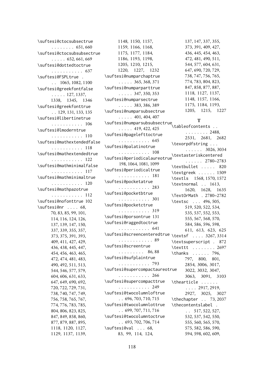\suftesi@ctocsubsectrue . . . . . . . . 651, 660 \suftesi@ctocsubsubsectrue  $\ldots$  . 652, 661, 669 \suftesi@dottedtoctrue . . . . . . . . . . . 637 \suftesi@FSPLtrue . . . 1065, 1082, 1100 \suftesi@greekfontfalse . . . . . 127, 1337, 1338, 1345, 1346 \suftesi@greekfonttrue . . 129, 131, 133, 135 \suftesi@libertinetrue . . . . . . . . . . . 106 \suftesi@lmoderntrue . . . . . . . . . . . 110 \suftesi@mathextendedfalse . . . . . . . . . . . 118 \suftesi@mathextendedtrue . . . . . . . . . . . 122 \suftesi@mathminimalfalse . . . . . . . . . . . 117 \suftesi@mathminimaltrue . . . . . . . . . . . 120 \suftesi@mathpazotrue . . . . . . . . . . . 112 \suftesi@nofonttrue 102 \suftesi@nr . . . . 68, 70, 83, 85, 99, 101, 114, 116, 124, 126, 137, 139, 147, 150, 337, 339, 355, 357, 373, 375, 391, 393, 409, 411, 427, 429, 436, 438, 445, 447, 454, 456, 463, 465, 472, 474, 481, 483, 490, 492, 511, 513, 544, 546, 577, 579, 604, 606, 631, 633, 647, 649, 690, 692, 720, 722, 729, 731, 738, 740, 747, 749, 756, 758, 765, 767, 774, 776, 783, 785, 804, 806, 823, 825, 847, 849, 858, 860, 877, 879, 887, 895, 1118, 1120, 1127, 1129, 1137, 1139,

1148, 1150, 1157, 1159, 1166, 1168, 1175, 1177, 1184, 1186, 1193, 1198, 1205, 1210, 1215, 1220, 1227, 1232 \suftesi@numparchaptrue . . . . . 365, 368, 371 \suftesi@numparparttrue . . . . . 347, 350, 353 \suftesi@numparsectrue . . . . . 383, 386, 389 \suftesi@numparsubsectrue  $\ldots$  . 401, 404, 407 \suftesi@numparsubsubsectrue . . . . . 419, 422, 425 \suftesi@pagelefttoctrue . . . . . . . . . . . 645 \suftesi@palatinotrue . . . . . . . . . . . 108 \suftesi@periodicalaureotrue<br>2790.27 198, 1064, 1081, 1099 \suftesi@periodicaltrue . . . . . . . . . . . 181 \suftesi@pocketatrue . . . . . . . . . . . 283 \suftesi@pocketbtrue . . . . . . . . . . . 301 \suftesi@pocketctrue . . . . . . . . . . . 319 \suftesi@porsontrue 131 \suftesi@raggedtoctrue . . . . . . . . . . . 641 \suftesi@screencenteredtrue . . . . . . . . . . . . 89 \suftesi@screentrue . . . . . . . . . 86, 88 \suftesi@sufplaintrue . . . . . . . . . . . 793 \suftesi@supercompactaureotrue . . . . . . . . . . . 266 \suftesi@supercompacttrue . . . . . . . . . . . 249 \suftesi@twocolumnloftrue . . 696, 703, 710, 715 \suftesi@twocolumnlottrue . . 699, 707, 711, 716 \suftesi@twocolumntoctrue . . 693, 702, 706, 714 \suftesi@val . . . 68, 83, 99, 114, 124,

137, 147, 337, 355, 373, 391, 409, 427, 436, 445, 454, 463, 472, 481, 490, 511, 544, 577, 604, 631, 647, 690, 720, 729, 738, 747, 756, 765, 774, 783, 804, 823, 847, 858, 877, 887, 1118, 1127, 1137, 1148, 1157, 1166, 1175, 1184, 1193, 1205, 1215, 1227

### **T**

\tableofcontents . . . . . . . . . . 2488, 2531, 2681, 2682 \texorpdfstring . . . . . . . . . 3026, 3034 . . . . . . 2780–2783 \textbullet . . . . . 820 \textgreek . . . . . . 1509 \textls 1568, 1570, 1572 \textnormal . . 1613, 1620, 1628, 1635 \TextOrMath . 2780–2782 \textsc . . . 496, 505, 519, 520, 522, 534, 535, 537, 552, 553, 555, 567, 568, 570, 584, 586, 596, 598, 611, 613, 623, 625 \textsf . . . . 3267, 3314 \textsuperscript . 872 \texttt . . . . . . . . 2697 \thanks . . . . . . 796, 797, 800, 801, 2854, 3006, 3017, 3022, 3032, 3047, 3063, 3091, 3103 \thearticle . . . . . . . . . . 2917, 2919, 2927, 3025, 3027 \thechapter . . 73, 2037 \thecontentslabel .  $\ldots$  517, 522, 527, 532, 537, 542, 550, 555, 560, 565, 570, 575, 582, 586, 590, 594, 598, 602, 609,